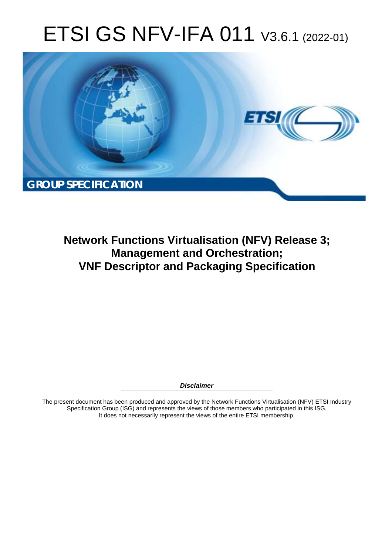# ETSI GS NFV-IFA 011 V3.6.1 (2022-01)



**Network Functions Virtualisation (NFV) Release 3; Management and Orchestration; VNF Descriptor and Packaging Specification** 

*Disclaimer* 

The present document has been produced and approved by the Network Functions Virtualisation (NFV) ETSI Industry Specification Group (ISG) and represents the views of those members who participated in this ISG. It does not necessarily represent the views of the entire ETSI membership.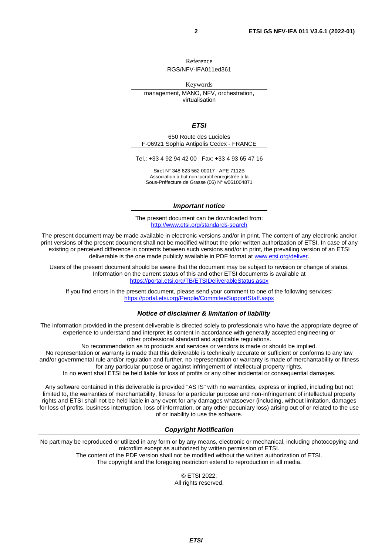Reference

RGS/NFV-IFA011ed361

Keywords management, MANO, NFV, orchestration. virtualisation

*ETSI* 

650 Route des Lucioles F-06921 Sophia Antipolis Cedex - FRANCE

Tel.: +33 4 92 94 42 00 Fax: +33 4 93 65 47 16

Siret N° 348 623 562 00017 - APE 7112B Association à but non lucratif enregistrée à la Sous-Préfecture de Grasse (06) N° w061004871

#### *Important notice*

The present document can be downloaded from: <http://www.etsi.org/standards-search>

The present document may be made available in electronic versions and/or in print. The content of any electronic and/or print versions of the present document shall not be modified without the prior written authorization of ETSI. In case of any existing or perceived difference in contents between such versions and/or in print, the prevailing version of an ETSI deliverable is the one made publicly available in PDF format at [www.etsi.org/deliver](http://www.etsi.org/deliver).

Users of the present document should be aware that the document may be subject to revision or change of status. Information on the current status of this and other ETSI documents is available at <https://portal.etsi.org/TB/ETSIDeliverableStatus.aspx>

If you find errors in the present document, please send your comment to one of the following services: <https://portal.etsi.org/People/CommiteeSupportStaff.aspx>

#### *Notice of disclaimer & limitation of liability*

The information provided in the present deliverable is directed solely to professionals who have the appropriate degree of experience to understand and interpret its content in accordance with generally accepted engineering or other professional standard and applicable regulations.

No recommendation as to products and services or vendors is made or should be implied.

No representation or warranty is made that this deliverable is technically accurate or sufficient or conforms to any law and/or governmental rule and/or regulation and further, no representation or warranty is made of merchantability or fitness for any particular purpose or against infringement of intellectual property rights.

In no event shall ETSI be held liable for loss of profits or any other incidental or consequential damages.

Any software contained in this deliverable is provided "AS IS" with no warranties, express or implied, including but not limited to, the warranties of merchantability, fitness for a particular purpose and non-infringement of intellectual property rights and ETSI shall not be held liable in any event for any damages whatsoever (including, without limitation, damages for loss of profits, business interruption, loss of information, or any other pecuniary loss) arising out of or related to the use of or inability to use the software.

#### *Copyright Notification*

No part may be reproduced or utilized in any form or by any means, electronic or mechanical, including photocopying and microfilm except as authorized by written permission of ETSI. The content of the PDF version shall not be modified without the written authorization of ETSI.

The copyright and the foregoing restriction extend to reproduction in all media.

© ETSI 2022. All rights reserved.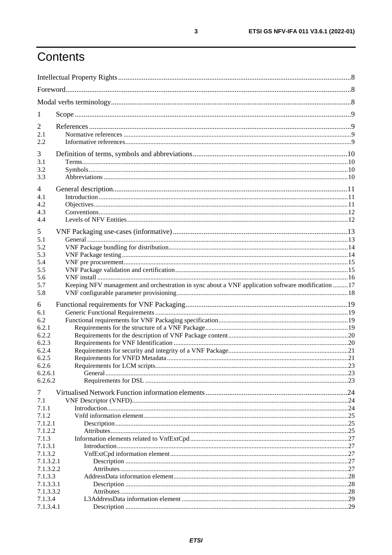# Contents

| 1         |                                                                                                   |  |
|-----------|---------------------------------------------------------------------------------------------------|--|
| 2         |                                                                                                   |  |
| 2.1       |                                                                                                   |  |
| 2.2       |                                                                                                   |  |
|           |                                                                                                   |  |
| 3<br>3.1  |                                                                                                   |  |
| 3.2       |                                                                                                   |  |
| 3.3       |                                                                                                   |  |
|           |                                                                                                   |  |
| 4         |                                                                                                   |  |
| 4.1       |                                                                                                   |  |
| 4.2       |                                                                                                   |  |
| 4.3       |                                                                                                   |  |
| 4.4       |                                                                                                   |  |
| 5         |                                                                                                   |  |
| 5.1       |                                                                                                   |  |
| 5.2       |                                                                                                   |  |
| 5.3       |                                                                                                   |  |
| 5.4       |                                                                                                   |  |
| 5.5       |                                                                                                   |  |
| 5.6       |                                                                                                   |  |
| 5.7       | Keeping NFV management and orchestration in sync about a VNF application software modification 17 |  |
| 5.8       |                                                                                                   |  |
| 6         |                                                                                                   |  |
| 6.1       |                                                                                                   |  |
| 6.2       |                                                                                                   |  |
| 6.2.1     |                                                                                                   |  |
| 6.2.2     |                                                                                                   |  |
| 6.2.3     |                                                                                                   |  |
| 6.2.4     |                                                                                                   |  |
| 6.2.5     |                                                                                                   |  |
| 6.2.6     |                                                                                                   |  |
| 6.2.6.1   |                                                                                                   |  |
| 6.2.6.2   |                                                                                                   |  |
| 7         |                                                                                                   |  |
| 7.1       |                                                                                                   |  |
| 7.1.1     |                                                                                                   |  |
| 7.1.2     |                                                                                                   |  |
| 7.1.2.1   |                                                                                                   |  |
| 7.1.2.2   |                                                                                                   |  |
| 7.1.3     |                                                                                                   |  |
| 7.1.3.1   |                                                                                                   |  |
| 7.1.3.2   |                                                                                                   |  |
| 7.1.3.2.1 |                                                                                                   |  |
| 7.1.3.2.2 |                                                                                                   |  |
| 7.1.3.3   |                                                                                                   |  |
| 7.1.3.3.1 |                                                                                                   |  |
| 7.1.3.3.2 |                                                                                                   |  |
| 7.1.3.4   |                                                                                                   |  |
| 7.1.3.4.1 |                                                                                                   |  |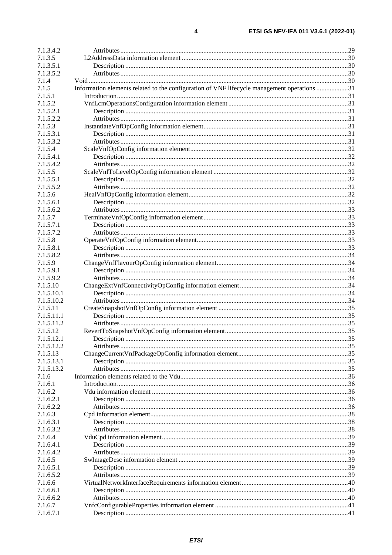| 7.1.3.4.2  |                                                                                             |  |
|------------|---------------------------------------------------------------------------------------------|--|
| 7.1.3.5    |                                                                                             |  |
| 7.1.3.5.1  |                                                                                             |  |
| 7.1.3.5.2  |                                                                                             |  |
| 7.1.4      |                                                                                             |  |
| 7.1.5      | Information elements related to the configuration of VNF lifecycle management operations 31 |  |
| 7.1.5.1    |                                                                                             |  |
| 7.1.5.2    |                                                                                             |  |
| 7.1.5.2.1  |                                                                                             |  |
| 7.1.5.2.2  |                                                                                             |  |
| 7.1.5.3    |                                                                                             |  |
| 7.1.5.3.1  |                                                                                             |  |
|            |                                                                                             |  |
| 7.1.5.3.2  |                                                                                             |  |
| 7.1.5.4    |                                                                                             |  |
| 7.1.5.4.1  |                                                                                             |  |
| 7.1.5.4.2  |                                                                                             |  |
| 7.1.5.5    |                                                                                             |  |
| 7.1.5.5.1  |                                                                                             |  |
| 7.1.5.5.2  |                                                                                             |  |
| 7.1.5.6    |                                                                                             |  |
| 7.1.5.6.1  |                                                                                             |  |
| 7.1.5.6.2  |                                                                                             |  |
| 7.1.5.7    |                                                                                             |  |
| 7.1.5.7.1  |                                                                                             |  |
| 7.1.5.7.2  |                                                                                             |  |
| 7.1.5.8    |                                                                                             |  |
| 7.1.5.8.1  |                                                                                             |  |
| 7.1.5.8.2  |                                                                                             |  |
| 7.1.5.9    |                                                                                             |  |
| 7.1.5.9.1  |                                                                                             |  |
|            |                                                                                             |  |
| 7.1.5.9.2  |                                                                                             |  |
| 7.1.5.10   |                                                                                             |  |
| 7.1.5.10.1 |                                                                                             |  |
| 7.1.5.10.2 |                                                                                             |  |
| 7.1.5.11   |                                                                                             |  |
| 7.1.5.11.1 |                                                                                             |  |
| 7.1.5.11.2 |                                                                                             |  |
| 7.1.5.12   |                                                                                             |  |
| 7.1.5.12.1 |                                                                                             |  |
| 7.1.5.12.2 |                                                                                             |  |
| 7.1.5.13   |                                                                                             |  |
| 7.1.5.13.1 |                                                                                             |  |
| 7.1.5.13.2 |                                                                                             |  |
| 7.1.6      |                                                                                             |  |
| 7.1.6.1    |                                                                                             |  |
| 7.1.6.2    |                                                                                             |  |
| 7.1.6.2.1  |                                                                                             |  |
| 7.1.6.2.2  |                                                                                             |  |
| 7.1.6.3    |                                                                                             |  |
| 7.1.6.3.1  |                                                                                             |  |
| 7.1.6.3.2  |                                                                                             |  |
| 7.1.6.4    |                                                                                             |  |
| 7.1.6.4.1  |                                                                                             |  |
| 7.1.6.4.2  |                                                                                             |  |
| 7.1.6.5    |                                                                                             |  |
|            |                                                                                             |  |
| 7.1.6.5.1  |                                                                                             |  |
| 7.1.6.5.2  |                                                                                             |  |
| 7.1.6.6    |                                                                                             |  |
| 7.1.6.6.1  |                                                                                             |  |
| 7.1.6.6.2  |                                                                                             |  |
| 7.1.6.7    |                                                                                             |  |
| 7.1.6.7.1  |                                                                                             |  |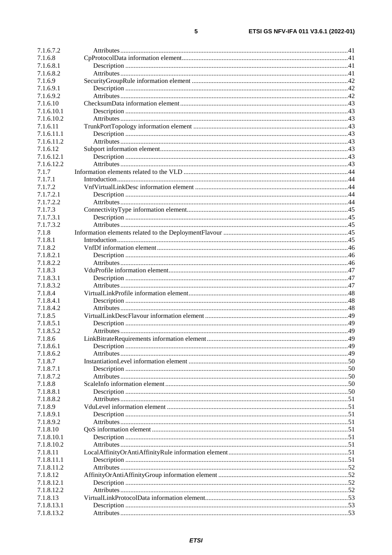| 7.1.6.7.2  |  |
|------------|--|
| 7.1.6.8    |  |
| 7.1.6.8.1  |  |
| 7.1.6.8.2  |  |
| 7.1.6.9    |  |
| 7.1.6.9.1  |  |
| 7.1.6.9.2  |  |
|            |  |
| 7.1.6.10   |  |
| 7.1.6.10.1 |  |
| 7.1.6.10.2 |  |
| 7.1.6.11   |  |
| 7.1.6.11.1 |  |
| 7.1.6.11.2 |  |
| 7.1.6.12   |  |
| 7.1.6.12.1 |  |
| 7.1.6.12.2 |  |
| 7.1.7      |  |
| 7.1.7.1    |  |
| 7.1.7.2    |  |
| 7.1.7.2.1  |  |
| 7.1.7.2.2  |  |
|            |  |
| 7.1.7.3    |  |
| 7.1.7.3.1  |  |
| 7.1.7.3.2  |  |
| 7.1.8      |  |
| 7.1.8.1    |  |
| 7.1.8.2    |  |
| 7.1.8.2.1  |  |
| 7.1.8.2.2  |  |
| 7.1.8.3    |  |
| 7.1.8.3.1  |  |
| 7.1.8.3.2  |  |
| 7.1.8.4    |  |
| 7.1.8.4.1  |  |
|            |  |
| 7.1.8.4.2  |  |
| 7.1.8.5    |  |
| 7.1.8.5.1  |  |
| 7.1.8.5.2  |  |
| 7.1.8.6    |  |
| 7.1.8.6.1  |  |
| 7.1.8.6.2  |  |
| 7.1.8.7    |  |
| 7.1.8.7.1  |  |
| 7.1.8.7.2  |  |
| 7.1.8.8    |  |
| 7.1.8.8.1  |  |
| 7.1.8.8.2  |  |
| 7.1.8.9    |  |
| 7.1.8.9.1  |  |
|            |  |
| 7.1.8.9.2  |  |
| 7.1.8.10   |  |
| 7.1.8.10.1 |  |
| 7.1.8.10.2 |  |
| 7.1.8.11   |  |
| 7.1.8.11.1 |  |
| 7.1.8.11.2 |  |
| 7.1.8.12   |  |
| 7.1.8.12.1 |  |
| 7.1.8.12.2 |  |
| 7.1.8.13   |  |
| 7.1.8.13.1 |  |
| 7.1.8.13.2 |  |
|            |  |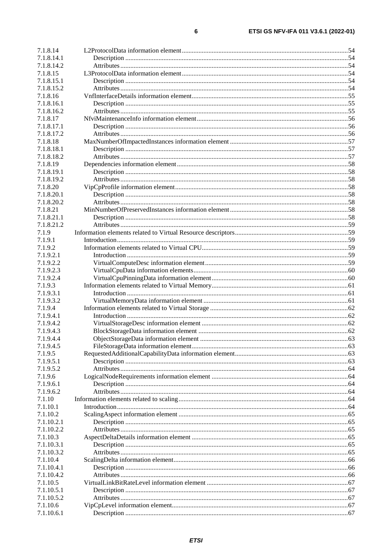| 7.1.8.14   |  |
|------------|--|
| 7.1.8.14.1 |  |
| 7.1.8.14.2 |  |
| 7.1.8.15   |  |
| 7.1.8.15.1 |  |
| 7.1.8.15.2 |  |
| 7.1.8.16   |  |
| 7.1.8.16.1 |  |
| 7.1.8.16.2 |  |
| 7.1.8.17   |  |
| 7.1.8.17.1 |  |
| 7.1.8.17.2 |  |
| 7.1.8.18   |  |
| 7.1.8.18.1 |  |
| 7.1.8.18.2 |  |
| 7.1.8.19   |  |
| 7.1.8.19.1 |  |
| 7.1.8.19.2 |  |
| 7.1.8.20   |  |
| 7.1.8.20.1 |  |
| 7.1.8.20.2 |  |
| 7.1.8.21   |  |
| 7.1.8.21.1 |  |
| 7.1.8.21.2 |  |
| 7.1.9      |  |
| 7.1.9.1    |  |
| 7.1.9.2    |  |
| 7.1.9.2.1  |  |
| 7.1.9.2.2  |  |
| 7.1.9.2.3  |  |
| 7.1.9.2.4  |  |
| 7.1.9.3    |  |
| 7.1.9.3.1  |  |
| 7.1.9.3.2  |  |
| 7.1.9.4    |  |
| 7.1.9.4.1  |  |
| 7.1.9.4.2  |  |
| 7.1.9.4.3  |  |
| 7.1.9.4.4  |  |
| 7.1.9.4.5  |  |
| 7.1.9.5    |  |
| 7.1.9.5.1  |  |
| 7.1.9.5.2  |  |
| 7.1.9.6    |  |
| 7.1.9.6.1  |  |
| 7.1.9.6.2  |  |
| 7.1.10     |  |
| 7.1.10.1   |  |
| 7.1.10.2   |  |
| 7.1.10.2.1 |  |
| 7.1.10.2.2 |  |
| 7.1.10.3   |  |
| 7.1.10.3.1 |  |
| 7.1.10.3.2 |  |
| 7.1.10.4   |  |
| 7.1.10.4.1 |  |
| 7.1.10.4.2 |  |
| 7.1.10.5   |  |
| 7.1.10.5.1 |  |
| 7.1.10.5.2 |  |
| 7.1.10.6   |  |
| 7.1.10.6.1 |  |
|            |  |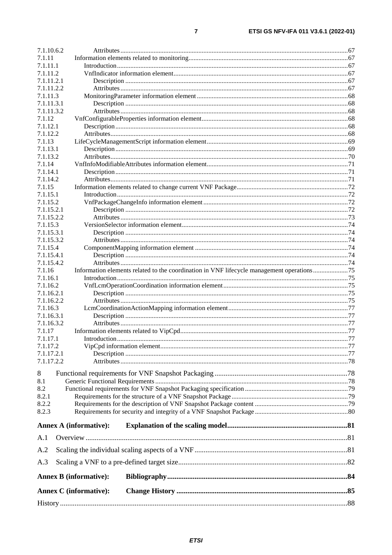| 7.1.10.6.2           |                                                                                           |  |
|----------------------|-------------------------------------------------------------------------------------------|--|
| 7.1.11               |                                                                                           |  |
| 7.1.11.1             |                                                                                           |  |
| 7.1.11.2             |                                                                                           |  |
| 7.1.11.2.1           |                                                                                           |  |
| 7.1.11.2.2           |                                                                                           |  |
| 7.1.11.3             |                                                                                           |  |
| 7.1.11.3.1           |                                                                                           |  |
| 7.1.11.3.2<br>7.1.12 |                                                                                           |  |
| 7.1.12.1             |                                                                                           |  |
| 7.1.12.2             |                                                                                           |  |
| 7.1.13               |                                                                                           |  |
| 7.1.13.1             |                                                                                           |  |
| 7.1.13.2             |                                                                                           |  |
| 7.1.14               |                                                                                           |  |
| 7.1.14.1             |                                                                                           |  |
| 7.1.14.2             |                                                                                           |  |
| 7.1.15               |                                                                                           |  |
| 7.1.15.1             |                                                                                           |  |
| 7.1.15.2             |                                                                                           |  |
| 7.1.15.2.1           |                                                                                           |  |
| 7.1.15.2.2           |                                                                                           |  |
| 7.1.15.3             |                                                                                           |  |
| 7.1.15.3.1           |                                                                                           |  |
| 7.1.15.3.2           |                                                                                           |  |
| 7.1.15.4             |                                                                                           |  |
| 7.1.15.4.1           |                                                                                           |  |
| 7.1.15.4.2           |                                                                                           |  |
| 7.1.16<br>7.1.16.1   | Information elements related to the coordination in VNF lifecycle management operations75 |  |
| 7.1.16.2             |                                                                                           |  |
| 7.1.16.2.1           |                                                                                           |  |
| 7.1.16.2.2           |                                                                                           |  |
| 7.1.16.3             |                                                                                           |  |
| 7.1.16.3.1           |                                                                                           |  |
| 7.1.16.3.2           |                                                                                           |  |
| 7.1.17               |                                                                                           |  |
| 7.1.17.1             |                                                                                           |  |
| 7.1.17.2             |                                                                                           |  |
| 7.1.17.2.1           |                                                                                           |  |
| 7.1.17.2.2           |                                                                                           |  |
| 8                    |                                                                                           |  |
| 8.1                  |                                                                                           |  |
| 8.2                  |                                                                                           |  |
| 8.2.1                |                                                                                           |  |
| 8.2.2                |                                                                                           |  |
| 8.2.3                |                                                                                           |  |
|                      |                                                                                           |  |
|                      | <b>Annex A (informative):</b>                                                             |  |
| A.1                  |                                                                                           |  |
|                      |                                                                                           |  |
| A.2                  |                                                                                           |  |
| A.3                  |                                                                                           |  |
|                      | <b>Annex B</b> (informative):                                                             |  |
|                      | <b>Annex C</b> (informative):                                                             |  |
|                      |                                                                                           |  |
|                      |                                                                                           |  |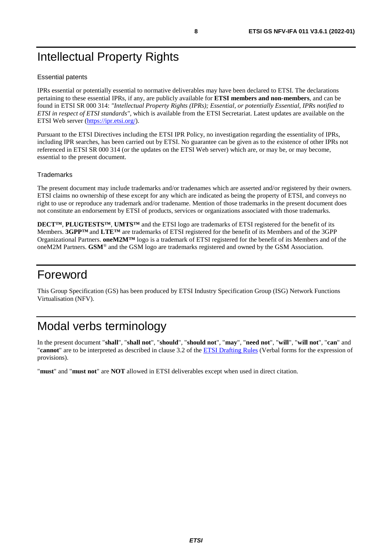# <span id="page-7-0"></span>Intellectual Property Rights

#### Essential patents

IPRs essential or potentially essential to normative deliverables may have been declared to ETSI. The declarations pertaining to these essential IPRs, if any, are publicly available for **ETSI members and non-members**, and can be found in ETSI SR 000 314: *"Intellectual Property Rights (IPRs); Essential, or potentially Essential, IPRs notified to ETSI in respect of ETSI standards"*, which is available from the ETSI Secretariat. Latest updates are available on the ETSI Web server ([https://ipr.etsi.org/\)](https://ipr.etsi.org/).

Pursuant to the ETSI Directives including the ETSI IPR Policy, no investigation regarding the essentiality of IPRs, including IPR searches, has been carried out by ETSI. No guarantee can be given as to the existence of other IPRs not referenced in ETSI SR 000 314 (or the updates on the ETSI Web server) which are, or may be, or may become, essential to the present document.

#### **Trademarks**

The present document may include trademarks and/or tradenames which are asserted and/or registered by their owners. ETSI claims no ownership of these except for any which are indicated as being the property of ETSI, and conveys no right to use or reproduce any trademark and/or tradename. Mention of those trademarks in the present document does not constitute an endorsement by ETSI of products, services or organizations associated with those trademarks.

**DECT™**, **PLUGTESTS™**, **UMTS™** and the ETSI logo are trademarks of ETSI registered for the benefit of its Members. **3GPP™** and **LTE™** are trademarks of ETSI registered for the benefit of its Members and of the 3GPP Organizational Partners. **oneM2M™** logo is a trademark of ETSI registered for the benefit of its Members and of the oneM2M Partners. **GSM**® and the GSM logo are trademarks registered and owned by the GSM Association.

# Foreword

This Group Specification (GS) has been produced by ETSI Industry Specification Group (ISG) Network Functions Virtualisation (NFV).

# Modal verbs terminology

In the present document "**shall**", "**shall not**", "**should**", "**should not**", "**may**", "**need not**", "**will**", "**will not**", "**can**" and "**cannot**" are to be interpreted as described in clause 3.2 of the [ETSI Drafting Rules](https://portal.etsi.org/Services/editHelp!/Howtostart/ETSIDraftingRules.aspx) (Verbal forms for the expression of provisions).

"**must**" and "**must not**" are **NOT** allowed in ETSI deliverables except when used in direct citation.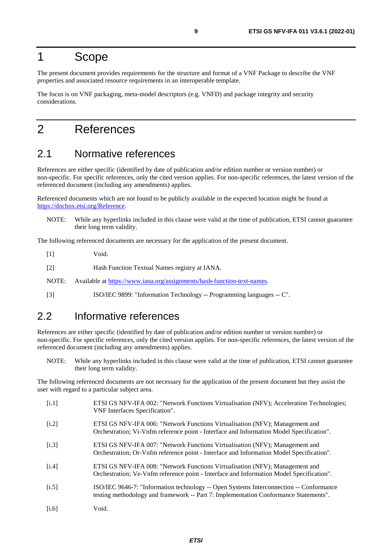# <span id="page-8-0"></span>1 Scope

The present document provides requirements for the structure and format of a VNF Package to describe the VNF properties and associated resource requirements in an interoperable template.

The focus is on VNF packaging, meta-model descriptors (e.g. VNFD) and package integrity and security considerations.

# 2 References

# 2.1 Normative references

References are either specific (identified by date of publication and/or edition number or version number) or non-specific. For specific references, only the cited version applies. For non-specific references, the latest version of the referenced document (including any amendments) applies.

Referenced documents which are not found to be publicly available in the expected location might be found at <https://docbox.etsi.org/Reference>.

NOTE: While any hyperlinks included in this clause were valid at the time of publication, ETSI cannot guarantee their long term validity.

The following referenced documents are necessary for the application of the present document.

[1] Void.

[2] Hash Function Textual Names registry at IANA.

NOTE: Available at <https://www.iana.org/assignments/hash-function-text-names>.

[3] ISO/IEC 9899: "Information Technology -- Programming languages -- C".

# 2.2 Informative references

References are either specific (identified by date of publication and/or edition number or version number) or non-specific. For specific references, only the cited version applies. For non-specific references, the latest version of the referenced document (including any amendments) applies.

NOTE: While any hyperlinks included in this clause were valid at the time of publication, ETSI cannot guarantee their long term validity.

The following referenced documents are not necessary for the application of the present document but they assist the user with regard to a particular subject area.

| [i.1] | ETSI GS NFV-IFA 002: "Network Functions Virtualisation (NFV); Acceleration Technologies;<br>VNF Interfaces Specification".                                                     |
|-------|--------------------------------------------------------------------------------------------------------------------------------------------------------------------------------|
| [i.2] | ETSI GS NFV-IFA 006: "Network Functions Virtualisation (NFV); Management and<br>Orchestration; Vi-Vnfm reference point - Interface and Information Model Specification".       |
| [i.3] | ETSI GS NFV-IFA 007: "Network Functions Virtualisation (NFV); Management and<br>Orchestration; Or-Vnfm reference point - Interface and Information Model Specification".       |
| [i.4] | ETSI GS NFV-IFA 008: "Network Functions Virtualisation (NFV); Management and<br>Orchestration; Ve-Vnfm reference point - Interface and Information Model Specification".       |
| [i.5] | ISO/IEC 9646-7: "Information technology -- Open Systems Interconnection -- Conformance<br>testing methodology and framework -- Part 7: Implementation Conformance Statements". |
| [i.6] | Void.                                                                                                                                                                          |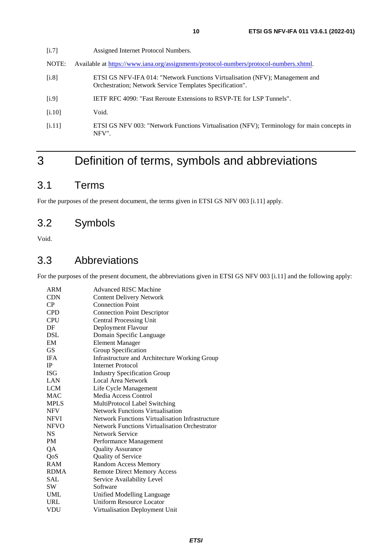<span id="page-9-0"></span>[i.7] Assigned Internet Protocol Numbers. NOTE: Available at [https://www.iana.org/assignments/protocol-numbers/protocol-numbers.xhtml.](https://www.iana.org/assignments/protocol-numbers/protocol-numbers.xhtml) [i.8] ETSI GS NFV-IFA 014: "Network Functions Virtualisation (NFV); Management and Orchestration; Network Service Templates Specification". [i.9] IETF RFC 4090: "Fast Reroute Extensions to RSVP-TE for LSP Tunnels". [i.10] Void. [i.11] ETSI GS NFV 003: "Network Functions Virtualisation (NFV); Terminology for main concepts in

# 3 Definition of terms, symbols and abbreviations

# 3.1 Terms

For the purposes of the present document, the terms given in ETSI GS NFV 003 [i.11] apply.

# 3.2 Symbols

Void.

### 3.3 Abbreviations

NFV".

For the purposes of the present document, the abbreviations given in ETSI GS NFV 003 [i.11] and the following apply:

| <b>ARM</b>  | <b>Advanced RISC Machine</b>                           |
|-------------|--------------------------------------------------------|
| <b>CDN</b>  | <b>Content Delivery Network</b>                        |
| CP          | <b>Connection Point</b>                                |
| <b>CPD</b>  | <b>Connection Point Descriptor</b>                     |
| <b>CPU</b>  | <b>Central Processing Unit</b>                         |
| DF          | Deployment Flavour                                     |
| DSL         | Domain Specific Language                               |
| EM          | <b>Element Manager</b>                                 |
| <b>GS</b>   | Group Specification                                    |
| <b>IFA</b>  | Infrastructure and Architecture Working Group          |
| <b>IP</b>   | Internet Protocol                                      |
| <b>ISG</b>  | <b>Industry Specification Group</b>                    |
| LAN         | Local Area Network                                     |
| <b>LCM</b>  | Life Cycle Management                                  |
| <b>MAC</b>  | Media Access Control                                   |
| <b>MPLS</b> | MultiProtocol Label Switching                          |
| <b>NFV</b>  | <b>Network Functions Virtualisation</b>                |
| <b>NFVI</b> | <b>Network Functions Virtualisation Infrastructure</b> |
| <b>NFVO</b> | <b>Network Functions Virtualisation Orchestrator</b>   |
| NS          | <b>Network Service</b>                                 |
| <b>PM</b>   | Performance Management                                 |
| QA          | <b>Quality Assurance</b>                               |
| QoS         | Quality of Service                                     |
| <b>RAM</b>  | Random Access Memory                                   |
| <b>RDMA</b> | <b>Remote Direct Memory Access</b>                     |
| SAL         | Service Availability Level                             |
| <b>SW</b>   | Software                                               |
| <b>UML</b>  | Unified Modelling Language                             |
| URL         | <b>Uniform Resource Locator</b>                        |
| <b>VDU</b>  | Virtualisation Deployment Unit                         |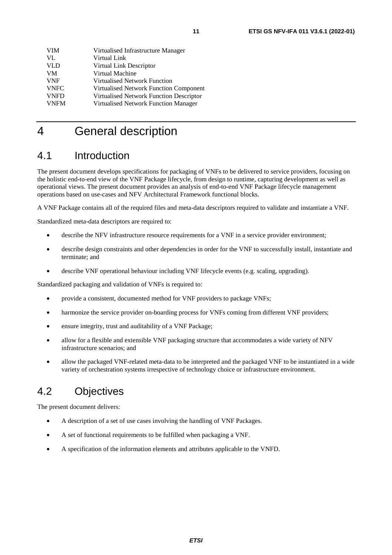<span id="page-10-0"></span>

| VIM         | Virtualised Infrastructure Manager            |
|-------------|-----------------------------------------------|
| VL          | Virtual Link                                  |
| <b>VLD</b>  | Virtual Link Descriptor                       |
| <b>VM</b>   | Virtual Machine                               |
| <b>VNF</b>  | Virtualised Network Function                  |
| <b>VNFC</b> | <b>Virtualised Network Function Component</b> |
| <b>VNFD</b> | Virtualised Network Function Descriptor       |
| <b>VNFM</b> | <b>Virtualised Network Function Manager</b>   |
|             |                                               |

# 4 General description

# 4.1 Introduction

The present document develops specifications for packaging of VNFs to be delivered to service providers, focusing on the holistic end-to-end view of the VNF Package lifecycle, from design to runtime, capturing development as well as operational views. The present document provides an analysis of end-to-end VNF Package lifecycle management operations based on use-cases and NFV Architectural Framework functional blocks.

A VNF Package contains all of the required files and meta-data descriptors required to validate and instantiate a VNF.

Standardized meta-data descriptors are required to:

- describe the NFV infrastructure resource requirements for a VNF in a service provider environment;
- describe design constraints and other dependencies in order for the VNF to successfully install, instantiate and terminate; and
- describe VNF operational behaviour including VNF lifecycle events (e.g. scaling, upgrading).

Standardized packaging and validation of VNFs is required to:

- provide a consistent, documented method for VNF providers to package VNFs;
- harmonize the service provider on-boarding process for VNFs coming from different VNF providers;
- ensure integrity, trust and auditability of a VNF Package;
- allow for a flexible and extensible VNF packaging structure that accommodates a wide variety of NFV infrastructure scenarios; and
- allow the packaged VNF-related meta-data to be interpreted and the packaged VNF to be instantiated in a wide variety of orchestration systems irrespective of technology choice or infrastructure environment.

# 4.2 Objectives

The present document delivers:

- A description of a set of use cases involving the handling of VNF Packages.
- A set of functional requirements to be fulfilled when packaging a VNF.
- A specification of the information elements and attributes applicable to the VNFD.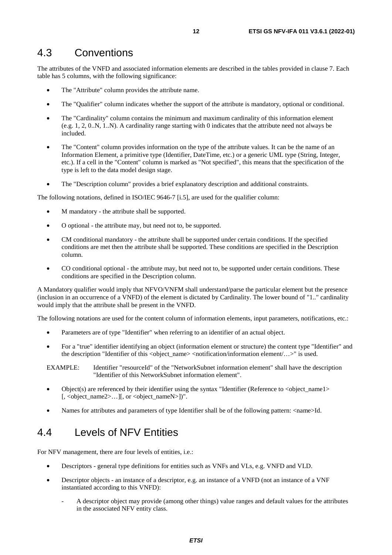### <span id="page-11-0"></span>4.3 Conventions

The attributes of the VNFD and associated information elements are described in the tables provided in clause 7. Each table has 5 columns, with the following significance:

- The "Attribute" column provides the attribute name.
- The "Qualifier" column indicates whether the support of the attribute is mandatory, optional or conditional.
- The "Cardinality" column contains the minimum and maximum cardinality of this information element (e.g. 1, 2, 0..N, 1..N). A cardinality range starting with 0 indicates that the attribute need not always be included.
- The "Content" column provides information on the type of the attribute values. It can be the name of an Information Element, a primitive type (Identifier, DateTime, etc.) or a generic UML type (String, Integer, etc.). If a cell in the "Content" column is marked as "Not specified", this means that the specification of the type is left to the data model design stage.
- The "Description column" provides a brief explanatory description and additional constraints.

The following notations, defined in ISO/IEC 9646-7 [\[i.5](#page-8-0)], are used for the qualifier column:

- M mandatory the attribute shall be supported.
- O optional the attribute may, but need not to, be supported.
- CM conditional mandatory the attribute shall be supported under certain conditions. If the specified conditions are met then the attribute shall be supported. These conditions are specified in the Description column.
- CO conditional optional the attribute may, but need not to, be supported under certain conditions. These conditions are specified in the Description column.

A Mandatory qualifier would imply that NFVO/VNFM shall understand/parse the particular element but the presence (inclusion in an occurrence of a VNFD) of the element is dictated by Cardinality. The lower bound of "1.." cardinality would imply that the attribute shall be present in the VNFD.

The following notations are used for the content column of information elements, input parameters, notifications, etc.:

- Parameters are of type "Identifier" when referring to an identifier of an actual object.
- For a "true" identifier identifying an object (information element or structure) the content type "Identifier" and the description "Identifier of this <object\_name> <notification/information element/...>" is used.

EXAMPLE: Identifier "resourceId" of the "NetworkSubnet information element" shall have the description "Identifier of this NetworkSubnet information element".

- Object(s) are referenced by their identifier using the syntax "Identifier (Reference to <object\_name1> [, <object\_name2>...][, or <object\_nameN>])".
- Names for attributes and parameters of type Identifier shall be of the following pattern:  $\langle$ name>Id.

# 4.4 Levels of NFV Entities

For NFV management, there are four levels of entities, *i.e.*:

- Descriptors general type definitions for entities such as VNFs and VLs, e.g. VNFD and VLD.
- Descriptor objects an instance of a descriptor, e.g. an instance of a VNFD (not an instance of a VNF instantiated according to this VNFD):
	- A descriptor object may provide (among other things) value ranges and default values for the attributes in the associated NFV entity class.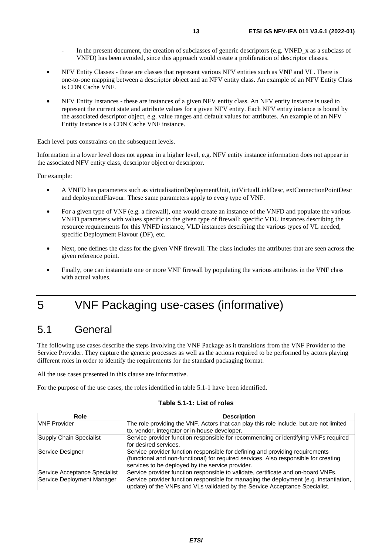- <span id="page-12-0"></span>In the present document, the creation of subclasses of generic descriptors (e.g. VNFD\_x as a subclass of VNFD) has been avoided, since this approach would create a proliferation of descriptor classes.
- NFV Entity Classes these are classes that represent various NFV entities such as VNF and VL. There is one-to-one mapping between a descriptor object and an NFV entity class. An example of an NFV Entity Class is CDN Cache VNF.
- NFV Entity Instances these are instances of a given NFV entity class. An NFV entity instance is used to represent the current state and attribute values for a given NFV entity. Each NFV entity instance is bound by the associated descriptor object, e.g. value ranges and default values for attributes. An example of an NFV Entity Instance is a CDN Cache VNF instance.

Each level puts constraints on the subsequent levels.

Information in a lower level does not appear in a higher level, e.g. NFV entity instance information does not appear in the associated NFV entity class, descriptor object or descriptor.

For example:

- A VNFD has parameters such as virtualisationDeploymentUnit, intVirtualLinkDesc, extConnectionPointDesc and deploymentFlavour. These same parameters apply to every type of VNF.
- For a given type of VNF (e.g. a firewall), one would create an instance of the VNFD and populate the various VNFD parameters with values specific to the given type of firewall: specific VDU instances describing the resource requirements for this VNFD instance, VLD instances describing the various types of VL needed, specific Deployment Flavour (DF), etc.
- Next, one defines the class for the given VNF firewall. The class includes the attributes that are seen across the given reference point.
- Finally, one can instantiate one or more VNF firewall by populating the various attributes in the VNF class with actual values.
- 5 VNF Packaging use-cases (informative)

# 5.1 General

The following use cases describe the steps involving the VNF Package as it transitions from the VNF Provider to the Service Provider. They capture the generic processes as well as the actions required to be performed by actors playing different roles in order to identify the requirements for the standard packaging format.

All the use cases presented in this clause are informative.

For the purpose of the use cases, the roles identified in table 5.1-1 have been identified.

#### **Table 5.1-1: List of roles**

| Role                          | <b>Description</b>                                                                      |
|-------------------------------|-----------------------------------------------------------------------------------------|
| <b>VNF Provider</b>           | The role providing the VNF. Actors that can play this role include, but are not limited |
|                               | to, vendor, integrator or in-house developer.                                           |
| Supply Chain Specialist       | Service provider function responsible for recommending or identifying VNFs required     |
|                               | for desired services.                                                                   |
| Service Designer              | Service provider function responsible for defining and providing requirements           |
|                               | (functional and non-functional) for required services. Also responsible for creating    |
|                               | services to be deployed by the service provider.                                        |
| Service Acceptance Specialist | Service provider function responsible to validate, certificate and on-board VNFs.       |
| Service Deployment Manager    | Service provider function responsible for managing the deployment (e.g. instantiation,  |
|                               | update) of the VNFs and VLs validated by the Service Acceptance Specialist.             |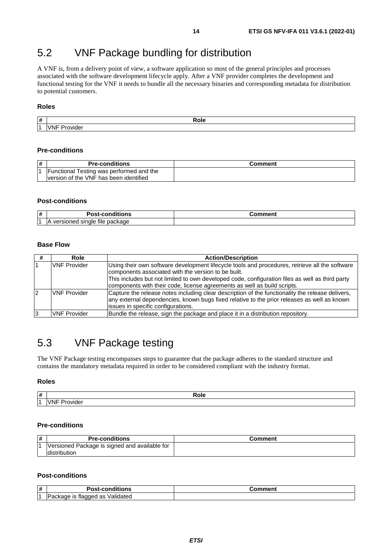# <span id="page-13-0"></span>5.2 VNF Package bundling for distribution

A VNF is, from a delivery point of view, a software application so most of the general principles and processes associated with the software development lifecycle apply. After a VNF provider completes the development and functional testing for the VNF it needs to bundle all the necessary binaries and corresponding metadata for distribution to potential customers.

#### **Roles**

|   | $\sim$                         |
|---|--------------------------------|
| # | Role                           |
|   | .7NP<br>ovidei<br>$\mathbf{v}$ |

#### **Pre-conditions**

| ∦ | <b>Pre-conditions</b>                    | Comment |
|---|------------------------------------------|---------|
|   | Functional Testing was performed and the |         |
|   | Iversion of the VNF has been identified  |         |

#### **Post-conditions**

| -#  | . .<br>.<br>---<br>uons<br>.<br>$\cdots$                                 | . |
|-----|--------------------------------------------------------------------------|---|
| і 4 | <br>---<br>package<br>tile<br><b>JP</b><br>าเศ<br>н<br>,,,,,<br>וו<br>50 |   |

#### **Base Flow**

|   | Role                | <b>Action/Description</b>                                                                                                                                                                                                                                                                                                            |
|---|---------------------|--------------------------------------------------------------------------------------------------------------------------------------------------------------------------------------------------------------------------------------------------------------------------------------------------------------------------------------|
|   | <b>VNF Provider</b> | Using their own software development lifecycle tools and procedures, retrieve all the software<br>components associated with the version to be built.<br>This includes but not limited to own developed code, configuration files as well as third party<br>components with their code, license agreements as well as build scripts. |
| 2 | <b>VNF Provider</b> | Capture the release notes including clear description of the functionality the release delivers,<br>any external dependencies, known bugs fixed relative to the prior releases as well as known<br>issues in specific configurations.                                                                                                |
| 3 | <b>VNF Provider</b> | Bundle the release, sign the package and place it in a distribution repository.                                                                                                                                                                                                                                                      |

# 5.3 VNF Package testing

The VNF Package testing encompasses steps to guarantee that the package adheres to the standard structure and contains the mandatory metadata required in order to be considered compliant with the industry format.

#### **Roles**

| l# | кою |
|----|-----|
|    | .   |

#### **Pre-conditions**

| 1# | <b>Pre-conditions</b>                         | こomment |
|----|-----------------------------------------------|---------|
|    | Versioned Package is signed and available for |         |
|    | ldistribution                                 |         |

#### **Post-conditions**

| ∦ | <br>n.<br>.<br>ாட<br>ur<br>- บอเ                                        | . |
|---|-------------------------------------------------------------------------|---|
| M | . .<br>-<br>Valida<br>$\sim$<br>πaggt<br>аскаде<br>пес.<br>vialec<br>ac |   |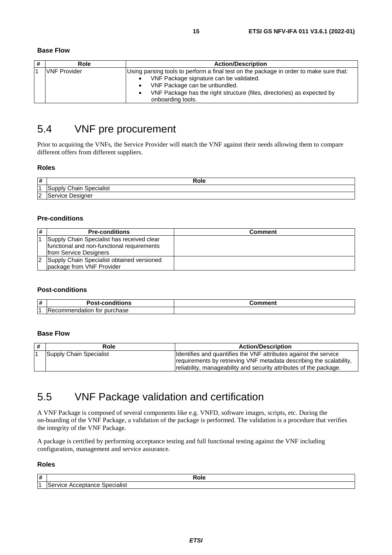#### <span id="page-14-0"></span>**Base Flow**

| # | Role                | <b>Action/Description</b>                                                              |  |
|---|---------------------|----------------------------------------------------------------------------------------|--|
|   | <b>VNF Provider</b> | Using parsing tools to perform a final test on the package in order to make sure that: |  |
|   |                     | VNF Package signature can be validated.                                                |  |
|   |                     | VNF Package can be unbundled.                                                          |  |
|   |                     | VNF Package has the right structure (files, directories) as expected by                |  |
|   |                     | onboarding tools.                                                                      |  |

# 5.4 VNF pre procurement

Prior to acquiring the VNFs, the Service Provider will match the VNF against their needs allowing them to compare different offers from different suppliers.

#### **Roles**

| 1#          | Role                                                    |
|-------------|---------------------------------------------------------|
| M           | <br>$^\circ$ hoin<br><b>ipecialist</b><br>unnlv<br>. sa |
| $\sim$<br>ட | $\sim$ m $\sim$<br>Designer<br>™ulCe.                   |

#### **Pre-conditions**

| l# | <b>Pre-conditions</b>                      | Comment |
|----|--------------------------------------------|---------|
|    | Supply Chain Specialist has received clear |         |
|    | functional and non-functional requirements |         |
|    | from Service Designers                     |         |
| 12 | Supply Chain Specialist obtained versioned |         |
|    | package from VNF Provider                  |         |

#### **Post-conditions**

| #  | .<br><b>POSL</b><br>.<br>---<br>ગાડ<br>u. |  |
|----|-------------------------------------------|--|
| ı. | chase:<br>ooanon<br>┅                     |  |

#### **Base Flow**

| # | Role                    | <b>Action/Description</b>                                                                                                                                                                                     |
|---|-------------------------|---------------------------------------------------------------------------------------------------------------------------------------------------------------------------------------------------------------|
|   | Supply Chain Specialist | Identifies and quantifies the VNF attributes against the service<br>requirements by retrieving VNF metadata describing the scalability,<br>reliability, manageability and security attributes of the package. |

# 5.5 VNF Package validation and certification

A VNF Package is composed of several components like e.g. VNFD, software images, scripts, etc. During the on-boarding of the VNF Package, a validation of the package is performed. The validation is a procedure that verifies the integrity of the VNF Package.

A package is certified by performing acceptance testing and full functional testing against the VNF including configuration, management and service assurance.

#### **Roles**

| $\vert$ # | Role                                                    |
|-----------|---------------------------------------------------------|
| . .       | <br>Specialist<br>$\overline{\phantom{a}}$<br>™к.<br>-. |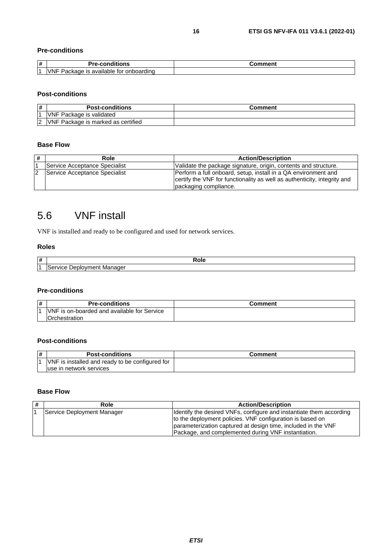#### <span id="page-15-0"></span>**Pre-conditions**

| # | Pre-conditions                                    | . |
|---|---------------------------------------------------|---|
|   | onboarding<br>VNI<br>Package<br>available .<br>21 |   |

#### **Post-conditions**

| l# | <b>Post-conditions</b>             | Comment |
|----|------------------------------------|---------|
|    | <b>VNF Package is validated</b>    |         |
|    | VNF Package is marked as certified |         |

#### **Base Flow**

| # | Role                          | <b>Action/Description</b>                                                                                                                                           |
|---|-------------------------------|---------------------------------------------------------------------------------------------------------------------------------------------------------------------|
|   | Service Acceptance Specialist | Validate the package signature, origin, contents and structure.                                                                                                     |
|   | Service Acceptance Specialist | Perform a full onboard, setup, install in a QA environment and<br>certify the VNF for functionality as well as authenticity, integrity and<br>packaging compliance. |

# 5.6 VNF install

VNF is installed and ready to be configured and used for network services.

#### **Roles**

| $\vert$ # |                                                   | voie. |
|-----------|---------------------------------------------------|-------|
| н.        | . Manager<br>"VIC+<br>ייר<br>nıc<br>neni<br>. د . |       |

#### **Pre-conditions**

| $\vert$ # | <b>Pre-conditions</b>                                   | Comment |
|-----------|---------------------------------------------------------|---------|
|           | <b>VNF</b><br>F is on-boarded and available for Service |         |
|           | Orchestration                                           |         |

#### **Post-conditions**

| $\vert \#$ | <b>Post-conditions</b>                          | Comment |
|------------|-------------------------------------------------|---------|
|            | VNF is installed and ready to be configured for |         |
|            | luse in network services                        |         |

#### **Base Flow**

| # | Role                       | <b>Action/Description</b>                                                                                                                                                                                                                                |
|---|----------------------------|----------------------------------------------------------------------------------------------------------------------------------------------------------------------------------------------------------------------------------------------------------|
|   | Service Deployment Manager | Identify the desired VNFs, configure and instantiate them according<br>to the deployment policies. VNF configuration is based on<br>parameterization captured at design time, included in the VNF<br>Package, and complemented during VNF instantiation. |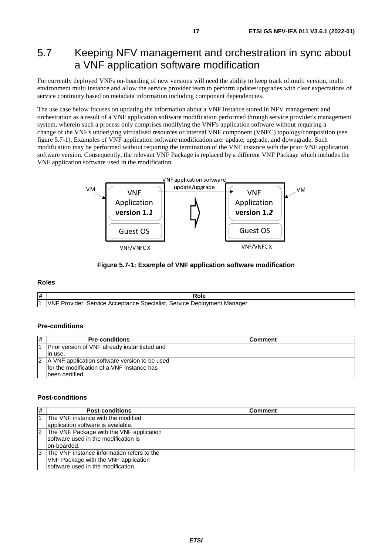# <span id="page-16-0"></span>5.7 Keeping NFV management and orchestration in sync about a VNF application software modification

For currently deployed VNFs on-boarding of new versions will need the ability to keep track of multi version, multi environment multi instance and allow the service provider team to perform updates/upgrades with clear expectations of service continuity based on metadata information including component dependencies.

The use case below focuses on updating the information about a VNF instance stored in NFV management and orchestration as a result of a VNF application software modification performed through service provider's management system, wherein such a process only comprises modifying the VNF's application software without requiring a change of the VNF's underlying virtualised resources or internal VNF component (VNFC) topology/composition (see figure 5.7-1). Examples of VNF application software modification are: update, upgrade, and downgrade. Such modification may be performed without requiring the termination of the VNF instance with the prior VNF application software version. Consequently, the relevant VNF Package is replaced by a different VNF Package which includes the VNF application software used in the modification.



#### **Figure 5.7-1: Example of VNF application software modification**

#### **Roles**

| l# | кою                                                                                                        |
|----|------------------------------------------------------------------------------------------------------------|
|    | $\cdot$ .<br>Specialist<br>ovider<br>Service<br>Manader<br>Service<br>Acceptance<br>Jebk<br>`ovmen.<br>viu |

#### **Pre-conditions**

| # | <b>Pre-conditions</b>                             | Comment |
|---|---------------------------------------------------|---------|
|   | Prior version of VNF already instantiated and     |         |
|   | lin use.                                          |         |
|   | 2   A VNF application software version to be used |         |
|   | Ifor the modification of a VNF instance has       |         |
|   | been certified.                                   |         |

#### **Post-conditions**

| #  | <b>Post-conditions</b>                     | Comment |
|----|--------------------------------------------|---------|
|    | The VNF instance with the modified         |         |
|    | application software is available.         |         |
|    | 2 The VNF Package with the VNF application |         |
|    | software used in the modification is       |         |
|    | lon-boarded.                               |         |
| 13 | The VNF instance information refers to the |         |
|    | VNF Package with the VNF application       |         |
|    | software used in the modification.         |         |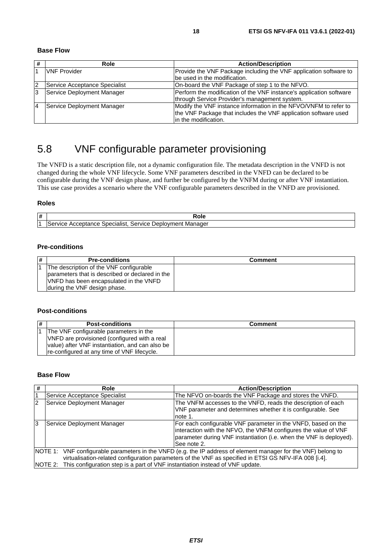<span id="page-17-0"></span>**Base Flow** 

| #  | Role                          | <b>Action/Description</b>                                           |
|----|-------------------------------|---------------------------------------------------------------------|
|    | <b>VNF Provider</b>           | Provide the VNF Package including the VNF application software to   |
|    |                               | be used in the modification.                                        |
| 2  | Service Acceptance Specialist | On-board the VNF Package of step 1 to the NFVO.                     |
| 13 | Service Deployment Manager    | Perform the modification of the VNF instance's application software |
|    |                               | through Service Provider's management system.                       |
| 14 | Service Deployment Manager    | Modify the VNF instance information in the NFVO/VNFM to refer to    |
|    |                               | the VNF Package that includes the VNF application software used     |
|    |                               | lin the modification.                                               |

# 5.8 VNF configurable parameter provisioning

The VNFD is a static description file, not a dynamic configuration file. The metadata description in the VNFD is not changed during the whole VNF lifecycle. Some VNF parameters described in the VNFD can be declared to be configurable during the VNF design phase, and further be configured by the VNFM during or after VNF instantiation. This use case provides a scenario where the VNF configurable parameters described in the VNFD are provisioned.

#### **Roles**

| ∣# | Role                                                                                                                                  |
|----|---------------------------------------------------------------------------------------------------------------------------------------|
|    | - -<br>Service<br>. Manager<br>men.<br>۱er<br>100 <sub>1</sub><br><b>SDECI</b><br>ecialist<br><b>"VICE</b><br>ЮK<br>Acceptance<br>וער |

#### **Pre-conditions**

| $\vert$ # | <b>Pre-conditions</b>                           | <b>Comment</b> |
|-----------|-------------------------------------------------|----------------|
|           | The description of the VNF configurable         |                |
|           | parameters that is described or declared in the |                |
|           | VNFD has been encapsulated in the VNFD          |                |
|           | during the VNF design phase.                    |                |

#### **Post-conditions**

| 1# | <b>Post-conditions</b>                          | Comment |
|----|-------------------------------------------------|---------|
|    | The VNF configurable parameters in the          |         |
|    | VNFD are provisioned (configured with a real    |         |
|    | value) after VNF instantiation, and can also be |         |
|    | re-configured at any time of VNF lifecycle.     |         |

#### **Base Flow**

| # | Role                                                                                                           | <b>Action/Description</b>                                           |  |
|---|----------------------------------------------------------------------------------------------------------------|---------------------------------------------------------------------|--|
| 1 | Service Acceptance Specialist                                                                                  | The NFVO on-boards the VNF Package and stores the VNFD.             |  |
| 2 | Service Deployment Manager                                                                                     | The VNFM accesses to the VNFD, reads the description of each        |  |
|   |                                                                                                                | VNF parameter and determines whether it is configurable. See        |  |
|   |                                                                                                                | note 1.                                                             |  |
| 3 | Service Deployment Manager                                                                                     | For each configurable VNF parameter in the VNFD, based on the       |  |
|   | interaction with the NFVO, the VNFM configures the value of VNF                                                |                                                                     |  |
|   |                                                                                                                | parameter during VNF instantiation (i.e. when the VNF is deployed). |  |
|   |                                                                                                                | See note 2.                                                         |  |
|   | NOTE 1: VNF configurable parameters in the VNFD (e.g. the IP address of element manager for the VNF) belong to |                                                                     |  |
|   | virtualisation-related configuration parameters of the VNF as specified in ETSI GS NFV-IFA 008 [i.4].          |                                                                     |  |
|   | NOTE 2: This configuration step is a part of VNF instantiation instead of VNF update.                          |                                                                     |  |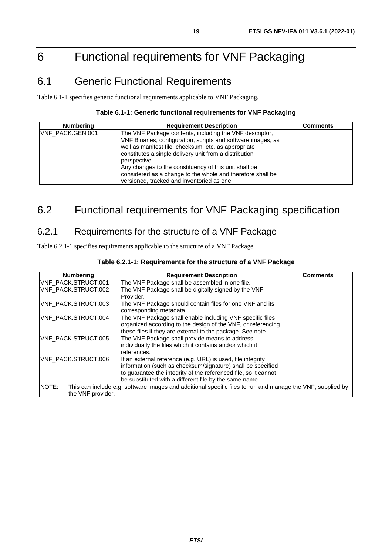# <span id="page-18-0"></span>6 Functional requirements for VNF Packaging

# 6.1 Generic Functional Requirements

Table 6.1-1 specifies generic functional requirements applicable to VNF Packaging.

#### **Table 6.1-1: Generic functional requirements for VNF Packaging**

| <b>Numbering</b> | <b>Requirement Description</b>                                                                                                                                                                                                                            | <b>Comments</b> |
|------------------|-----------------------------------------------------------------------------------------------------------------------------------------------------------------------------------------------------------------------------------------------------------|-----------------|
| VNF PACK.GEN.001 | The VNF Package contents, including the VNF descriptor,<br>VNF Binaries, configuration, scripts and software images, as<br>well as manifest file, checksum, etc. as appropriate<br>constitutes a single delivery unit from a distribution<br>perspective. |                 |
|                  | Any changes to the constituency of this unit shall be<br>considered as a change to the whole and therefore shall be<br>versioned, tracked and inventoried as one.                                                                                         |                 |

# 6.2 Functional requirements for VNF Packaging specification

### 6.2.1 Requirements for the structure of a VNF Package

Table 6.2.1-1 specifies requirements applicable to the structure of a VNF Package.

| <b>Numbering</b>                                                                                                                         | <b>Requirement Description</b>                                                                                                                                                                                                                          | Comments |
|------------------------------------------------------------------------------------------------------------------------------------------|---------------------------------------------------------------------------------------------------------------------------------------------------------------------------------------------------------------------------------------------------------|----------|
| VNF_PACK.STRUCT.001                                                                                                                      | The VNF Package shall be assembled in one file.                                                                                                                                                                                                         |          |
| VNF_PACK.STRUCT.002                                                                                                                      | The VNF Package shall be digitally signed by the VNF<br>Provider.                                                                                                                                                                                       |          |
| VNF_PACK.STRUCT.003                                                                                                                      | The VNF Package should contain files for one VNF and its<br>corresponding metadata.                                                                                                                                                                     |          |
| <b>VNF PACK.STRUCT.004</b>                                                                                                               | The VNF Package shall enable including VNF specific files<br>organized according to the design of the VNF, or referencing<br>these files if they are external to the package. See note.                                                                 |          |
| VNF PACK.STRUCT.005                                                                                                                      | The VNF Package shall provide means to address<br>individually the files which it contains and/or which it<br>references.                                                                                                                               |          |
| <b>VNF PACK.STRUCT.006</b>                                                                                                               | If an external reference (e.g. URL) is used, file integrity<br>information (such as checksum/signature) shall be specified<br>to guarantee the integrity of the referenced file, so it cannot<br>be substituted with a different file by the same name. |          |
| NOTE:<br>This can include e.g. software images and additional specific files to run and manage the VNF, supplied by<br>the VNF provider. |                                                                                                                                                                                                                                                         |          |

#### **Table 6.2.1-1: Requirements for the structure of a VNF Package**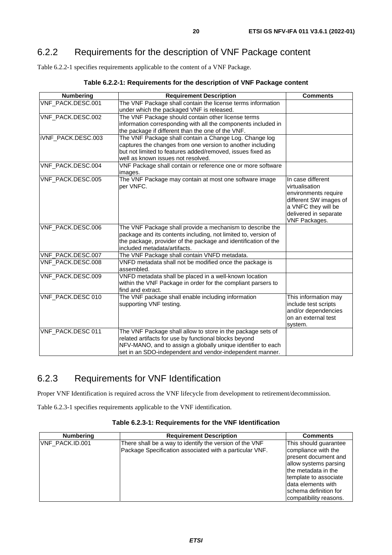# <span id="page-19-0"></span>6.2.2 Requirements for the description of VNF Package content

Table 6.2.2-1 specifies requirements applicable to the content of a VNF Package.

| <b>Numbering</b>   | <b>Requirement Description</b>                                                                                                                                                                                                                   | <b>Comments</b>                                                                                                                                        |
|--------------------|--------------------------------------------------------------------------------------------------------------------------------------------------------------------------------------------------------------------------------------------------|--------------------------------------------------------------------------------------------------------------------------------------------------------|
| VNF_PACK.DESC.001  | The VNF Package shall contain the license terms information<br>under which the packaged VNF is released.                                                                                                                                         |                                                                                                                                                        |
| VNF_PACK.DESC.002  | The VNF Package should contain other license terms<br>information corresponding with all the components included in<br>the package if different than the one of the VNF.                                                                         |                                                                                                                                                        |
| iVNF_PACK.DESC.003 | The VNF Package shall contain a Change Log. Change log<br>captures the changes from one version to another including<br>but not limited to features added/removed, issues fixed as<br>well as known issues not resolved.                         |                                                                                                                                                        |
| VNF_PACK.DESC.004  | VNF Package shall contain or reference one or more software<br>images.                                                                                                                                                                           |                                                                                                                                                        |
| VNF_PACK.DESC.005  | The VNF Package may contain at most one software image<br>per VNFC.                                                                                                                                                                              | In case different<br>virtualisation<br>environments require<br>different SW images of<br>a VNFC they will be<br>delivered in separate<br>VNF Packages. |
| VNF_PACK.DESC.006  | The VNF Package shall provide a mechanism to describe the<br>package and its contents including, not limited to, version of<br>the package, provider of the package and identification of the<br>included metadata/artifacts.                    |                                                                                                                                                        |
| VNF_PACK.DESC.007  | The VNF Package shall contain VNFD metadata.                                                                                                                                                                                                     |                                                                                                                                                        |
| VNF_PACK.DESC.008  | VNFD metadata shall not be modified once the package is<br>assembled.                                                                                                                                                                            |                                                                                                                                                        |
| VNF_PACK.DESC.009  | VNFD metadata shall be placed in a well-known location<br>within the VNF Package in order for the compliant parsers to<br>find and extract.                                                                                                      |                                                                                                                                                        |
| VNF_PACK.DESC 010  | The VNF package shall enable including information<br>supporting VNF testing.                                                                                                                                                                    | This information may<br>include test scripts<br>and/or dependencies<br>on an external test<br>system.                                                  |
| VNF_PACK.DESC 011  | The VNF Package shall allow to store in the package sets of<br>related artifacts for use by functional blocks beyond<br>NFV-MANO, and to assign a globally unique identifier to each<br>set in an SDO-independent and vendor-independent manner. |                                                                                                                                                        |

**Table 6.2.2-1: Requirements for the description of VNF Package content** 

# 6.2.3 Requirements for VNF Identification

Proper VNF Identification is required across the VNF lifecycle from development to retirement/decommission.

Table 6.2.3-1 specifies requirements applicable to the VNF identification.

| Table 6.2.3-1: Requirements for the VNF Identification |  |  |
|--------------------------------------------------------|--|--|
|--------------------------------------------------------|--|--|

| <b>Numbering</b> | <b>Requirement Description</b>                                                                                     | <b>Comments</b>                                                                                                                                                                                                           |
|------------------|--------------------------------------------------------------------------------------------------------------------|---------------------------------------------------------------------------------------------------------------------------------------------------------------------------------------------------------------------------|
| VNF PACK.ID.001  | There shall be a way to identify the version of the VNF<br>Package Specification associated with a particular VNF. | This should guarantee<br>compliance with the<br>Ipresent document and<br>allow systems parsing<br>the metadata in the<br>template to associate<br>Idata elements with<br>Ischema definition for<br>compatibility reasons. |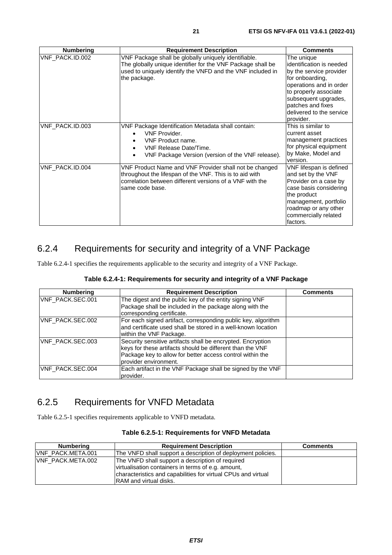<span id="page-20-0"></span>

| <b>Numbering</b> | <b>Requirement Description</b>                                                                                                                                                                    | <b>Comments</b>                                                                                                                                                                                                                |
|------------------|---------------------------------------------------------------------------------------------------------------------------------------------------------------------------------------------------|--------------------------------------------------------------------------------------------------------------------------------------------------------------------------------------------------------------------------------|
| VNF PACK.ID.002  | VNF Package shall be globally uniquely identifiable.<br>The globally unique identifier for the VNF Package shall be<br>used to uniquely identify the VNFD and the VNF included in<br>the package. | The unique<br>identification is needed<br>by the service provider<br>for onboarding,<br>operations and in order<br>to properly associate<br>subsequent upgrades,<br>patches and fixes<br>delivered to the service<br>provider. |
| VNF_PACK.ID.003  | VNF Package Identification Metadata shall contain:<br><b>VNF Provider</b><br>VNF Product name.<br><b>VNF Release Date/Time.</b><br>VNF Package Version (version of the VNF release).              | This is similar to<br>current asset<br>management practices<br>for physical equipment<br>by Make, Model and<br>version.                                                                                                        |
| VNF PACK.ID.004  | VNF Product Name and VNF Provider shall not be changed<br>throughout the lifespan of the VNF. This is to aid with<br>correlation between different versions of a VNF with the<br>same code base.  | VNF lifespan is defined<br>and set by the VNF<br>Provider on a case by<br>case basis considering<br>the product<br>management, portfolio<br>roadmap or any other<br>commercially related<br>factors.                           |

### 6.2.4 Requirements for security and integrity of a VNF Package

Table 6.2.4-1 specifies the requirements applicable to the security and integrity of a VNF Package.

| Table 6.2.4-1: Requirements for security and integrity of a VNF Package |
|-------------------------------------------------------------------------|
|-------------------------------------------------------------------------|

| <b>Numbering</b> | <b>Requirement Description</b>                                                                                                                                                                                 | <b>Comments</b> |
|------------------|----------------------------------------------------------------------------------------------------------------------------------------------------------------------------------------------------------------|-----------------|
| VNF_PACK.SEC.001 | The digest and the public key of the entity signing VNF<br>Package shall be included in the package along with the<br>corresponding certificate.                                                               |                 |
| VNF_PACK.SEC.002 | For each signed artifact, corresponding public key, algorithm<br>and certificate used shall be stored in a well-known location<br>within the VNF Package.                                                      |                 |
| VNF PACK.SEC.003 | Security sensitive artifacts shall be encrypted. Encryption<br>keys for these artifacts should be different than the VNF<br>Package key to allow for better access control within the<br>provider environment. |                 |
| VNF PACK.SEC.004 | Each artifact in the VNF Package shall be signed by the VNF<br>provider.                                                                                                                                       |                 |

# 6.2.5 Requirements for VNFD Metadata

Table 6.2.5-1 specifies requirements applicable to VNFD metadata.

| Numbering                 | <b>Requirement Description</b>                                | <b>Comments</b> |
|---------------------------|---------------------------------------------------------------|-----------------|
| <b>IVNF PACK.META.001</b> | The VNFD shall support a description of deployment policies.  |                 |
| VNF PACK.META.002         | The VNFD shall support a description of required              |                 |
|                           | virtualisation containers in terms of e.g. amount,            |                 |
|                           | characteristics and capabilities for virtual CPUs and virtual |                 |
|                           | <b>IRAM</b> and virtual disks.                                |                 |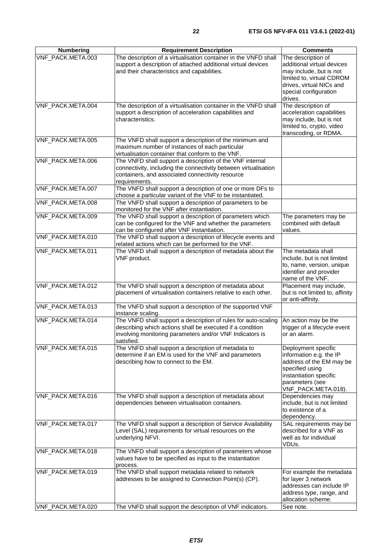| <b>Numbering</b>  | <b>Requirement Description</b>                                                                                                                                                                        | <b>Comments</b>                                                                                                                                                          |
|-------------------|-------------------------------------------------------------------------------------------------------------------------------------------------------------------------------------------------------|--------------------------------------------------------------------------------------------------------------------------------------------------------------------------|
| VNF_PACK.META.003 | The description of a virtualisation container in the VNFD shall<br>support a description of attached additional virtual devices<br>and their characteristics and capabilities.                        | The description of<br>additional virtual devices<br>may include, but is not<br>limited to, virtual CDROM<br>drives, virtual NICs and<br>special configuration<br>drives. |
| VNF_PACK.META.004 | The description of a virtualisation container in the VNFD shall<br>support a description of acceleration capabilities and<br>characteristics.                                                         | The description of<br>acceleration capabilities<br>may include, but is not<br>limited to, crypto, video<br>transcoding, or RDMA.                                         |
| VNF_PACK.META.005 | The VNFD shall support a description of the minimum and<br>maximum number of instances of each particular<br>virtualisation container that conform to the VNF.                                        |                                                                                                                                                                          |
| VNF_PACK.META.006 | The VNFD shall support a description of the VNF internal<br>connectivity, including the connectivity between virtualisation<br>containers, and associated connectivity resource<br>requirements.      |                                                                                                                                                                          |
| VNF_PACK.META.007 | The VNFD shall support a description of one or more DFs to<br>choose a particular variant of the VNF to be instantiated.                                                                              |                                                                                                                                                                          |
| VNF_PACK.META.008 | The VNFD shall support a description of parameters to be<br>monitored for the VNF after instantiation.                                                                                                |                                                                                                                                                                          |
| VNF_PACK.META.009 | The VNFD shall support a description of parameters which<br>can be configured for the VNF and whether the parameters<br>can be configured after VNF instantiation.                                    | The parameters may be<br>combined with default<br>values.                                                                                                                |
| VNF_PACK.META.010 | The VNFD shall support a description of lifecycle events and<br>related actions which can be performed for the VNF.                                                                                   |                                                                                                                                                                          |
| VNF_PACK.META.011 | The VNFD shall support a description of metadata about the<br>VNF product.                                                                                                                            | The metadata shall<br>include, but is not limited<br>to, name, version, unique<br>identifier and provider<br>name of the VNF.                                            |
| VNF_PACK.META.012 | The VNFD shall support a description of metadata about<br>placement of virtualisation containers relative to each other.                                                                              | Placement may include,<br>but is not limited to, affinity<br>or anti-affinity.                                                                                           |
| VNF_PACK.META.013 | The VNFD shall support a description of the supported VNF<br>instance scaling.                                                                                                                        |                                                                                                                                                                          |
| VNF_PACK.META.014 | The VNFD shall support a description of rules for auto-scaling<br>describing which actions shall be executed if a condition<br>involving monitoring parameters and/or VNF Indicators is<br>satisfied. | An action may be the<br>trigger of a lifecycle event<br>or an alarm.                                                                                                     |
| VNF_PACK.META.015 | The VNFD shall support a description of metadata to<br>determine if an EM is used for the VNF and parameters<br>describing how to connect to the EM.                                                  | Deployment specific<br>information e.g. the IP<br>address of the EM may be<br>specified using<br>instantiation specific<br>parameters (see<br>VNF_PACK.META.018).        |
| VNF_PACK.META.016 | The VNFD shall support a description of metadata about<br>dependencies between virtualisation containers.                                                                                             | Dependencies may<br>include, but is not limited<br>to existence of a<br>dependency.                                                                                      |
| VNF_PACK.META.017 | The VNFD shall support a description of Service Availability<br>Level (SAL) requirements for virtual resources on the<br>underlying NFVI.                                                             | SAL requirements may be<br>described for a VNF as<br>well as for individual<br>VDUs.                                                                                     |
| VNF_PACK.META.018 | The VNFD shall support a description of parameters whose<br>values have to be specified as input to the instantiation<br>process.                                                                     |                                                                                                                                                                          |
| VNF_PACK.META.019 | The VNFD shall support metadata related to network<br>addresses to be assigned to Connection Point(s) (CP).                                                                                           | For example the metadata<br>for layer 3 network<br>addresses can include IP<br>address type, range, and<br>allocation scheme.                                            |
| VNF_PACK.META.020 | The VNFD shall support the description of VNF indicators.                                                                                                                                             | See note.                                                                                                                                                                |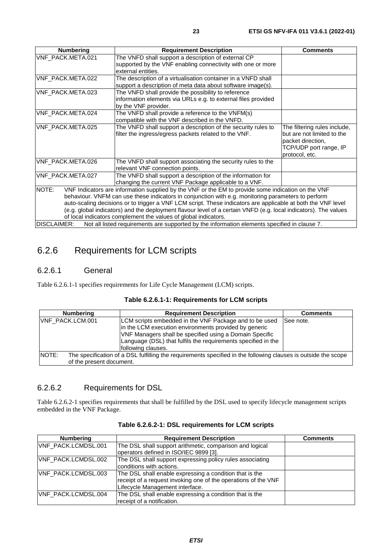<span id="page-22-0"></span>

| <b>Numbering</b>                                                                                                                                                                                                                                                                                                                                                                                                                                                                                                        | <b>Requirement Description</b>                                                                                                               | <b>Comments</b>                                                                                                             |  |  |  |  |
|-------------------------------------------------------------------------------------------------------------------------------------------------------------------------------------------------------------------------------------------------------------------------------------------------------------------------------------------------------------------------------------------------------------------------------------------------------------------------------------------------------------------------|----------------------------------------------------------------------------------------------------------------------------------------------|-----------------------------------------------------------------------------------------------------------------------------|--|--|--|--|
| VNF_PACK.META.021                                                                                                                                                                                                                                                                                                                                                                                                                                                                                                       | The VNFD shall support a description of external CP<br>supported by the VNF enabling connectivity with one or more<br>external entities.     |                                                                                                                             |  |  |  |  |
| VNF_PACK.META.022                                                                                                                                                                                                                                                                                                                                                                                                                                                                                                       | The description of a virtualisation container in a VNFD shall<br>support a description of meta data about software image(s).                 |                                                                                                                             |  |  |  |  |
| VNF PACK.META.023                                                                                                                                                                                                                                                                                                                                                                                                                                                                                                       | The VNFD shall provide the possibility to reference<br>information elements via URLs e.g. to external files provided<br>by the VNF provider. |                                                                                                                             |  |  |  |  |
| VNF_PACK.META.024                                                                                                                                                                                                                                                                                                                                                                                                                                                                                                       | The VNFD shall provide a reference to the VNFM(s)<br>compatible with the VNF described in the VNFD.                                          |                                                                                                                             |  |  |  |  |
| VNF_PACK.META.025                                                                                                                                                                                                                                                                                                                                                                                                                                                                                                       | The VNFD shall support a description of the security rules to<br>filter the ingress/egress packets related to the VNF.                       | The filtering rules include,<br>but are not limited to the<br>packet direction,<br>TCP/UDP port range, IP<br>protocol, etc. |  |  |  |  |
| VNF PACK.META.026                                                                                                                                                                                                                                                                                                                                                                                                                                                                                                       | The VNFD shall support associating the security rules to the<br>relevant VNF connection points.                                              |                                                                                                                             |  |  |  |  |
| VNF_PACK.META.027                                                                                                                                                                                                                                                                                                                                                                                                                                                                                                       | The VNFD shall support a description of the information for<br>changing the current VNF Package applicable to a VNF.                         |                                                                                                                             |  |  |  |  |
| NOTE:<br>VNF Indicators are information supplied by the VNF or the EM to provide some indication on the VNF<br>behaviour. VNFM can use these indicators in conjunction with e.g. monitoring parameters to perform<br>auto-scaling decisions or to trigger a VNF LCM script. These indicators are applicable at both the VNF level<br>(e.g. global indicators) and the deployment flavour level of a certain VNFD (e.g. local indicators). The values<br>of local indicators complement the values of global indicators. |                                                                                                                                              |                                                                                                                             |  |  |  |  |
| DISCLAIMER:<br>Not all listed requirements are supported by the information elements specified in clause 7.                                                                                                                                                                                                                                                                                                                                                                                                             |                                                                                                                                              |                                                                                                                             |  |  |  |  |

# 6.2.6 Requirements for LCM scripts

#### 6.2.6.1 General

Table 6.2.6.1-1 specifies requirements for Life Cycle Management (LCM) scripts.

| Table 6.2.6.1-1: Requirements for LCM scripts |  |  |  |  |
|-----------------------------------------------|--|--|--|--|
|-----------------------------------------------|--|--|--|--|

| <b>Numbering</b>         | <b>Requirement Description</b>                                                                                                                                                                                                                                    | <b>Comments</b> |  |  |  |  |
|--------------------------|-------------------------------------------------------------------------------------------------------------------------------------------------------------------------------------------------------------------------------------------------------------------|-----------------|--|--|--|--|
| VNF_PACK.LCM.001         | LCM scripts embedded in the VNF Package and to be used<br>in the LCM execution environments provided by generic<br>VNF Managers shall be specified using a Domain Specific<br>Language (DSL) that fulfils the requirements specified in the<br>following clauses. | See note.       |  |  |  |  |
| NOTE:                    | The specification of a DSL fulfilling the requirements specified in the following clauses is outside the scope                                                                                                                                                    |                 |  |  |  |  |
| of the present document. |                                                                                                                                                                                                                                                                   |                 |  |  |  |  |

#### 6.2.6.2 Requirements for DSL

Table 6.2.6.2-1 specifies requirements that shall be fulfilled by the DSL used to specify lifecycle management scripts embedded in the VNF Package.

| <b>Numbering</b>           | <b>Requirement Description</b>                                                                                                                               | <b>Comments</b> |
|----------------------------|--------------------------------------------------------------------------------------------------------------------------------------------------------------|-----------------|
| <b>VNF PACK.LCMDSL.001</b> | The DSL shall support arithmetic, comparison and logical<br>operators defined in ISO/IEC 9899 [3].                                                           |                 |
| VNF_PACK.LCMDSL.002        | The DSL shall support expressing policy rules associating<br>conditions with actions.                                                                        |                 |
| VNF_PACK.LCMDSL.003        | The DSL shall enable expressing a condition that is the<br>receipt of a request invoking one of the operations of the VNF<br>Lifecycle Management interface. |                 |
| <b>VNF PACK.LCMDSL.004</b> | The DSL shall enable expressing a condition that is the<br>receipt of a notification.                                                                        |                 |

#### **Table 6.2.6.2-1: DSL requirements for LCM scripts**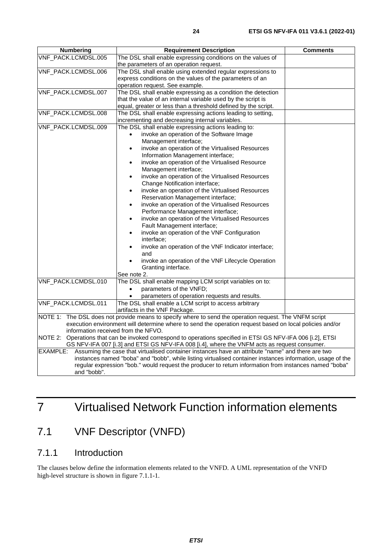<span id="page-23-0"></span>

| <b>Numbering</b>                                                                                       | <b>Requirement Description</b><br><b>Comments</b>                                                            |  |  |  |  |  |
|--------------------------------------------------------------------------------------------------------|--------------------------------------------------------------------------------------------------------------|--|--|--|--|--|
| VNF_PACK.LCMDSL.005                                                                                    | The DSL shall enable expressing conditions on the values of                                                  |  |  |  |  |  |
|                                                                                                        | the parameters of an operation request.                                                                      |  |  |  |  |  |
| VNF_PACK.LCMDSL.006                                                                                    | The DSL shall enable using extended regular expressions to                                                   |  |  |  |  |  |
|                                                                                                        | express conditions on the values of the parameters of an                                                     |  |  |  |  |  |
|                                                                                                        | operation request. See example.                                                                              |  |  |  |  |  |
| VNF_PACK.LCMDSL.007                                                                                    | The DSL shall enable expressing as a condition the detection                                                 |  |  |  |  |  |
|                                                                                                        | that the value of an internal variable used by the script is                                                 |  |  |  |  |  |
|                                                                                                        | equal, greater or less than a threshold defined by the script.                                               |  |  |  |  |  |
| VNF_PACK.LCMDSL.008                                                                                    | The DSL shall enable expressing actions leading to setting,                                                  |  |  |  |  |  |
|                                                                                                        | incrementing and decreasing internal variables.                                                              |  |  |  |  |  |
| VNF_PACK.LCMDSL.009                                                                                    | The DSL shall enable expressing actions leading to:                                                          |  |  |  |  |  |
|                                                                                                        | invoke an operation of the Software Image                                                                    |  |  |  |  |  |
|                                                                                                        | Management interface;                                                                                        |  |  |  |  |  |
|                                                                                                        | invoke an operation of the Virtualised Resources<br>$\bullet$                                                |  |  |  |  |  |
|                                                                                                        | Information Management interface;                                                                            |  |  |  |  |  |
|                                                                                                        | invoke an operation of the Virtualised Resource<br>$\bullet$                                                 |  |  |  |  |  |
|                                                                                                        | Management interface;                                                                                        |  |  |  |  |  |
|                                                                                                        | invoke an operation of the Virtualised Resources<br>$\bullet$                                                |  |  |  |  |  |
|                                                                                                        | Change Notification interface;                                                                               |  |  |  |  |  |
|                                                                                                        | invoke an operation of the Virtualised Resources<br>$\bullet$                                                |  |  |  |  |  |
|                                                                                                        | Reservation Management interface;                                                                            |  |  |  |  |  |
|                                                                                                        | invoke an operation of the Virtualised Resources<br>$\bullet$                                                |  |  |  |  |  |
|                                                                                                        | Performance Management interface;                                                                            |  |  |  |  |  |
|                                                                                                        | invoke an operation of the Virtualised Resources<br>$\bullet$                                                |  |  |  |  |  |
|                                                                                                        | Fault Management interface;                                                                                  |  |  |  |  |  |
|                                                                                                        | invoke an operation of the VNF Configuration                                                                 |  |  |  |  |  |
|                                                                                                        | interface:                                                                                                   |  |  |  |  |  |
|                                                                                                        | invoke an operation of the VNF Indicator interface;                                                          |  |  |  |  |  |
|                                                                                                        | and                                                                                                          |  |  |  |  |  |
|                                                                                                        | invoke an operation of the VNF Lifecycle Operation                                                           |  |  |  |  |  |
|                                                                                                        | Granting interface.                                                                                          |  |  |  |  |  |
|                                                                                                        | See note 2.                                                                                                  |  |  |  |  |  |
| VNF_PACK.LCMDSL.010                                                                                    | The DSL shall enable mapping LCM script variables on to:                                                     |  |  |  |  |  |
|                                                                                                        | parameters of the VNFD;<br>$\bullet$                                                                         |  |  |  |  |  |
|                                                                                                        | parameters of operation requests and results.                                                                |  |  |  |  |  |
| VNF_PACK.LCMDSL.011                                                                                    | The DSL shall enable a LCM script to access arbitrary                                                        |  |  |  |  |  |
|                                                                                                        | artifacts in the VNF Package.                                                                                |  |  |  |  |  |
|                                                                                                        | NOTE 1: The DSL does not provide means to specify where to send the operation request. The VNFM script       |  |  |  |  |  |
|                                                                                                        | execution environment will determine where to send the operation request based on local policies and/or      |  |  |  |  |  |
| information received from the NFVO.                                                                    |                                                                                                              |  |  |  |  |  |
|                                                                                                        | NOTE 2: Operations that can be invoked correspond to operations specified in ETSI GS NFV-IFA 006 [i.2], ETSI |  |  |  |  |  |
|                                                                                                        | GS NFV-IFA 007 [i.3] and ETSI GS NFV-IFA 008 [i.4], where the VNFM acts as request consumer.                 |  |  |  |  |  |
| EXAMPLE:                                                                                               | Assuming the case that virtualised container instances have an attribute "name" and there are two            |  |  |  |  |  |
|                                                                                                        | instances named "boba" and "bobb", while listing virtualised container instances information, usage of the   |  |  |  |  |  |
| regular expression "bob." would request the producer to return information from instances named "boba" |                                                                                                              |  |  |  |  |  |
| and "bobb".                                                                                            |                                                                                                              |  |  |  |  |  |
|                                                                                                        |                                                                                                              |  |  |  |  |  |

# 7 Virtualised Network Function information elements

# 7.1 VNF Descriptor (VNFD)

### 7.1.1 Introduction

The clauses below define the information elements related to the VNFD. A UML representation of the VNFD high-level structure is shown in figure 7.1.1-1.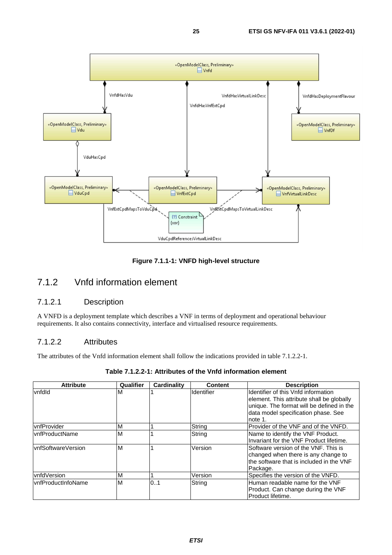<span id="page-24-0"></span>

**Figure 7.1.1-1: VNFD high-level structure** 

### 7.1.2 Vnfd information element

#### 7.1.2.1 Description

A VNFD is a deployment template which describes a VNF in terms of deployment and operational behaviour requirements. It also contains connectivity, interface and virtualised resource requirements.

#### 7.1.2.2 Attributes

The attributes of the Vnfd information element shall follow the indications provided in table 7.1.2.2-1.

| Table 7.1.2.2-1: Attributes of the Vnfd information element |
|-------------------------------------------------------------|
|-------------------------------------------------------------|

| <b>Attribute</b>    | Qualifier | Cardinality | Content           | <b>Description</b>                        |
|---------------------|-----------|-------------|-------------------|-------------------------------------------|
| vnfdld              | M         |             | <b>Identifier</b> | Ildentifier of this Vnfd information      |
|                     |           |             |                   | element. This attribute shall be globally |
|                     |           |             |                   | unique. The format will be defined in the |
|                     |           |             |                   | data model specification phase. See       |
|                     |           |             |                   | note 1.                                   |
| vnfProvider         | М         |             | String            | Provider of the VNF and of the VNFD.      |
| vnfProductName      | M         |             | String            | Name to identify the VNF Product.         |
|                     |           |             |                   | Invariant for the VNF Product lifetime.   |
| IvnfSoftwareVersion | M         |             | Version           | Software version of the VNF. This is      |
|                     |           |             |                   | changed when there is any change to       |
|                     |           |             |                   | the software that is included in the VNF  |
|                     |           |             |                   | Package.                                  |
| vnfdVersion         | M         |             | Version           | Specifies the version of the VNFD.        |
| IvnfProductInfoName | M         | 01          | String            | Human readable name for the VNF           |
|                     |           |             |                   | Product. Can change during the VNF        |
|                     |           |             |                   | Product lifetime.                         |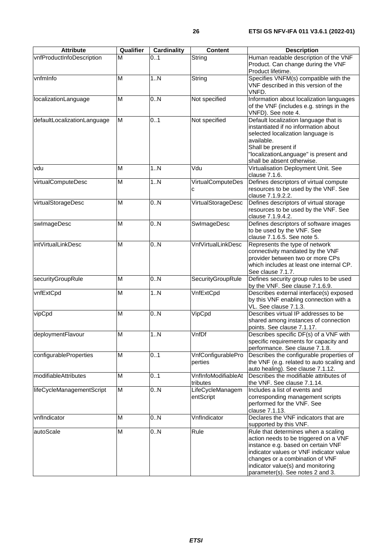| <b>Attribute</b>            | Qualifier | <b>Cardinality</b> | <b>Content</b>                  | <b>Description</b>                                                                                                                                                                                                                                                        |
|-----------------------------|-----------|--------------------|---------------------------------|---------------------------------------------------------------------------------------------------------------------------------------------------------------------------------------------------------------------------------------------------------------------------|
| vnfProductInfoDescription   | M         | 01                 | String                          | Human readable description of the VNF<br>Product. Can change during the VNF<br>Product lifetime.                                                                                                                                                                          |
| vnfmlnfo                    | M         | 1.N                | String                          | Specifies VNFM(s) compatible with the<br>VNF described in this version of the<br>VNFD.                                                                                                                                                                                    |
| localizationLanguage        | M         | 0.N                | Not specified                   | Information about localization languages<br>of the VNF (includes e.g. strings in the<br>VNFD). See note 4.                                                                                                                                                                |
| defaultLocalizationLanguage | M         | 0.1                | Not specified                   | Default localization language that is<br>instantiated if no information about<br>selected localization language is<br>available.<br>Shall be present if<br>"localizationLanguage" is present and<br>shall be absent otherwise.                                            |
| vdu                         | M         | 1N                 | Vdu                             | Virtualisation Deployment Unit. See<br>clause 7.1.6.                                                                                                                                                                                                                      |
| virtualComputeDesc          | M         | 1.N                | <b>VirtualComputeDes</b><br>C   | Defines descriptors of virtual compute<br>resources to be used by the VNF. See<br>clause 7.1.9.2.2.                                                                                                                                                                       |
| virtualStorageDesc          | M         | 0.N                | VirtualStorageDesc              | Defines descriptors of virtual storage<br>resources to be used by the VNF. See<br>clause 7.1.9.4.2.                                                                                                                                                                       |
| swlmageDesc                 | M         | 0.N                | SwlmageDesc                     | Defines descriptors of software images<br>to be used by the VNF. See<br>clause 7.1.6.5. See note 5.                                                                                                                                                                       |
| intVirtualLinkDesc          | M         | 0.N                | <b>VnfVirtualLinkDesc</b>       | Represents the type of network<br>connectivity mandated by the VNF<br>provider between two or more CPs<br>which includes at least one internal CP.<br>See clause 7.1.7.                                                                                                   |
| securityGroupRule           | M         | 0.N                | SecurityGroupRule               | Defines security group rules to be used<br>by the VNF. See clause 7.1.6.9.                                                                                                                                                                                                |
| vnfExtCpd                   | M         | 1N                 | VnfExtCpd                       | Describes external interface(s) exposed<br>by this VNF enabling connection with a<br>VL. See clause 7.1.3.                                                                                                                                                                |
| vipCpd                      | M         | 0.N                | VipCpd                          | Describes virtual IP addresses to be<br>shared among instances of connection<br>points. See clause 7.1.17.                                                                                                                                                                |
| deploymentFlavour           | М         | 1N                 | VnfDf                           | Describes specific DF(s) of a VNF with<br>specific requirements for capacity and<br>performance. See clause 7.1.8.                                                                                                                                                        |
| configurableProperties      | M         | 0.1                | VnfConfigurablePro<br>perties   | Describes the configurable properties of<br>the VNF (e.g. related to auto scaling and<br>auto healing). See clause 7.1.12.                                                                                                                                                |
| modifiableAttributes        | M         | 0.1                | VnfInfoModifiableAt<br>tributes | Describes the modifiable attributes of<br>the VNF. See clause 7.1.14.                                                                                                                                                                                                     |
| lifeCycleManagementScript   | M         | 0.N                | LifeCycleManagem<br>entScript   | Includes a list of events and<br>corresponding management scripts<br>performed for the VNF. See<br>clause 7.1.13.                                                                                                                                                         |
| vnfIndicator                | M         | 0.N                | VnfIndicator                    | Declares the VNF indicators that are<br>supported by this VNF.                                                                                                                                                                                                            |
| autoScale                   | M         | 0N                 | Rule                            | Rule that determines when a scaling<br>action needs to be triggered on a VNF<br>instance e.g. based on certain VNF<br>indicator values or VNF indicator value<br>changes or a combination of VNF<br>indicator value(s) and monitoring<br>parameter(s). See notes 2 and 3. |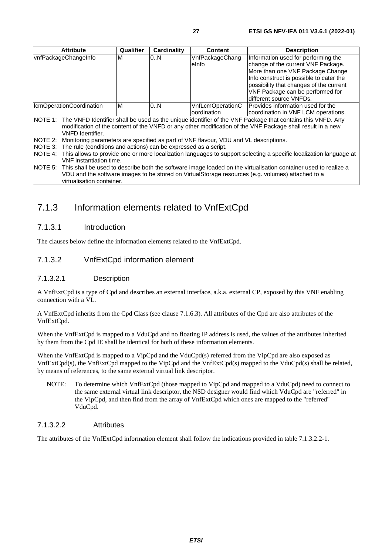<span id="page-26-0"></span>

|                                                                                                                                                                                                                                                             | <b>Attribute</b>                                                                                                                                                                                                                                          | Qualifier | Cardinality | <b>Content</b>                                                                       | <b>Description</b>                                                                                                                                                                                                                                                 |
|-------------------------------------------------------------------------------------------------------------------------------------------------------------------------------------------------------------------------------------------------------------|-----------------------------------------------------------------------------------------------------------------------------------------------------------------------------------------------------------------------------------------------------------|-----------|-------------|--------------------------------------------------------------------------------------|--------------------------------------------------------------------------------------------------------------------------------------------------------------------------------------------------------------------------------------------------------------------|
|                                                                                                                                                                                                                                                             | vnfPackageChangeInfo                                                                                                                                                                                                                                      | М         | 0N          | VnfPackageChang<br>elnfo                                                             | Information used for performing the<br>change of the current VNF Package.<br>More than one VNF Package Change<br>Info construct is possible to cater the<br>possibility that changes of the current<br>VNF Package can be performed for<br>different source VNFDs. |
|                                                                                                                                                                                                                                                             | IcmOperationCoordination                                                                                                                                                                                                                                  | м         | 0N          | VnfLcmOperationC<br>oordination                                                      | Provides information used for the<br>coordination in VNF LCM operations.                                                                                                                                                                                           |
| NOTE 1: The VNFD Identifier shall be used as the unique identifier of the VNF Package that contains this VNFD. Any<br>modification of the content of the VNFD or any other modification of the VNF Package shall result in a new<br><b>VNFD</b> Identifier. |                                                                                                                                                                                                                                                           |           |             |                                                                                      |                                                                                                                                                                                                                                                                    |
| NOTE 2:                                                                                                                                                                                                                                                     |                                                                                                                                                                                                                                                           |           |             | Monitoring parameters are specified as part of VNF flavour, VDU and VL descriptions. |                                                                                                                                                                                                                                                                    |
|                                                                                                                                                                                                                                                             | NOTE 3: The rule (conditions and actions) can be expressed as a script.                                                                                                                                                                                   |           |             |                                                                                      |                                                                                                                                                                                                                                                                    |
| NOTE 4:                                                                                                                                                                                                                                                     | This allows to provide one or more localization languages to support selecting a specific localization language at<br>VNF instantiation time.                                                                                                             |           |             |                                                                                      |                                                                                                                                                                                                                                                                    |
|                                                                                                                                                                                                                                                             | NOTE 5: This shall be used to describe both the software image loaded on the virtualisation container used to realize a<br>VDU and the software images to be stored on VirtualStorage resources (e.g. volumes) attached to a<br>virtualisation container. |           |             |                                                                                      |                                                                                                                                                                                                                                                                    |

### 7.1.3 Information elements related to VnfExtCpd

#### 7.1.3.1 Introduction

The clauses below define the information elements related to the VnfExtCpd.

#### 7.1.3.2 VnfExtCpd information element

#### 7.1.3.2.1 Description

A VnfExtCpd is a type of Cpd and describes an external interface, a.k.a. external CP, exposed by this VNF enabling connection with a VL.

A VnfExtCpd inherits from the Cpd Class (see clause 7.1.6.3). All attributes of the Cpd are also attributes of the VnfExtCpd.

When the VnfExtCpd is mapped to a VduCpd and no floating IP address is used, the values of the attributes inherited by them from the Cpd IE shall be identical for both of these information elements.

When the VnfExtCpd is mapped to a VipCpd and the VduCpd(s) referred from the VipCpd are also exposed as VnfExtCpd(s), the VnfExtCpd mapped to the VipCpd and the VnfExtCpd(s) mapped to the VduCpd(s) shall be related, by means of references, to the same external virtual link descriptor.

NOTE: To determine which VnfExtCpd (those mapped to VipCpd and mapped to a VduCpd) need to connect to the same external virtual link descriptor, the NSD designer would find which VduCpd are "referred" in the VipCpd, and then find from the array of VnfExtCpd which ones are mapped to the "referred" VduCpd.

#### 7.1.3.2.2 Attributes

The attributes of the VnfExtCpd information element shall follow the indications provided in table 7.1.3.2.2-1.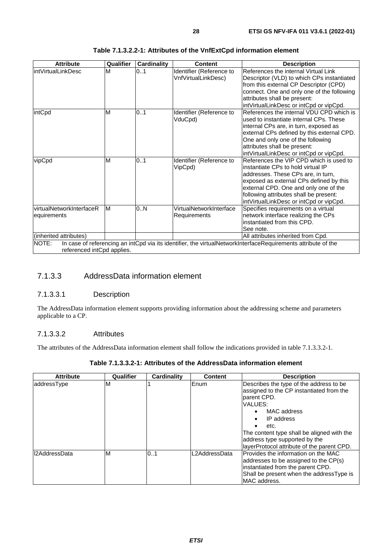<span id="page-27-0"></span>

| <b>Attribute</b>                        | Qualifier | <b>Cardinality</b> | <b>Content</b>                                  | <b>Description</b>                                                                                                                                                                                                                                                                            |
|-----------------------------------------|-----------|--------------------|-------------------------------------------------|-----------------------------------------------------------------------------------------------------------------------------------------------------------------------------------------------------------------------------------------------------------------------------------------------|
| intVirtualLinkDesc                      | M         | 0.1                | Identifier (Reference to<br>VnfVirtualLinkDesc) | References the internal Virtual Link<br>Descriptor (VLD) to which CPs instantiated<br>from this external CP Descriptor (CPD)<br>connect. One and only one of the following<br>attributes shall be present:<br>intVirtualLinkDesc or intCpd or vipCpd.                                         |
| intCpd                                  | M         | 01                 | Identifier (Reference to<br>VduCpd)             | References the internal VDU CPD which is<br>used to instantiate internal CPs. These<br>internal CPs are, in turn, exposed as<br>external CPs defined by this external CPD.<br>One and only one of the following<br>attributes shall be present:<br>intVirtualLinkDesc or intCpd or vipCpd.    |
| vipCpd                                  | M         | 0.1                | Identifier (Reference to<br>VipCpd)             | References the VIP CPD which is used to<br>linstantiate CPs to hold virtual IP<br>addresses. These CPs are, in turn,<br>exposed as external CPs defined by this<br>external CPD. One and only one of the<br>following attributes shall be present:<br>intVirtualLinkDesc or intCpd or vipCpd. |
| virtualNetworkInterfaceR<br>equirements | M         | 0N                 | VirtualNetworkInterface<br>Requirements         | Specifies requirements on a virtual<br>network interface realizing the CPs<br>instantiated from this CPD.<br>See note.                                                                                                                                                                        |
| (inherited attributes)                  |           |                    |                                                 | All attributes inherited from Cpd.                                                                                                                                                                                                                                                            |
| NOTE:<br>referenced intCpd applies.     |           |                    |                                                 | In case of referencing an intCpd via its identifier, the virtualNetworkInterfaceRequirements attribute of the                                                                                                                                                                                 |

#### **Table 7.1.3.2.2-1: Attributes of the VnfExtCpd information element**

#### 7.1.3.3 AddressData information element

#### 7.1.3.3.1 Description

The AddressData information element supports providing information about the addressing scheme and parameters applicable to a CP.

#### 7.1.3.3.2 Attributes

The attributes of the AddressData information element shall follow the indications provided in table 7.1.3.3.2-1.

| <b>Attribute</b> | Qualifier | Cardinality | <b>Content</b> | <b>Description</b>                                                                                                                                                                                                                                                              |
|------------------|-----------|-------------|----------------|---------------------------------------------------------------------------------------------------------------------------------------------------------------------------------------------------------------------------------------------------------------------------------|
| laddressType     | ΙM        |             | Enum           | Describes the type of the address to be<br>assigned to the CP instantiated from the<br>parent CPD.<br>VALUES:<br>MAC address<br>IP address<br>etc.<br>The content type shall be aligned with the<br>address type supported by the<br>layerProtocol attribute of the parent CPD. |
| I2AddressData    | ΙM        | 0.1         | L2AddressData  | Provides the information on the MAC<br>addresses to be assigned to the CP(s)<br>instantiated from the parent CPD.<br>Shall be present when the addressType is<br>IMAC address.                                                                                                  |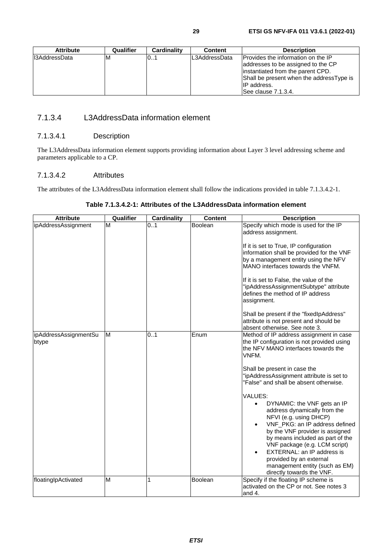#### <span id="page-28-0"></span>7.1.3.4 L3AddressData information element

#### 7.1.3.4.1 Description

The L3AddressData information element supports providing information about Layer 3 level addressing scheme and parameters applicable to a CP.

#### 7.1.3.4.2 Attributes

The attributes of the L3AddressData information element shall follow the indications provided in table 7.1.3.4.2-1.

|        |              |             |                    | Table 7.1.3.4.2-1: Attributes of the L3AddressData information element |
|--------|--------------|-------------|--------------------|------------------------------------------------------------------------|
| $A++i$ | $0$ ualifiar | Cordinality | $C_{\alpha}$ ntont | <b>Docorintion</b>                                                     |

| Attribute                      | Qualifier | Cardinality | Content | Description                                                                                                                                                                                                                                                                                                                                                                     |
|--------------------------------|-----------|-------------|---------|---------------------------------------------------------------------------------------------------------------------------------------------------------------------------------------------------------------------------------------------------------------------------------------------------------------------------------------------------------------------------------|
| ipAddressAssignment            | M         | 0.1         | Boolean | Specify which mode is used for the IP<br>address assignment.<br>If it is set to True, IP configuration<br>information shall be provided for the VNF<br>by a management entity using the NFV<br>MANO interfaces towards the VNFM.<br>If it is set to False, the value of the<br>"ipAddressAssignmentSubtype" attribute<br>defines the method of IP address                       |
|                                |           |             |         | assignment.<br>Shall be present if the "fixedIpAddress"<br>attribute is not present and should be<br>absent otherwise. See note 3.                                                                                                                                                                                                                                              |
| ipAddressAssignmentSu<br>btype | M         | 0.1         | Enum    | Method of IP address assignment in case<br>the IP configuration is not provided using<br>the NFV MANO interfaces towards the<br>VNFM.<br>Shall be present in case the<br>"ipAddressAssignment attribute is set to<br>"False" and shall be absent otherwise.                                                                                                                     |
|                                |           |             |         | VALUES:<br>DYNAMIC: the VNF gets an IP<br>$\bullet$<br>address dynamically from the<br>NFVI (e.g. using DHCP)<br>VNF PKG: an IP address defined<br>by the VNF provider is assigned<br>by means included as part of the<br>VNF package (e.g. LCM script)<br>EXTERNAL: an IP address is<br>provided by an external<br>management entity (such as EM)<br>directly towards the VNF. |
| floatinglpActivated            | M         | 1           | Boolean | Specify if the floating IP scheme is<br>activated on the CP or not. See notes 3<br>and 4.                                                                                                                                                                                                                                                                                       |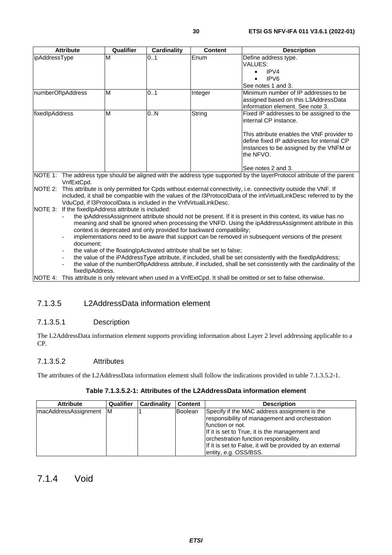<span id="page-29-0"></span>

|                                                                                                    | <b>Attribute</b>                                                    | Qualifier                                            | <b>Cardinality</b>                                               | Content | <b>Description</b>                                                                                                      |
|----------------------------------------------------------------------------------------------------|---------------------------------------------------------------------|------------------------------------------------------|------------------------------------------------------------------|---------|-------------------------------------------------------------------------------------------------------------------------|
| ipAddressType                                                                                      |                                                                     | M                                                    | 0.1                                                              | Enum    | Define address type.                                                                                                    |
|                                                                                                    |                                                                     |                                                      |                                                                  |         | VALUES:                                                                                                                 |
|                                                                                                    |                                                                     |                                                      |                                                                  |         | IPVA                                                                                                                    |
|                                                                                                    |                                                                     |                                                      |                                                                  |         | IPV <sub>6</sub>                                                                                                        |
|                                                                                                    |                                                                     |                                                      |                                                                  |         | See notes 1 and 3.                                                                                                      |
| numberOfIpAddress                                                                                  |                                                                     | M                                                    | 0.1                                                              | Integer | Minimum number of IP addresses to be                                                                                    |
|                                                                                                    |                                                                     |                                                      |                                                                  |         | assigned based on this L3AddressData                                                                                    |
|                                                                                                    |                                                                     |                                                      |                                                                  |         | information element. See note 3.                                                                                        |
| fixedIpAddress                                                                                     |                                                                     | M                                                    | 0.N                                                              | String  | Fixed IP addresses to be assigned to the                                                                                |
|                                                                                                    |                                                                     |                                                      |                                                                  |         | internal CP instance.                                                                                                   |
|                                                                                                    |                                                                     |                                                      |                                                                  |         |                                                                                                                         |
|                                                                                                    |                                                                     |                                                      |                                                                  |         | This attribute enables the VNF provider to                                                                              |
|                                                                                                    |                                                                     |                                                      |                                                                  |         | define fixed IP addresses for internal CP                                                                               |
|                                                                                                    |                                                                     |                                                      |                                                                  |         | instances to be assigned by the VNFM or                                                                                 |
|                                                                                                    |                                                                     |                                                      |                                                                  |         | the NFVO.                                                                                                               |
|                                                                                                    |                                                                     |                                                      |                                                                  |         | See notes 2 and 3.                                                                                                      |
|                                                                                                    |                                                                     |                                                      |                                                                  |         | NOTE 1: The address type should be aligned with the address type supported by the layerProtocol attribute of the parent |
|                                                                                                    | VnfExtCpd.                                                          |                                                      |                                                                  |         |                                                                                                                         |
| <b>INOTE 2:</b>                                                                                    |                                                                     |                                                      |                                                                  |         | This attribute is only permitted for Cpds without external connectivity, i.e. connectivity outside the VNF. If          |
|                                                                                                    |                                                                     |                                                      |                                                                  |         | included, it shall be compatible with the values of the I3ProtocolData of the intVirtualLinkDesc referred to by the     |
|                                                                                                    |                                                                     |                                                      | VduCpd, if I3ProtocolData is included in the VnfVirtualLinkDesc. |         |                                                                                                                         |
|                                                                                                    |                                                                     | NOTE 3: If the fixedlpAddress attribute is included: |                                                                  |         |                                                                                                                         |
|                                                                                                    |                                                                     |                                                      |                                                                  |         | the ipAddressAssignment attribute should not be present. If it is present in this context, its value has no             |
|                                                                                                    |                                                                     |                                                      |                                                                  |         | meaning and shall be ignored when processing the VNFD. Using the ipAddressAssignment attribute in this                  |
|                                                                                                    | context is deprecated and only provided for backward compatibility; |                                                      |                                                                  |         |                                                                                                                         |
|                                                                                                    |                                                                     |                                                      |                                                                  |         | implementations need to be aware that support can be removed in subsequent versions of the present                      |
| document:                                                                                          |                                                                     |                                                      |                                                                  |         |                                                                                                                         |
| the value of the floating p Activated attribute shall be set to false;<br>$\overline{\phantom{a}}$ |                                                                     |                                                      |                                                                  |         |                                                                                                                         |
| $\overline{\phantom{a}}$                                                                           |                                                                     |                                                      |                                                                  |         | the value of the iPAddressType attribute, if included, shall be set consistently with the fixedlpAddress;               |
| $\overline{\phantom{0}}$                                                                           |                                                                     |                                                      |                                                                  |         | the value of the numberOflpAddress attribute, if included, shall be set consistently with the cardinality of the        |
| fixedIpAddress.                                                                                    |                                                                     |                                                      |                                                                  |         |                                                                                                                         |

NOTE 4: This attribute is only relevant when used in a VnfExtCpd. It shall be omitted or set to false otherwise.

#### 7.1.3.5 L2AddressData information element

#### 7.1.3.5.1 Description

The L2AddressData information element supports providing information about Layer 2 level addressing applicable to a CP.

#### 7.1.3.5.2 Attributes

The attributes of the L2AddressData information element shall follow the indications provided in table 7.1.3.5.2-1.

#### **Table 7.1.3.5.2-1: Attributes of the L2AddressData information element**

| <b>Attribute</b>       | Qualifier | <b>Cardinality</b> | <b>Content</b> | <b>Description</b>                                                                                                                                                                                                                                                                                   |
|------------------------|-----------|--------------------|----------------|------------------------------------------------------------------------------------------------------------------------------------------------------------------------------------------------------------------------------------------------------------------------------------------------------|
| macAddressAssignment M |           |                    | Boolean        | Specify if the MAC address assignment is the<br>responsibility of management and orchestration<br>function or not.<br>If it is set to True, it is the management and<br>orchestration function responsibility.<br>If it is set to False, it will be provided by an external<br>entity, e.g. OSS/BSS. |

#### 7.1.4 Void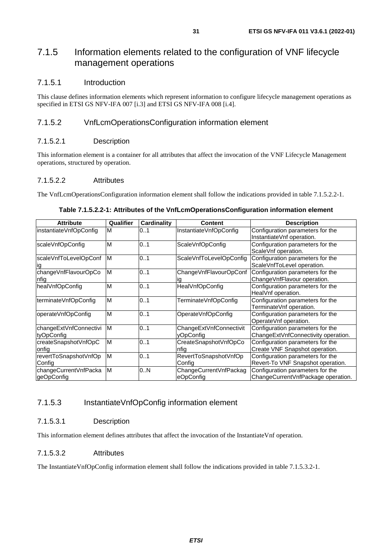### <span id="page-30-0"></span>7.1.5 Information elements related to the configuration of VNF lifecycle management operations

#### 7.1.5.1 Introduction

This clause defines information elements which represent information to configure lifecycle management operations as specified in ETSI GS NFV-IFA 007 [\[i.3](#page-8-0)] and ETSI GS NFV-IFA 008 [[i.4](#page-8-0)].

#### 7.1.5.2 VnfLcmOperationsConfiguration information element

#### 7.1.5.2.1 Description

This information element is a container for all attributes that affect the invocation of the VNF Lifecycle Management operations, structured by operation.

#### 7.1.5.2.2 Attributes

The VnfLcmOperationsConfiguration information element shall follow the indications provided in table 7.1.5.2.2-1.

| <b>Attribute</b>       | Qualifier | Cardinality | <b>Content</b>          | <b>Description</b>                  |
|------------------------|-----------|-------------|-------------------------|-------------------------------------|
| instantiateVnfOpConfig | M         | 0.1         | InstantiateVnfOpConfig  | Configuration parameters for the    |
|                        |           |             |                         | InstantiateVnf operation.           |
| scaleVnfOpConfig       | M         | 0.1         | ScaleVnfOpConfig        | Configuration parameters for the    |
|                        |           |             |                         | ScaleVnf operation.                 |
| scaleVnfToLevelOpConf  | ΙM        | 01          | ScaleVnfToLevelOpConfig | Configuration parameters for the    |
|                        |           |             |                         | ScaleVnfToLevel operation.          |
| changeVnfFlavourOpCo   | M         | 0.1         | ChangeVnfFlavourOpConf  | Configuration parameters for the    |
| nfig                   |           |             | ıg                      | ChangeVnfFlavour operation.         |
| healVnfOpConfig        | M         | 0.1         | HealVnfOpConfig         | Configuration parameters for the    |
|                        |           |             |                         | HealVnf operation.                  |
| terminateVnfOpConfig   | M         | 0.1         | TerminateVnfOpConfig    | Configuration parameters for the    |
|                        |           |             |                         | TerminateVnf operation.             |
| operateVnfOpConfig     | M         | 01          | OperateVnfOpConfig      | Configuration parameters for the    |
|                        |           |             |                         | OperateVnf operation.               |
| changeExtVnfConnectivi | M         | 0.1         | ChangeExtVnfConnectivit | Configuration parameters for the    |
| <b>tyOpConfig</b>      |           |             | <b>vOpConfig</b>        | ChangeExtVnfConnectivity operation. |
| createSnapshotVnfOpC   | M         | 0.1         | CreateSnapshotVnfOpCo   | Configuration parameters for the    |
| onfig                  |           |             | nfia                    | Create VNF Snapshot operation.      |
| revertToSnapshotVnfOp  | M         | 0.1         | RevertToSnapshotVnfOp   | Configuration parameters for the    |
| Config                 |           |             | Config                  | Revert-To VNF Snapshot operation.   |
| changeCurrentVnfPacka  | ΙM        | 0N          | ChangeCurrentVnfPackag  | Configuration parameters for the    |
| lgeOpConfig            |           |             | eOpConfig               | ChangeCurrentVnfPackage operation.  |

#### **Table 7.1.5.2.2-1: Attributes of the VnfLcmOperationsConfiguration information element**

#### 7.1.5.3 InstantiateVnfOpConfig information element

#### 7.1.5.3.1 Description

This information element defines attributes that affect the invocation of the InstantiateVnf operation.

#### 7.1.5.3.2 Attributes

The InstantiateVnfOpConfig information element shall follow the indications provided in table 7.1.5.3.2-1.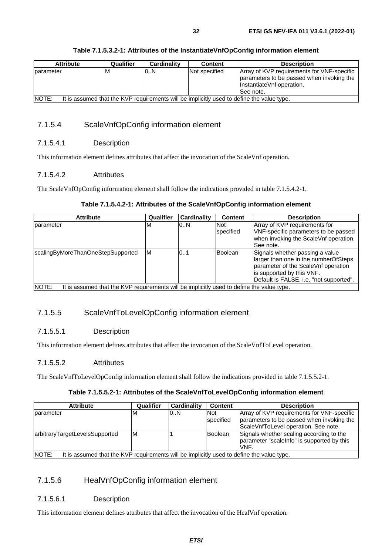#### <span id="page-31-0"></span>**Table 7.1.5.3.2-1: Attributes of the InstantiateVnfOpConfig information element**

#### 7.1.5.4 ScaleVnfOpConfig information element

#### 7.1.5.4.1 Description

This information element defines attributes that affect the invocation of the ScaleVnf operation.

#### 7.1.5.4.2 Attributes

The ScaleVnfOpConfig information element shall follow the indications provided in table 7.1.5.4.2-1.

#### **Table 7.1.5.4.2-1: Attributes of the ScaleVnfOpConfig information element**

| <b>Attribute</b>                                                                                   | Qualifier | <b>Cardinality</b> | <b>Content</b> | <b>Description</b>                      |  |
|----------------------------------------------------------------------------------------------------|-----------|--------------------|----------------|-----------------------------------------|--|
| parameter                                                                                          | M         | 0.N                | <b>Not</b>     | Array of KVP requirements for           |  |
|                                                                                                    |           |                    | specified      | VNF-specific parameters to be passed    |  |
|                                                                                                    |           |                    |                | when invoking the ScaleVnf operation.   |  |
|                                                                                                    |           |                    |                | See note.                               |  |
| scalingByMoreThanOneStepSupported                                                                  | ΙM        | 101                | <b>Boolean</b> | Signals whether passing a value         |  |
|                                                                                                    |           |                    |                | larger than one in the numberOfSteps    |  |
|                                                                                                    |           |                    |                | parameter of the ScaleVnf operation     |  |
|                                                                                                    |           |                    |                | is supported by this VNF.               |  |
|                                                                                                    |           |                    |                | Default is FALSE, i.e. "not supported". |  |
| NOTE:<br>It is assumed that the KVP requirements will be implicitly used to define the value type. |           |                    |                |                                         |  |

#### 7.1.5.5 ScaleVnfToLevelOpConfig information element

#### 7.1.5.5.1 Description

This information element defines attributes that affect the invocation of the ScaleVnfToLevel operation.

#### 7.1.5.5.2 Attributes

The ScaleVnfToLevelOpConfig information element shall follow the indications provided in table 7.1.5.5.2-1.

#### **Table 7.1.5.5.2-1: Attributes of the ScaleVnfToLevelOpConfig information element**

| <b>Attribute</b>                                                                                           | Qualifier | Cardinality | <b>Content</b>          | <b>Description</b>                                                                                                              |  |
|------------------------------------------------------------------------------------------------------------|-----------|-------------|-------------------------|---------------------------------------------------------------------------------------------------------------------------------|--|
| <b>I</b> parameter                                                                                         | ΙM        | 0.N         | <b>Not</b><br>specified | Array of KVP requirements for VNF-specific<br>parameters to be passed when invoking the<br>ScaleVnfToLevel operation. See note. |  |
| arbitraryTargetLevelsSupported                                                                             | M         |             | Boolean                 | Signals whether scaling according to the<br>parameter "scale nfo" is supported by this<br>VNF.                                  |  |
| <b>INOTE:</b><br>It is assumed that the KVP requirements will be implicitly used to define the value type. |           |             |                         |                                                                                                                                 |  |

#### 7.1.5.6 HealVnfOpConfig information element

#### 7.1.5.6.1 Description

This information element defines attributes that affect the invocation of the HealVnf operation.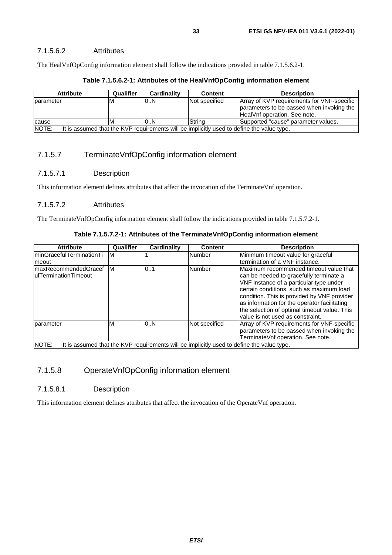<span id="page-32-0"></span>The HealVnfOpConfig information element shall follow the indications provided in table 7.1.5.6.2-1.

| <b>Attribute</b>                                                                                   | Qualifier | <b>Cardinality</b> | <b>Content</b> | <b>Description</b>                                                                                                      |  |
|----------------------------------------------------------------------------------------------------|-----------|--------------------|----------------|-------------------------------------------------------------------------------------------------------------------------|--|
| parameter                                                                                          | ıΜ        | 0.N                | Not specified  | Array of KVP requirements for VNF-specific<br>parameters to be passed when invoking the<br>HealVnf operation. See note. |  |
| cause                                                                                              | ıΜ        | 0.N                | <b>S</b> trina | Supported "cause" parameter values.                                                                                     |  |
| NOTE:<br>It is assumed that the KVP requirements will be implicitly used to define the value type. |           |                    |                |                                                                                                                         |  |

#### **Table 7.1.5.6.2-1: Attributes of the HealVnfOpConfig information element**

7.1.5.7 TerminateVnfOpConfig information element

#### 7.1.5.7.1 Description

This information element defines attributes that affect the invocation of the TerminateVnf operation.

#### 7.1.5.7.2 Attributes

The TerminateVnfOpConfig information element shall follow the indications provided in table 7.1.5.7.2-1.

#### **Table 7.1.5.7.2-1: Attributes of the TerminateVnfOpConfig information element**

| <b>Attribute</b>                                             | Qualifier                                                                                 | <b>Cardinality</b> | <b>Content</b> | <b>Description</b>                                                                                                                                                                                                                                                                                                                                          |  |  |  |
|--------------------------------------------------------------|-------------------------------------------------------------------------------------------|--------------------|----------------|-------------------------------------------------------------------------------------------------------------------------------------------------------------------------------------------------------------------------------------------------------------------------------------------------------------------------------------------------------------|--|--|--|
| IminGracefulTerminationTi                                    | ΙM                                                                                        |                    | Number         | Minimum timeout value for graceful                                                                                                                                                                                                                                                                                                                          |  |  |  |
| Imeout                                                       |                                                                                           |                    |                | termination of a VNF instance.                                                                                                                                                                                                                                                                                                                              |  |  |  |
| <b>ImaxRecommendedGracef</b><br><b>IulTerminationTimeout</b> | IМ                                                                                        | 0.1                | <b>Number</b>  | Maximum recommended timeout value that<br>can be needed to gracefully terminate a<br>VNF instance of a particular type under<br>certain conditions, such as maximum load<br>condition. This is provided by VNF provider<br>as information for the operator facilitating<br>the selection of optimal timeout value. This<br>value is not used as constraint. |  |  |  |
| parameter                                                    | м                                                                                         | 0.N                | Not specified  | Array of KVP requirements for VNF-specific<br>parameters to be passed when invoking the<br>TerminateVnf operation. See note.                                                                                                                                                                                                                                |  |  |  |
| NOTE:                                                        | It is assumed that the KVP requirements will be implicitly used to define the value type. |                    |                |                                                                                                                                                                                                                                                                                                                                                             |  |  |  |

#### 7.1.5.8 OperateVnfOpConfig information element

#### 7.1.5.8.1 Description

This information element defines attributes that affect the invocation of the OperateVnf operation.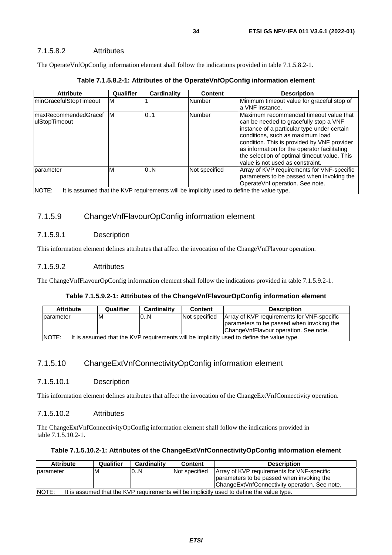#### <span id="page-33-0"></span>7.1.5.8.2 Attributes

The OperateVnfOpConfig information element shall follow the indications provided in table 7.1.5.8.2-1.

| <b>Attribute</b>                       | Qualifier | Cardinality | <b>Content</b> | <b>Description</b>                                                                                                                                                                                                                                                                                                                                     |
|----------------------------------------|-----------|-------------|----------------|--------------------------------------------------------------------------------------------------------------------------------------------------------------------------------------------------------------------------------------------------------------------------------------------------------------------------------------------------------|
| minGracefulStopTimeout                 | M         |             | Number         | Minimum timeout value for graceful stop of<br>a VNF instance.                                                                                                                                                                                                                                                                                          |
| ImaxRecommendedGracef<br>ulStopTimeout | M         | 01          | Number         | Maximum recommended timeout value that<br>can be needed to gracefully stop a VNF<br>instance of a particular type under certain<br>conditions, such as maximum load<br>condition. This is provided by VNF provider<br>as information for the operator facilitating<br>the selection of optimal timeout value. This<br>value is not used as constraint. |
| <b>I</b> parameter                     | M         | 0.N         | Not specified  | Array of KVP requirements for VNF-specific<br>parameters to be passed when invoking the<br>OperateVnf operation. See note.                                                                                                                                                                                                                             |
| <b>INOTE:</b>                          |           |             |                | It is assumed that the KVP requirements will be implicitly used to define the value type.                                                                                                                                                                                                                                                              |

#### **Table 7.1.5.8.2-1: Attributes of the OperateVnfOpConfig information element**

#### 7.1.5.9 ChangeVnfFlavourOpConfig information element

#### 7.1.5.9.1 Description

This information element defines attributes that affect the invocation of the ChangeVnfFlavour operation.

#### 7.1.5.9.2 Attributes

The ChangeVnfFlavourOpConfig information element shall follow the indications provided in table 7.1.5.9.2-1.

#### **Table 7.1.5.9.2-1: Attributes of the ChangeVnfFlavourOpConfig information element**

| <b>Attribute</b>   | Qualifier                                                                                          | Cardinality | <b>Content</b> | <b>Description</b>                                                                                                               |  |  |  |
|--------------------|----------------------------------------------------------------------------------------------------|-------------|----------------|----------------------------------------------------------------------------------------------------------------------------------|--|--|--|
| <b>I</b> parameter | ΙM                                                                                                 | 0.N         | Not specified  | Array of KVP requirements for VNF-specific<br>parameters to be passed when invoking the<br>ChangeVnfFlavour operation. See note. |  |  |  |
|                    |                                                                                                    |             |                |                                                                                                                                  |  |  |  |
|                    | NOTE:<br>It is assumed that the KVP requirements will be implicitly used to define the value type. |             |                |                                                                                                                                  |  |  |  |

#### 7.1.5.10 ChangeExtVnfConnectivityOpConfig information element

#### 7.1.5.10.1 Description

This information element defines attributes that affect the invocation of the ChangeExtVnfConnectivity operation.

#### 7.1.5.10.2 Attributes

The ChangeExtVnfConnectivityOpConfig information element shall follow the indications provided in table 7.1.5.10.2-1.

#### **Table 7.1.5.10.2-1: Attributes of the ChangeExtVnfConnectivityOpConfig information element**

| <b>Attribute</b>                                                                                           | Qualifier | <b>Cardinality</b> | <b>Content</b> | <b>Description</b>                               |  |  |
|------------------------------------------------------------------------------------------------------------|-----------|--------------------|----------------|--------------------------------------------------|--|--|
| <b>I</b> parameter                                                                                         | ıм        | 0.N                | Not specified  | Array of KVP requirements for VNF-specific       |  |  |
|                                                                                                            |           |                    |                | parameters to be passed when invoking the        |  |  |
|                                                                                                            |           |                    |                | Change Ext Vnf Connectivity operation. See note. |  |  |
| <b>INOTE:</b><br>It is assumed that the KVP requirements will be implicitly used to define the value type. |           |                    |                |                                                  |  |  |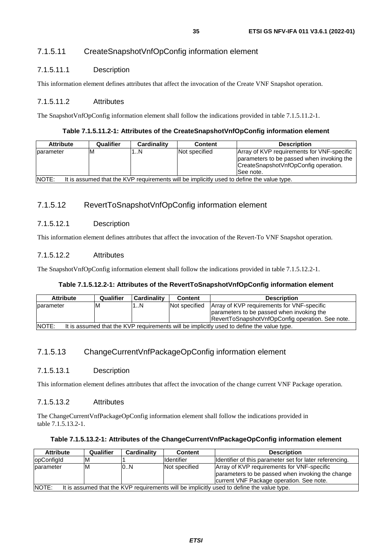#### <span id="page-34-0"></span>7.1.5.11 CreateSnapshotVnfOpConfig information element

#### 7.1.5.11.1 Description

This information element defines attributes that affect the invocation of the Create VNF Snapshot operation.

#### 7.1.5.11.2 Attributes

The SnapshotVnfOpConfig information element shall follow the indications provided in table 7.1.5.11.2-1.

#### **Table 7.1.5.11.2-1: Attributes of the CreateSnapshotVnfOpConfig information element**

| <b>Attribute</b>                                                                                   | Qualifier | Cardinality | <b>Content</b> | <b>Description</b>                         |  |
|----------------------------------------------------------------------------------------------------|-----------|-------------|----------------|--------------------------------------------|--|
| <b>I</b> parameter                                                                                 | M         | 1N          | Not specified  | Array of KVP requirements for VNF-specific |  |
|                                                                                                    |           |             |                | parameters to be passed when invoking the  |  |
|                                                                                                    |           |             |                | CreateSnapshotVnfOpConfig operation.       |  |
|                                                                                                    |           |             |                | See note.                                  |  |
| NOTE:<br>It is assumed that the KVP requirements will be implicitly used to define the value type. |           |             |                |                                            |  |

#### 7.1.5.12 RevertToSnapshotVnfOpConfig information element

#### 7.1.5.12.1 Description

This information element defines attributes that affect the invocation of the Revert-To VNF Snapshot operation.

#### 7.1.5.12.2 Attributes

The SnapshotVnfOpConfig information element shall follow the indications provided in table 7.1.5.12.2-1.

#### **Table 7.1.5.12.2-1: Attributes of the RevertToSnapshotVnfOpConfig information element**

| <b>Attribute</b>                                                                                           | Qualifier | Cardinality | <b>Content</b> | <b>Description</b>                               |
|------------------------------------------------------------------------------------------------------------|-----------|-------------|----------------|--------------------------------------------------|
| <b>I</b> parameter                                                                                         | ΙM        | . . N       | Not specified  | Array of KVP requirements for VNF-specific       |
|                                                                                                            |           |             |                | parameters to be passed when invoking the        |
|                                                                                                            |           |             |                | RevertToSnapshotVnfOpConfig operation. See note. |
| <b>INOTE:</b><br>It is assumed that the KVP requirements will be implicitly used to define the value type. |           |             |                |                                                  |

#### 7.1.5.13 ChangeCurrentVnfPackageOpConfig information element

#### 7.1.5.13.1 Description

This information element defines attributes that affect the invocation of the change current VNF Package operation.

#### 7.1.5.13.2 Attributes

The ChangeCurrentVnfPackageOpConfig information element shall follow the indications provided in table 7.1.5.13.2-1.

#### **Table 7.1.5.13.2-1: Attributes of the ChangeCurrentVnfPackageOpConfig information element**

| <b>Attribute</b>                                                                                   | Qualifier | Cardinality | <b>Content</b>    | <b>Description</b>                                                                                                                         |  |
|----------------------------------------------------------------------------------------------------|-----------|-------------|-------------------|--------------------------------------------------------------------------------------------------------------------------------------------|--|
| opConfigId                                                                                         | M         |             | <b>Identifier</b> | Identifier of this parameter set for later referencing.                                                                                    |  |
| Iparameter                                                                                         | M         | 0N          | Not specified     | Array of KVP requirements for VNF-specific<br>parameters to be passed when invoking the change<br>current VNF Package operation. See note. |  |
| NOTE:<br>It is assumed that the KVP requirements will be implicitly used to define the value type. |           |             |                   |                                                                                                                                            |  |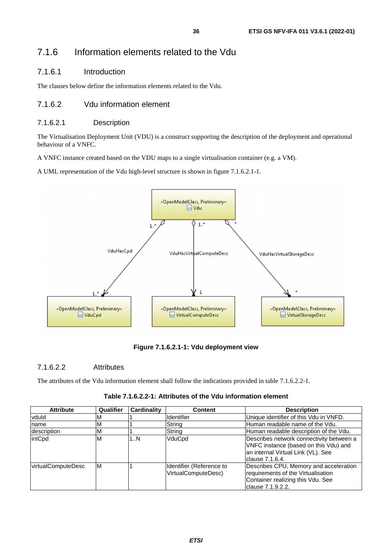#### <span id="page-35-0"></span>7.1.6.1 Introduction

The clauses below define the information elements related to the Vdu.

#### 7.1.6.2 Vdu information element

#### 7.1.6.2.1 Description

The Virtualisation Deployment Unit (VDU) is a construct supporting the description of the deployment and operational behaviour of a VNFC.

A VNFC instance created based on the VDU maps to a single virtualisation container (e.g. a VM).

A UML representation of the Vdu high-level structure is shown in figure 7.1.6.2.1-1.



**Figure 7.1.6.2.1-1: Vdu deployment view** 

#### 7.1.6.2.2 Attributes

The attributes of the Vdu information element shall follow the indications provided in table 7.1.6.2.2-1.

| <b>Attribute</b>   | Qualifier | Cardinality | <b>Content</b>                                  | <b>Description</b>                                                                                                                          |
|--------------------|-----------|-------------|-------------------------------------------------|---------------------------------------------------------------------------------------------------------------------------------------------|
| vduld              |           |             | Identifier                                      | Unique identifier of this Vdu in VNFD.                                                                                                      |
| name               | м         |             | String                                          | Human readable name of the Vdu.                                                                                                             |
| description        | M         |             | String                                          | Human readable description of the Vdu.                                                                                                      |
| intCpd             | М         | 1N          | VduCpd                                          | Describes network connectivity between a<br>VNFC instance (based on this Vdu) and<br>an internal Virtual Link (VL). See<br>Iclause 7.1.6.4. |
| virtualComputeDesc | ΙM        |             | Identifier (Reference to<br>VirtualComputeDesc) | Describes CPU, Memory and acceleration<br>requirements of the Virtualisation<br>Container realizing this Vdu. See<br>clause 7.1.9.2.2.      |

**Table 7.1.6.2.2-1: Attributes of the Vdu information element**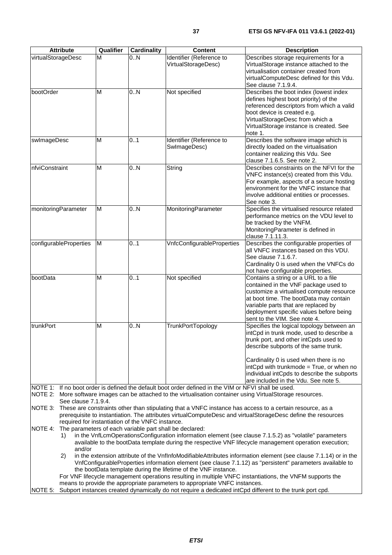| <b>Attribute</b>               | Qualifier | <b>Cardinality</b>                               | <b>Content</b>                                                                                       | <b>Description</b>                                                                                                                                                                                                                                                                   |
|--------------------------------|-----------|--------------------------------------------------|------------------------------------------------------------------------------------------------------|--------------------------------------------------------------------------------------------------------------------------------------------------------------------------------------------------------------------------------------------------------------------------------------|
| virtualStorageDesc             | M         | 0.N                                              | Identifier (Reference to<br>VirtualStorageDesc)                                                      | Describes storage requirements for a<br>VirtualStorage instance attached to the                                                                                                                                                                                                      |
|                                |           |                                                  |                                                                                                      | virtualisation container created from<br>virtualComputeDesc defined for this Vdu.<br>See clause 7.1.9.4.                                                                                                                                                                             |
| bootOrder                      | M         | 0N                                               | Not specified                                                                                        | Describes the boot index (lowest index<br>defines highest boot priority) of the<br>referenced descriptors from which a valid<br>boot device is created e.g.<br>VirtualStorageDesc from which a                                                                                       |
|                                |           |                                                  |                                                                                                      | VirtualStorage instance is created. See<br>note 1.                                                                                                                                                                                                                                   |
| swlmageDesc                    | M         | 0.1                                              | Identifier (Reference to<br>SwlmageDesc)                                                             | Describes the software image which is<br>directly loaded on the virtualisation<br>container realizing this Vdu. See<br>clause 7.1.6.5. See note 2.                                                                                                                                   |
| nfviConstraint                 | M         | 0.N                                              | String                                                                                               | Describes constraints on the NFVI for the<br>VNFC instance(s) created from this Vdu.<br>For example, aspects of a secure hosting<br>environment for the VNFC instance that<br>involve additional entities or processes.<br>See note 3.                                               |
| monitoringParameter            | M         | 0N                                               | MonitoringParameter                                                                                  | Specifies the virtualised resource related<br>performance metrics on the VDU level to<br>be tracked by the VNFM.<br>MonitoringParameter is defined in<br>clause 7.1.11.3.                                                                                                            |
| configurableProperties         | M         | 01                                               | VnfcConfigurableProperties                                                                           | Describes the configurable properties of<br>all VNFC instances based on this VDU.<br>See clause 7.1.6.7.<br>Cardinality 0 is used when the VNFCs do<br>not have configurable properties.                                                                                             |
| bootData                       | M         | 01                                               | Not specified                                                                                        | Contains a string or a URL to a file<br>contained in the VNF package used to<br>customize a virtualised compute resource<br>at boot time. The bootData may contain<br>variable parts that are replaced by<br>deployment specific values before being<br>sent to the VIM. See note 4. |
| trunkPort                      | M         | 0.N                                              | TrunkPortTopology                                                                                    | Specifies the logical topology between an<br>intCpd in trunk mode, used to describe a<br>trunk port, and other intCpds used to<br>describe subports of the same trunk.<br>Cardinality 0 is used when there is no<br>intCpd with trunkmode = True, or when no                         |
|                                |           |                                                  |                                                                                                      | individual intCpds to describe the subports<br>are included in the Vdu. See note 5.                                                                                                                                                                                                  |
| NOTE 2:<br>See clause 7.1.9.4. |           |                                                  | NOTE 1: If no boot order is defined the default boot order defined in the VIM or NFVI shall be used. | More software images can be attached to the virtualisation container using VirtualStorage resources.                                                                                                                                                                                 |
| NOTE 3:                        |           | required for instantiation of the VNFC instance. |                                                                                                      | These are constraints other than stipulating that a VNFC instance has access to a certain resource, as a<br>prerequisite to instantiation. The attributes virtualComputeDesc and virtualStorageDesc define the resources                                                             |

NOTE 4: The parameters of each variable part shall be declared:

1) in the VnfLcmOperationsConfiguration information element (see clause 7.1.5.2) as "volatile" parameters available to the bootData template during the respective VNF lifecycle management operation execution; and/or

2) in the extension attribute of the VnfInfoModifiableAttributes information element (see clause 7.1.14) or in the VnfConfigurableProperties information element (see clause 7.1.12) as "persistent" parameters available to the bootData template during the lifetime of the VNF instance.

 For VNF lifecycle management operations resulting in multiple VNFC instantiations, the VNFM supports the means to provide the appropriate parameters to appropriate VNFC instances.

NOTE 5: Subport instances created dynamically do not require a dedicated intCpd different to the trunk port cpd.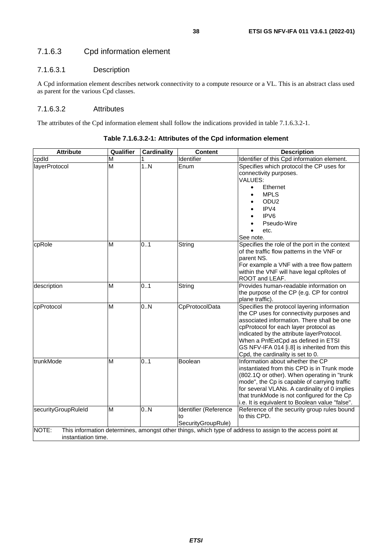## 7.1.6.3 Cpd information element

### 7.1.6.3.1 Description

A Cpd information element describes network connectivity to a compute resource or a VL. This is an abstract class used as parent for the various Cpd classes.

### 7.1.6.3.2 Attributes

The attributes of the Cpd information element shall follow the indications provided in table 7.1.6.3.2-1.

| <b>Attribute</b>    | Qualifier | <b>Cardinality</b> | <b>Content</b>        | <b>Description</b>                                                                                        |
|---------------------|-----------|--------------------|-----------------------|-----------------------------------------------------------------------------------------------------------|
| cpdld               | M         |                    | Identifier            | Identifier of this Cpd information element.                                                               |
| layerProtocol       | M         | 1.N                | Enum                  | Specifies which protocol the CP uses for                                                                  |
|                     |           |                    |                       | connectivity purposes.                                                                                    |
|                     |           |                    |                       | VALUES:                                                                                                   |
|                     |           |                    |                       | Ethernet<br>$\bullet$                                                                                     |
|                     |           |                    |                       | <b>MPLS</b>                                                                                               |
|                     |           |                    |                       | ODU <sub>2</sub>                                                                                          |
|                     |           |                    |                       | IPV4                                                                                                      |
|                     |           |                    |                       | IPV <sub>6</sub>                                                                                          |
|                     |           |                    |                       | Pseudo-Wire                                                                                               |
|                     |           |                    |                       | etc.                                                                                                      |
|                     |           |                    |                       | See note.                                                                                                 |
| cpRole              | M         | 0.1                | String                | Specifies the role of the port in the context                                                             |
|                     |           |                    |                       | of the traffic flow patterns in the VNF or                                                                |
|                     |           |                    |                       | parent NS.                                                                                                |
|                     |           |                    |                       | For example a VNF with a tree flow pattern                                                                |
|                     |           |                    |                       | within the VNF will have legal cpRoles of                                                                 |
|                     |           |                    |                       | ROOT and LEAF.                                                                                            |
| description         | M         | 0.1                | String                | Provides human-readable information on                                                                    |
|                     |           |                    |                       | the purpose of the CP (e.g. CP for control                                                                |
|                     |           |                    |                       | plane traffic).                                                                                           |
| cpProtocol          | M         | $\overline{0}$ .N  | CpProtocolData        | Specifies the protocol layering information                                                               |
|                     |           |                    |                       | the CP uses for connectivity purposes and                                                                 |
|                     |           |                    |                       | associated information. There shall be one                                                                |
|                     |           |                    |                       | cpProtocol for each layer protocol as                                                                     |
|                     |           |                    |                       | indicated by the attribute layerProtocol.                                                                 |
|                     |           |                    |                       | When a PnfExtCpd as defined in ETSI                                                                       |
|                     |           |                    |                       | GS NFV-IFA 014 [i.8] is inherited from this                                                               |
|                     |           |                    |                       | Cpd, the cardinality is set to 0.                                                                         |
| trunkMode           | M         | 0.1                | Boolean               | Information about whether the CP                                                                          |
|                     |           |                    |                       | instantiated from this CPD is in Trunk mode                                                               |
|                     |           |                    |                       | (802.1Q or other). When operating in "trunk<br>mode", the Cp is capable of carrying traffic               |
|                     |           |                    |                       | for several VLANs. A cardinality of 0 implies                                                             |
|                     |           |                    |                       | that trunkMode is not configured for the Cp                                                               |
|                     |           |                    |                       | i.e. It is equivalent to Boolean value "false".                                                           |
| securityGroupRuleId | M         | 0.N                | Identifier (Reference | Reference of the security group rules bound                                                               |
|                     |           |                    | tο                    | to this CPD.                                                                                              |
|                     |           |                    | SecurityGroupRule)    |                                                                                                           |
| NOTE:               |           |                    |                       | This information determines, amongst other things, which type of address to assign to the access point at |
| instantiation time. |           |                    |                       |                                                                                                           |

**Table 7.1.6.3.2-1: Attributes of the Cpd information element**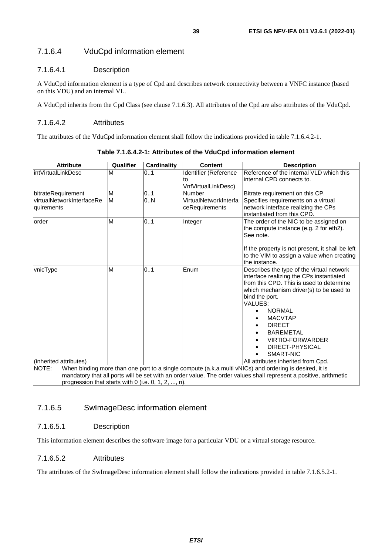## 7.1.6.4 VduCpd information element

#### 7.1.6.4.1 Description

A VduCpd information element is a type of Cpd and describes network connectivity between a VNFC instance (based on this VDU) and an internal VL.

A VduCpd inherits from the Cpd Class (see clause 7.1.6.3). All attributes of the Cpd are also attributes of the VduCpd.

#### 7.1.6.4.2 Attributes

The attributes of the VduCpd information element shall follow the indications provided in table 7.1.6.4.2-1.

| <b>Attribute</b>                                       | Qualifier | <b>Cardinality</b> | <b>Content</b>        | <b>Description</b>                                                                                                |
|--------------------------------------------------------|-----------|--------------------|-----------------------|-------------------------------------------------------------------------------------------------------------------|
| intVirtualLinkDesc                                     | M         | 0.1                | Identifier (Reference | Reference of the internal VLD which this                                                                          |
|                                                        |           |                    | lto                   | internal CPD connects to.                                                                                         |
|                                                        |           |                    | VnfVirtualLinkDesc)   |                                                                                                                   |
| bitrateRequirement                                     | M         | 0.1                | Number                | Bitrate requirement on this CP.                                                                                   |
| virtualNetworkInterfaceRe                              | M         | 0.N                | VirtualNetworkInterfa | Specifies requirements on a virtual                                                                               |
| quirements                                             |           |                    | ceRequirements        | network interface realizing the CPs                                                                               |
|                                                        |           |                    |                       | linstantiated from this CPD.                                                                                      |
| order                                                  | M         | 0.1                | Integer               | The order of the NIC to be assigned on                                                                            |
|                                                        |           |                    |                       | the compute instance (e.g. 2 for eth2).                                                                           |
|                                                        |           |                    |                       | See note.                                                                                                         |
|                                                        |           |                    |                       |                                                                                                                   |
|                                                        |           |                    |                       | If the property is not present, it shall be left                                                                  |
|                                                        |           |                    |                       | to the VIM to assign a value when creating                                                                        |
|                                                        | M         | 0.1                | Enum                  | the instance.                                                                                                     |
| vnicType                                               |           |                    |                       | Describes the type of the virtual network                                                                         |
|                                                        |           |                    |                       | interface realizing the CPs instantiated<br>lfrom this CPD. This is used to determine                             |
|                                                        |           |                    |                       | which mechanism driver(s) to be used to                                                                           |
|                                                        |           |                    |                       | bind the port.                                                                                                    |
|                                                        |           |                    |                       | VALUES:                                                                                                           |
|                                                        |           |                    |                       | <b>NORMAL</b>                                                                                                     |
|                                                        |           |                    |                       | <b>MACVTAP</b>                                                                                                    |
|                                                        |           |                    |                       | <b>DIRECT</b>                                                                                                     |
|                                                        |           |                    |                       | <b>BAREMETAL</b>                                                                                                  |
|                                                        |           |                    |                       | <b>VIRTIO-FORWARDER</b>                                                                                           |
|                                                        |           |                    |                       | DIRECT-PHYSICAL                                                                                                   |
|                                                        |           |                    |                       | SMART-NIC                                                                                                         |
| (inherited attributes)                                 |           |                    |                       | All attributes inherited from Cpd.                                                                                |
| NOTE:                                                  |           |                    |                       | When binding more than one port to a single compute (a.k.a multi vNICs) and ordering is desired, it is            |
|                                                        |           |                    |                       | mandatory that all ports will be set with an order value. The order values shall represent a positive, arithmetic |
| progression that starts with 0 (i.e. $0, 1, 2, , n$ ). |           |                    |                       |                                                                                                                   |

**Table 7.1.6.4.2-1: Attributes of the VduCpd information element** 

## 7.1.6.5 SwImageDesc information element

#### 7.1.6.5.1 Description

This information element describes the software image for a particular VDU or a virtual storage resource.

#### 7.1.6.5.2 Attributes

The attributes of the SwImageDesc information element shall follow the indications provided in table 7.1.6.5.2-1.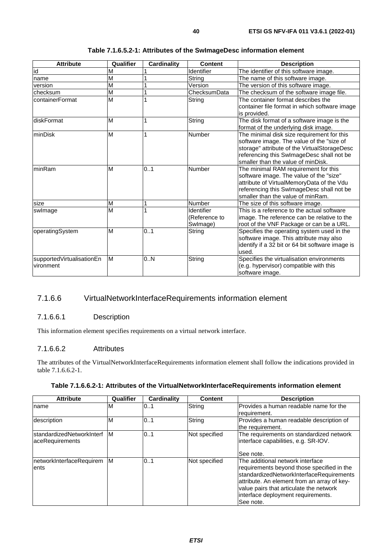| <b>Attribute</b>                       | Qualifier               | <b>Cardinality</b> | <b>Content</b>                          | <b>Description</b>                                                                                                                                                                                                         |
|----------------------------------------|-------------------------|--------------------|-----------------------------------------|----------------------------------------------------------------------------------------------------------------------------------------------------------------------------------------------------------------------------|
| id                                     | M                       |                    | Identifier                              | The identifier of this software image.                                                                                                                                                                                     |
| name                                   | $\overline{\mathsf{M}}$ |                    | String                                  | The name of this software image.                                                                                                                                                                                           |
| version                                | M                       |                    | Version                                 | The version of this software image.                                                                                                                                                                                        |
| checksum                               | $\overline{\mathsf{M}}$ |                    | ChecksumData                            | The checksum of the software image file.                                                                                                                                                                                   |
| containerFormat                        | M                       |                    | String                                  | The container format describes the<br>container file format in which software image<br>is provided.                                                                                                                        |
| diskFormat                             | M                       |                    | String                                  | The disk format of a software image is the<br>format of the underlying disk image.                                                                                                                                         |
| minDisk                                | M                       | 1                  | Number                                  | The minimal disk size requirement for this<br>software image. The value of the "size of<br>storage" attribute of the VirtualStorageDesc<br>referencing this SwlmageDesc shall not be<br>smaller than the value of minDisk. |
| minRam                                 | M                       | 0.1                | Number                                  | The minimal RAM requirement for this<br>software image. The value of the "size"<br>attribute of VirtualMemoryData of the Vdu<br>referencing this SwlmageDesc shall not be<br>smaller than the value of minRam.             |
| size                                   | M                       |                    | Number                                  | The size of this software image.                                                                                                                                                                                           |
| swlmage                                | M                       |                    | Identifier<br>(Reference to<br>Swlmage) | This is a reference to the actual software<br>image. The reference can be relative to the<br>root of the VNF Package or can be a URL.                                                                                      |
| operatingSystem                        | M                       | 0.1                | String                                  | Specifies the operating system used in the<br>software image. This attribute may also<br>identify if a 32 bit or 64 bit software image is<br>used.                                                                         |
| supportedVirtualisationEn<br>vironment | M                       | 0N                 | String                                  | Specifies the virtualisation environments<br>(e.g. hypervisor) compatible with this<br>software image.                                                                                                                     |

#### **Table 7.1.6.5.2-1: Attributes of the SwImageDesc information element**

## 7.1.6.6 VirtualNetworkInterfaceRequirements information element

### 7.1.6.6.1 Description

This information element specifies requirements on a virtual network interface.

#### 7.1.6.6.2 Attributes

The attributes of the VirtualNetworkInterfaceRequirements information element shall follow the indications provided in table 7.1.6.6.2-1.

| <b>Attribute</b>                              | Qualifier | <b>Cardinality</b> | <b>Content</b> | <b>Description</b>                                                                                                                                                                                                                                                      |
|-----------------------------------------------|-----------|--------------------|----------------|-------------------------------------------------------------------------------------------------------------------------------------------------------------------------------------------------------------------------------------------------------------------------|
| name                                          | M         | 101                | String         | Provides a human readable name for the<br>requirement.                                                                                                                                                                                                                  |
| description                                   | ΙM        | 0.1                | String         | Provides a human readable description of<br>the requirement.                                                                                                                                                                                                            |
| IstandardizedNetworkInterf<br>aceRequirements | IМ        | 0.1                | Not specified  | The requirements on standardized network<br>interface capabilities, e.g. SR-IOV.<br>See note.                                                                                                                                                                           |
| networkInterfaceRequirem<br>lents             | <b>M</b>  | 0.1                | Not specified  | The additional network interface<br>requirements beyond those specified in the<br>standardizedNetworkInterfaceRequirements<br>attribute. An element from an array of key-<br>value pairs that articulate the network<br>interface deployment requirements.<br>See note. |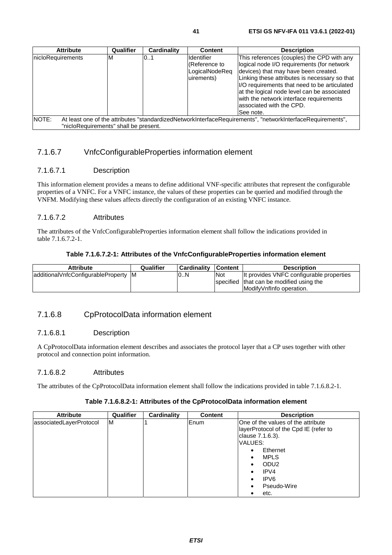| <b>Attribute</b>                      | Qualifier | Cardinality | <b>Content</b>      | <b>Description</b>                                                                                         |
|---------------------------------------|-----------|-------------|---------------------|------------------------------------------------------------------------------------------------------------|
|                                       |           |             |                     |                                                                                                            |
| nicloRequirements                     | ΙM        | 0.1         | <b>I</b> ldentifier | This references (couples) the CPD with any                                                                 |
|                                       |           |             | (Reference to       | logical node I/O requirements (for network                                                                 |
|                                       |           |             | LogicalNodeReg      | devices) that may have been created.                                                                       |
|                                       |           |             | uirements)          | Linking these attributes is necessary so that                                                              |
|                                       |           |             |                     | I/O requirements that need to be articulated                                                               |
|                                       |           |             |                     | at the logical node level can be associated                                                                |
|                                       |           |             |                     | with the network interface requirements                                                                    |
|                                       |           |             |                     | lassociated with the CPD.                                                                                  |
|                                       |           |             |                     |                                                                                                            |
|                                       |           |             |                     | See note.                                                                                                  |
| NOTE:                                 |           |             |                     | At least one of the attributes "standardizedNetworkInterfaceRequirements", "networkInterfaceRequirements", |
| "nicloRequirements" shall be present. |           |             |                     |                                                                                                            |

## 7.1.6.7 VnfcConfigurableProperties information element

### 7.1.6.7.1 Description

This information element provides a means to define additional VNF-specific attributes that represent the configurable properties of a VNFC. For a VNFC instance, the values of these properties can be queried and modified through the VNFM. Modifying these values affects directly the configuration of an existing VNFC instance.

### 7.1.6.7.2 Attributes

The attributes of the VnfcConfigurableProperties information element shall follow the indications provided in table 7.1.6.7.2-1.

#### **Table 7.1.6.7.2-1: Attributes of the VnfcConfigurableProperties information element**

| <b>Attribute</b>                     | Qualifier | <b>Cardinality Content</b> |            | <b>Description</b>                       |
|--------------------------------------|-----------|----------------------------|------------|------------------------------------------|
| additionalVnfcConfigurableProperty M |           | 0N                         | <b>Not</b> | It provides VNFC configurable properties |
|                                      |           |                            |            | specified that can be modified using the |
|                                      |           |                            |            | IModifyVnfInfo operation.                |

## 7.1.6.8 CpProtocolData information element

#### 7.1.6.8.1 Description

A CpProtocolData information element describes and associates the protocol layer that a CP uses together with other protocol and connection point information.

### 7.1.6.8.2 Attributes

The attributes of the CpProtocolData information element shall follow the indications provided in table 7.1.6.8.2-1.

#### **Table 7.1.6.8.2-1: Attributes of the CpProtocolData information element**

| <b>Attribute</b>        | Qualifier | Cardinality | <b>Content</b> | <b>Description</b>                    |
|-------------------------|-----------|-------------|----------------|---------------------------------------|
| associatedLayerProtocol | ΙM        |             | <b>IEnum</b>   | One of the values of the attribute    |
|                         |           |             |                | layerProtocol of the Cpd IE (refer to |
|                         |           |             |                | clause 7.1.6.3).                      |
|                         |           |             |                | VALUES:                               |
|                         |           |             |                | Ethernet<br>٠                         |
|                         |           |             |                | <b>MPLS</b><br>$\bullet$              |
|                         |           |             |                | ODU <sub>2</sub>                      |
|                         |           |             |                | IPV4                                  |
|                         |           |             |                | IPV <sub>6</sub><br>$\bullet$         |
|                         |           |             |                | Pseudo-Wire<br>$\bullet$              |
|                         |           |             |                | etc.                                  |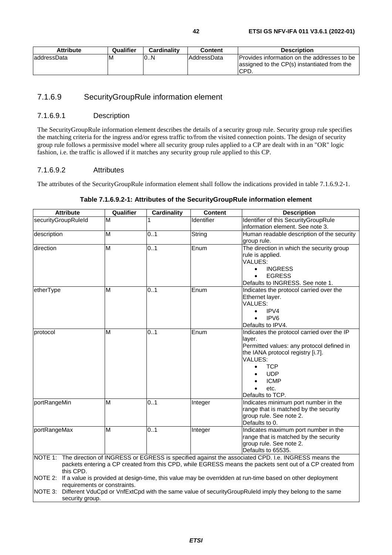| <b>Attribute</b> | Qualifier | <b>Cardinality</b> | Content            | <b>Description</b>                                                                                  |
|------------------|-----------|--------------------|--------------------|-----------------------------------------------------------------------------------------------------|
| addressData      | ıм        | l0N                | <b>AddressData</b> | Provides information on the addresses to be<br>assigned to the CP(s) instantiated from the<br>ICPD. |

## 7.1.6.9 SecurityGroupRule information element

#### 7.1.6.9.1 Description

The SecurityGroupRule information element describes the details of a security group rule. Security group rule specifies the matching criteria for the ingress and/or egress traffic to/from the visited connection points. The design of security group rule follows a permissive model where all security group rules applied to a CP are dealt with in an "OR" logic fashion, i.e. the traffic is allowed if it matches any security group rule applied to this CP.

## 7.1.6.9.2 Attributes

The attributes of the SecurityGroupRule information element shall follow the indications provided in table 7.1.6.9.2-1.

| securityGroupRuleId<br>M<br>Identifier of this SecurityGroupRule<br>Identifier<br>information element. See note 3.     |  |
|------------------------------------------------------------------------------------------------------------------------|--|
|                                                                                                                        |  |
|                                                                                                                        |  |
| M<br>0.1<br>String<br>Human readable description of the security<br>description                                        |  |
| group rule.                                                                                                            |  |
| M<br>0.1<br>The direction in which the security group<br>direction<br>Enum                                             |  |
| rule is applied.                                                                                                       |  |
| VALUES:                                                                                                                |  |
| <b>INGRESS</b><br>$\bullet$                                                                                            |  |
| <b>EGRESS</b>                                                                                                          |  |
| Defaults to INGRESS. See note 1.                                                                                       |  |
| 0.1<br>M<br>Enum<br>Indicates the protocol carried over the<br>etherType                                               |  |
| Ethernet layer.                                                                                                        |  |
| VALUES:                                                                                                                |  |
| IPV4                                                                                                                   |  |
| IPV <sub>6</sub><br>$\bullet$                                                                                          |  |
| Defaults to IPV4.                                                                                                      |  |
| M<br>0.1<br>Indicates the protocol carried over the IP<br>Enum<br>protocol                                             |  |
| layer.                                                                                                                 |  |
| Permitted values: any protocol defined in                                                                              |  |
| the IANA protocol registry [i.7].                                                                                      |  |
| <b>VALUES:</b>                                                                                                         |  |
| <b>TCP</b>                                                                                                             |  |
| <b>UDP</b>                                                                                                             |  |
| <b>ICMP</b>                                                                                                            |  |
| etc.<br>$\bullet$                                                                                                      |  |
| Defaults to TCP.                                                                                                       |  |
| 0.1<br>portRangeMin<br>M<br>Indicates minimum port number in the<br>Integer                                            |  |
| range that is matched by the security                                                                                  |  |
| group rule. See note 2.                                                                                                |  |
| Defaults to 0.                                                                                                         |  |
| portRangeMax<br>M<br>0.1<br>Indicates maximum port number in the<br>Integer                                            |  |
| range that is matched by the security                                                                                  |  |
| group rule. See note 2.                                                                                                |  |
| Defaults to 65535.                                                                                                     |  |
| NOTE 1: The direction of INGRESS or EGRESS is specified against the associated CPD. I.e. INGRESS means the             |  |
| packets entering a CP created from this CPD, while EGRESS means the packets sent out of a CP created from<br>this CPD. |  |
| NOTE 2:<br>If a value is provided at design-time, this value may be overridden at run-time based on other deployment   |  |
| requirements or constraints.                                                                                           |  |
| NOTE 3:<br>Different VduCpd or VnfExtCpd with the same value of securityGroupRuleId imply they belong to the same      |  |
| security group.                                                                                                        |  |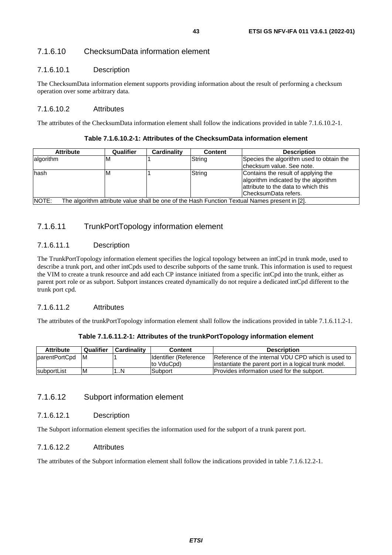## 7.1.6.10 ChecksumData information element

#### 7.1.6.10.1 Description

The ChecksumData information element supports providing information about the result of performing a checksum operation over some arbitrary data.

#### 7.1.6.10.2 Attributes

The attributes of the ChecksumData information element shall follow the indications provided in table 7.1.6.10.2-1.

#### **Table 7.1.6.10.2-1: Attributes of the ChecksumData information element**

| <b>Attribute</b>                                                                                       | Qualifier | Cardinality | <b>Content</b> | <b>Description</b>                                                                                                                          |  |
|--------------------------------------------------------------------------------------------------------|-----------|-------------|----------------|---------------------------------------------------------------------------------------------------------------------------------------------|--|
| lalgorithm                                                                                             | ΙM        |             | String         | Species the algorithm used to obtain the<br>checksum value. See note.                                                                       |  |
| hash                                                                                                   | ΙVΙ       |             | String         | Contains the result of applying the<br>algorithm indicated by the algorithm<br>lattribute to the data to which this<br>ChecksumData refers. |  |
| NOTE:<br>The algorithm attribute value shall be one of the Hash Function Textual Names present in [2]. |           |             |                |                                                                                                                                             |  |

### 7.1.6.11 TrunkPortTopology information element

#### 7.1.6.11.1 Description

The TrunkPortTopology information element specifies the logical topology between an intCpd in trunk mode, used to describe a trunk port, and other intCpds used to describe subports of the same trunk. This information is used to request the VIM to create a trunk resource and add each CP instance initiated from a specific intCpd into the trunk, either as parent port role or as subport. Subport instances created dynamically do not require a dedicated intCpd different to the trunk port cpd.

#### 7.1.6.11.2 Attributes

The attributes of the trunkPortTopology information element shall follow the indications provided in table 7.1.6.11.2-1.

#### **Table 7.1.6.11.2-1: Attributes of the trunkPortTopology information element**

| <b>Attribute</b> | Qualifier | <b>Cardinality</b> | <b>Content</b>         | <b>Description</b>                                     |
|------------------|-----------|--------------------|------------------------|--------------------------------------------------------|
| parentPortCpd    | -M        |                    | Ildentifier (Reference | Reference of the internal VDU CPD which is used to     |
|                  |           |                    | to VduCpd)             | linstantiate the parent port in a logical trunk model. |
| subportList      | ıм        | $\ldots$ N         | Subport                | <b>IProvides information used for the subport.</b>     |

### 7.1.6.12 Subport information element

#### 7.1.6.12.1 Description

The Subport information element specifies the information used for the subport of a trunk parent port.

### 7.1.6.12.2 Attributes

The attributes of the Subport information element shall follow the indications provided in table 7.1.6.12.2-1.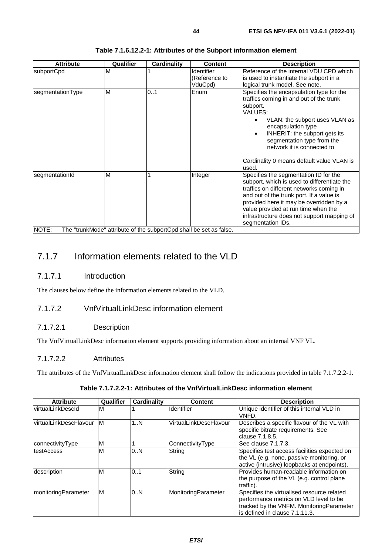| M<br>M | 0.1 | Identifier<br>(Reference to<br>VduCpd) | Reference of the internal VDU CPD which<br>is used to instantiate the subport in a                                                                                                                                                                                                                                                 |
|--------|-----|----------------------------------------|------------------------------------------------------------------------------------------------------------------------------------------------------------------------------------------------------------------------------------------------------------------------------------------------------------------------------------|
|        |     |                                        | logical trunk model. See note.                                                                                                                                                                                                                                                                                                     |
|        |     | Enum                                   | Specifies the encapsulation type for the<br>traffics coming in and out of the trunk<br>subport.<br>VALUES:<br>VLAN: the subport uses VLAN as<br>encapsulation type<br>INHERIT: the subport gets its<br>$\bullet$<br>segmentation type from the<br>network it is connected to<br>Cardinality 0 means default value VLAN is<br>used. |
| M      |     | Integer                                | Specifies the segmentation ID for the<br>subport, which is used to differentiate the<br>traffics on different networks coming in<br>and out of the trunk port. If a value is<br>provided here it may be overridden by a<br>value provided at run time when the<br>infrastructure does not support mapping of<br>segmentation IDs.  |
|        |     |                                        | The "trunkMode" attribute of the subportCpd shall be set as false.                                                                                                                                                                                                                                                                 |

#### **Table 7.1.6.12.2-1: Attributes of the Subport information element**

NOTE: The "trunkMode" attribute of the subportCpd shall be set as false.

## 7.1.7 Information elements related to the VLD

## 7.1.7.1 Introduction

The clauses below define the information elements related to the VLD.

## 7.1.7.2 VnfVirtualLinkDesc information element

### 7.1.7.2.1 Description

The VnfVirtualLinkDesc information element supports providing information about an internal VNF VL.

## 7.1.7.2.2 Attributes

The attributes of the VnfVirtualLinkDesc information element shall follow the indications provided in table 7.1.7.2.2-1.

### **Table 7.1.7.2.2-1: Attributes of the VnfVirtualLinkDesc information element**

| <b>Attribute</b>        | Qualifier | Cardinality | <b>Content</b>         | <b>Description</b>                                                                                                                                                   |
|-------------------------|-----------|-------------|------------------------|----------------------------------------------------------------------------------------------------------------------------------------------------------------------|
| virtualLinkDescId       | M         |             | Identifier             | Unique identifier of this internal VLD in<br>VNFD.                                                                                                                   |
| lvirtualLinkDescFlavour | ΙM        | 1N          | VirtualLinkDescFlavour | Describes a specific flavour of the VL with<br>specific bitrate requirements. See<br>lclause 7.1.8.5.                                                                |
| connectivityType        | M         |             | ConnectivityType       | See clause 7.1.7.3.                                                                                                                                                  |
| testAccess              | ΙM        | 0N          | String                 | Specifies test access facilities expected on<br>the VL (e.g. none, passive monitoring, or<br>active (intrusive) loopbacks at endpoints).                             |
| description             | M         | 0.1         | String                 | Provides human-readable information on<br>the purpose of the VL (e.g. control plane<br>traffic).                                                                     |
| monitoringParameter     | ΙM        | 0.N         | MonitoringParameter    | Specifies the virtualised resource related<br>berformance metrics on VLD level to be<br>tracked by the VNFM. Monitoring Parameter<br>lis defined in clause 7.1.11.3. |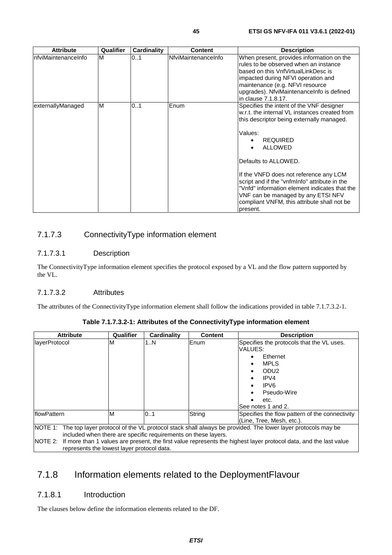| <b>Attribute</b>    | Qualifier | <b>Cardinality</b> | Content             | <b>Description</b>                                                                                                                                                                                                                                                                                                                                                                                                                                                       |
|---------------------|-----------|--------------------|---------------------|--------------------------------------------------------------------------------------------------------------------------------------------------------------------------------------------------------------------------------------------------------------------------------------------------------------------------------------------------------------------------------------------------------------------------------------------------------------------------|
| nfviMaintenanceInfo | M         | 01                 | NfviMaintenanceInfo | When present, provides information on the<br>rules to be observed when an instance<br>based on this VnfVirtualLinkDesc is<br>impacted during NFVI operation and<br>maintenance (e.g. NFVI resource<br>upgrades). NfviMaintenanceInfo is defined<br>in clause 7.1.8.17.                                                                                                                                                                                                   |
| externallyManaged   | M         | 0.1                | Enum                | Specifies the intent of the VNF designer<br>w.r.t. the internal VL instances created from<br>this descriptor being externally managed.<br>Values:<br><b>REQUIRED</b><br>$\bullet$<br><b>ALLOWED</b><br>Defaults to ALLOWED.<br>If the VNFD does not reference any LCM<br>script and if the "vnfmlnfo" attribute in the<br>"Vnfd" information element indicates that the<br>VNF can be managed by any ETSI NFV<br>compliant VNFM, this attribute shall not be<br>present. |

## 7.1.7.3 ConnectivityType information element

### 7.1.7.3.1 Description

The ConnectivityType information element specifies the protocol exposed by a VL and the flow pattern supported by the VL.

### 7.1.7.3.2 Attributes

The attributes of the ConnectivityType information element shall follow the indications provided in table 7.1.7.3.2-1.

| <b>Attribute</b>                                                                                                                                                                                                                                                                                                                                                | Qualifier | <b>Cardinality</b> | <b>Content</b> | <b>Description</b>                                                                                                                                                                        |
|-----------------------------------------------------------------------------------------------------------------------------------------------------------------------------------------------------------------------------------------------------------------------------------------------------------------------------------------------------------------|-----------|--------------------|----------------|-------------------------------------------------------------------------------------------------------------------------------------------------------------------------------------------|
| layerProtocol                                                                                                                                                                                                                                                                                                                                                   | м         | 1N                 | <b>IEnum</b>   | Specifies the protocols that the VL uses.<br>VALUES:<br>Ethernet<br><b>MPLS</b><br>ODU <sub>2</sub><br>IPVA<br>IPV <sub>6</sub><br>$\bullet$<br>Pseudo-Wire<br>etc.<br>See notes 1 and 2. |
| flowPattern                                                                                                                                                                                                                                                                                                                                                     | м         | 0.1                | String         | Specifies the flow pattern of the connectivity<br>(Line, Tree, Mesh, etc.).                                                                                                               |
| NOTE 1: The top layer protocol of the VL protocol stack shall always be provided. The lower layer protocols may be<br>included when there are specific requirements on these layers.<br>NOTE 2: If more than 1 values are present, the first value represents the highest layer protocol data, and the last value<br>represents the lowest layer protocol data. |           |                    |                |                                                                                                                                                                                           |

## 7.1.8 Information elements related to the DeploymentFlavour

## 7.1.8.1 Introduction

The clauses below define the information elements related to the DF.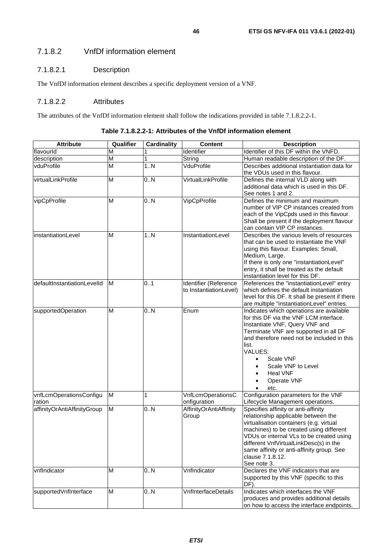## 7.1.8.2.1 Description

The VnfDf information element describes a specific deployment version of a VNF.

#### 7.1.8.2.2 Attributes

The attributes of the VnfDf information element shall follow the indications provided in table 7.1.8.2.2-1.

| <b>Attribute</b>                  | Qualifier               | <b>Cardinality</b> | Content                                         | <b>Description</b>                                                                                                                                                                                                                                                                                                                                  |
|-----------------------------------|-------------------------|--------------------|-------------------------------------------------|-----------------------------------------------------------------------------------------------------------------------------------------------------------------------------------------------------------------------------------------------------------------------------------------------------------------------------------------------------|
| flavourld                         | м                       |                    | Identifier                                      | Identifier of this DF within the VNFD.                                                                                                                                                                                                                                                                                                              |
| description                       | $\overline{\mathsf{M}}$ | 1                  | String                                          | Human readable description of the DF.                                                                                                                                                                                                                                                                                                               |
| vduProfile                        | M                       | 1. N               | VduProfile                                      | Describes additional instantiation data for<br>the VDUs used in this flavour.                                                                                                                                                                                                                                                                       |
| virtualLinkProfile                | M                       | 0.N                | VirtualLinkProfile                              | Defines the internal VLD along with<br>additional data which is used in this DF.<br>See notes 1 and 2.                                                                                                                                                                                                                                              |
| vipCpProfile                      | M                       | 0.N                | VipCpProfile                                    | Defines the minimum and maximum<br>number of VIP CP instances created from<br>each of the VipCpds used in this flavour.<br>Shall be present if the deployment flavour<br>can contain VIP CP instances.                                                                                                                                              |
| instantiationLevel                | M                       | 1N                 | InstantiationLevel                              | Describes the various levels of resources<br>that can be used to instantiate the VNF<br>using this flavour. Examples: Small,<br>Medium, Large.<br>If there is only one "instantiationLevel"<br>entry, it shall be treated as the default<br>instantiation level for this DF.                                                                        |
| defaultInstantiationLevelId       | M                       | 01                 | Identifier (Reference<br>to InstantiationLevel) | References the "instantiationLevel" entry<br>which defines the default instantiation<br>level for this DF. It shall be present if there<br>are multiple "instantiationLevel" entries.                                                                                                                                                               |
| supportedOperation                | M                       | 0.N                | Enum                                            | Indicates which operations are available<br>for this DF via the VNF LCM interface.<br>Instantiate VNF, Query VNF and<br>Terminate VNF are supported in all DF<br>and therefore need not be included in this<br>list.<br>VALUES:<br>Scale VNF<br>$\bullet$<br>Scale VNF to Level<br>$\bullet$<br><b>Heal VNF</b><br>$\bullet$<br>Operate VNF<br>etc. |
| vnfLcmOperationsConfigu<br>ration | M                       | 1                  | <b>VnfLcmOperationsC</b><br>onfiguration        | Configuration parameters for the VNF<br>Lifecycle Management operations.                                                                                                                                                                                                                                                                            |
| affinityOrAntiAffinityGroup       | M                       | 0.N                | AffinityOrAntiAffinity<br>Group                 | Specifies affinity or anti-affinity<br>relationship applicable between the<br>virtualisation containers (e.g. virtual<br>machines) to be created using different<br>VDUs or internal VLs to be created using<br>different VnfVirtualLinkDesc(s) in the<br>same affinity or anti-affinity group. See<br>clause 7.1.8.12.<br>See note 3.              |
| vnfIndicator                      | M                       | 0N                 | VnfIndicator                                    | Declares the VNF indicators that are<br>supported by this VNF (specific to this<br>DF).                                                                                                                                                                                                                                                             |
| supportedVnfInterface             | M                       | 0.N                | VnfInterfaceDetails                             | Indicates which interfaces the VNF<br>produces and provides additional details<br>on how to access the interface endpoints.                                                                                                                                                                                                                         |

**Table 7.1.8.2.2-1: Attributes of the VnfDf information element**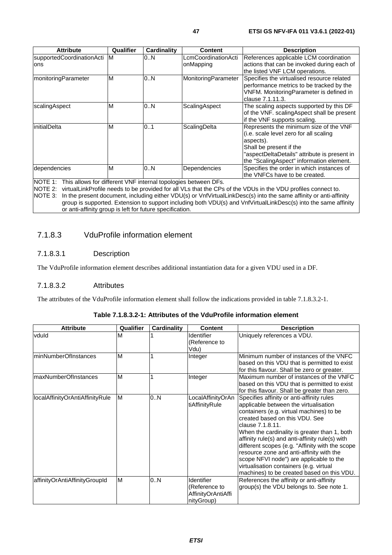| <b>Attribute</b>                                                                            | Qualifier | Cardinality | <b>Content</b>                   | <b>Description</b>                                                                                                                                                                                                   |
|---------------------------------------------------------------------------------------------|-----------|-------------|----------------------------------|----------------------------------------------------------------------------------------------------------------------------------------------------------------------------------------------------------------------|
| supportedCoordinationActi<br>lons                                                           | M         | 0.N         | _cmCoordinationActi<br>onMapping | References applicable LCM coordination<br>actions that can be invoked during each of<br>the listed VNF LCM operations.                                                                                               |
| monitoringParameter                                                                         | M         | 0N          | MonitoringParameter              | Specifies the virtualised resource related<br>performance metrics to be tracked by the<br>VNFM. MonitoringParameter is defined in<br>clause 7.1.11.3.                                                                |
| scalingAspect                                                                               | M         | 0N          | ScalingAspect                    | The scaling aspects supported by this DF<br>of the VNF. scalingAspect shall be present<br>if the VNF supports scaling.                                                                                               |
| initialDelta                                                                                | M         | 0.1         | ScalingDelta                     | Represents the minimum size of the VNF<br>(i.e. scale level zero for all scaling<br>aspects).<br>Shall be present if the<br>"aspectDeltaDetails" attribute is present in<br>the "ScalingAspect" information element. |
| dependencies<br>$NOTF$ A. This ellows for different $NIF$ internal tenglected between $DF2$ | ΙM        | 0.N         | Dependencies                     | Specifies the order in which instances of<br>the VNFCs have to be created.                                                                                                                                           |

NOTE 1: This allows for different VNF internal topologies between DFs.<br>NOTE 2: virtualLinkProfile needs to be provided for all VLs that the CPs

virtualLinkProfile needs to be provided for all VLs that the CPs of the VDUs in the VDU profiles connect to. NOTE 3: In the present document, including either VDU(s) or VnfVirtualLinkDesc(s) into the same affinity or anti-affinity group is supported. Extension to support including both VDU(s) and VnfVirtualLinkDesc(s) into the same affinity or anti-affinity group is left for future specification.

## 7.1.8.3 VduProfile information element

#### 7.1.8.3.1 Description

The VduProfile information element describes additional instantiation data for a given VDU used in a DF.

#### 7.1.8.3.2 Attributes

The attributes of the VduProfile information element shall follow the indications provided in table 7.1.8.3.2-1.

#### **Table 7.1.8.3.2-1: Attributes of the VduProfile information element**

| <b>Attribute</b>                | Qualifier | <b>Cardinality</b> | <b>Content</b>                                                  | <b>Description</b>                                                                                                                                                                                                                                                                                                                                                                                                                                                                                                         |
|---------------------------------|-----------|--------------------|-----------------------------------------------------------------|----------------------------------------------------------------------------------------------------------------------------------------------------------------------------------------------------------------------------------------------------------------------------------------------------------------------------------------------------------------------------------------------------------------------------------------------------------------------------------------------------------------------------|
| vduld                           | м         |                    | <b>Identifier</b><br>(Reference to<br>Vdu)                      | Uniquely references a VDU.                                                                                                                                                                                                                                                                                                                                                                                                                                                                                                 |
| <b>minNumberOfInstances</b>     | M         |                    | Integer                                                         | Minimum number of instances of the VNFC<br>based on this VDU that is permitted to exist<br>for this flavour. Shall be zero or greater.                                                                                                                                                                                                                                                                                                                                                                                     |
| <b>maxNumberOfInstances</b>     | M         |                    | Integer                                                         | Maximum number of instances of the VNFC<br>based on this VDU that is permitted to exist<br>for this flavour. Shall be greater than zero.                                                                                                                                                                                                                                                                                                                                                                                   |
| localAffinityOrAntiAffinityRule | M         | 0N                 | LocalAffinityOrAn<br>tiAffinityRule                             | Specifies affinity or anti-affinity rules<br>applicable between the virtualisation<br>containers (e.g. virtual machines) to be<br>created based on this VDU. See<br>clause 7.1.8.11.<br>When the cardinality is greater than 1, both<br>affinity rule(s) and anti-affinity rule(s) with<br>different scopes (e.g. "Affinity with the scope<br>resource zone and anti-affinity with the<br>scope NFVI node") are applicable to the<br>virtualisation containers (e.g. virtual<br>machines) to be created based on this VDU. |
| affinityOrAntiAffinityGroupId   | M         | 0.N                | Identifier<br>(Reference to<br>AffinityOrAntiAffi<br>nityGroup) | References the affinity or anti-affinity<br>group(s) the VDU belongs to. See note 1.                                                                                                                                                                                                                                                                                                                                                                                                                                       |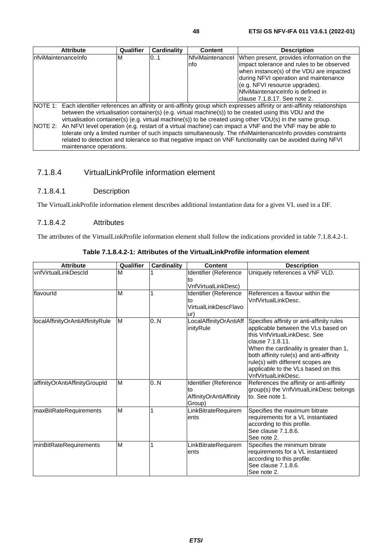| <b>Attribute</b>                                                                                                | Qualifier | Cardinality | <b>Content</b>   | <b>Description</b>                                                                                                            |
|-----------------------------------------------------------------------------------------------------------------|-----------|-------------|------------------|-------------------------------------------------------------------------------------------------------------------------------|
| InfviMaintenanceInfo                                                                                            | м         | 0.1         | NfviMaintenancel | When present, provides information on the                                                                                     |
|                                                                                                                 |           |             | Info             | impact tolerance and rules to be observed                                                                                     |
|                                                                                                                 |           |             |                  | when instance(s) of the VDU are impacted                                                                                      |
|                                                                                                                 |           |             |                  | during NFVI operation and maintenance                                                                                         |
|                                                                                                                 |           |             |                  | (e.g. NFVI resource upgrades).                                                                                                |
|                                                                                                                 |           |             |                  | NfviMaintenanceInfo is defined in                                                                                             |
|                                                                                                                 |           |             |                  | Iclause 7.1.8.17. See note 2.                                                                                                 |
|                                                                                                                 |           |             |                  | NOTE 1: Each identifier references an affinity or anti-affinity group which expresses affinity or anti-affinity relationships |
|                                                                                                                 |           |             |                  | between the virtualisation container(s) (e.g. virtual machine(s)) to be created using this VDU and the                        |
| virtualisation container(s) (e.g. virtual machine(s)) to be created using other VDU(s) in the same group.       |           |             |                  |                                                                                                                               |
| NOTE 2: An NFVI level operation (e.g. restart of a virtual machine) can impact a VNF and the VNF may be able to |           |             |                  |                                                                                                                               |
|                                                                                                                 |           |             |                  | tolerate only a limited number of such impacts simultaneously. The nfviMaintenanceInfo provides constraints                   |
|                                                                                                                 |           |             |                  | related to detection and tolerance so that negative impact on VNF functionality can be avoided during NFVI                    |
| maintenance operations.                                                                                         |           |             |                  |                                                                                                                               |

## 7.1.8.4 VirtualLinkProfile information element

### 7.1.8.4.1 Description

The VirtualLinkProfile information element describes additional instantiation data for a given VL used in a DF.

#### 7.1.8.4.2 Attributes

The attributes of the VirtualLinkProfile information element shall follow the indications provided in table 7.1.8.4.2-1.

| <b>Attribute</b>                | Qualifier | <b>Cardinality</b> | Content                                                         | <b>Description</b>                                                                                                                                                                                                                                                                                                            |
|---------------------------------|-----------|--------------------|-----------------------------------------------------------------|-------------------------------------------------------------------------------------------------------------------------------------------------------------------------------------------------------------------------------------------------------------------------------------------------------------------------------|
| vnfVirtualLinkDescld            | М         |                    | Identifier (Reference<br>to<br>VnfVirtualLinkDesc)              | Uniquely references a VNF VLD.                                                                                                                                                                                                                                                                                                |
| flavourld                       | M         |                    | Identifier (Reference<br>to<br>VirtualLinkDescFlavo<br>ur)      | References a flavour within the<br>VnfVirtualLinkDesc.                                                                                                                                                                                                                                                                        |
| localAffinityOrAntiAffinityRule | M         | 0.N                | LocalAffinityOrAntiAff<br>inityRule                             | Specifies affinity or anti-affinity rules<br>applicable between the VLs based on<br>this VnfVirtualLinkDesc. See<br>clause 7.1.8.11.<br>When the cardinality is greater than 1,<br>both affinity rule(s) and anti-affinity<br>rule(s) with different scopes are<br>applicable to the VLs based on this<br>VnfVirtualLinkDesc. |
| affinityOrAntiAffinityGroupId   | M         | 0.N                | Identifier (Reference<br>to<br>AffinityOrAntiAffinity<br>Group) | References the affinity or anti-affinity<br>group(s) the VnfVirtualLinkDesc belongs<br>to. See note 1.                                                                                                                                                                                                                        |
| maxBitRateRequirements          | M         |                    | LinkBitrateRequirem<br>ents                                     | Specifies the maximum bitrate<br>requirements for a VL instantiated<br>according to this profile.<br>See clause 7.1.8.6.<br>See note 2.                                                                                                                                                                                       |
| minBitRateRequirements          | M         | 1                  | LinkBitrateRequirem<br>ents                                     | Specifies the minimum bitrate<br>requirements for a VL instantiated<br>according to this profile.<br>See clause 7.1.8.6.<br>See note 2.                                                                                                                                                                                       |

**Table 7.1.8.4.2-1: Attributes of the VirtualLinkProfile information element**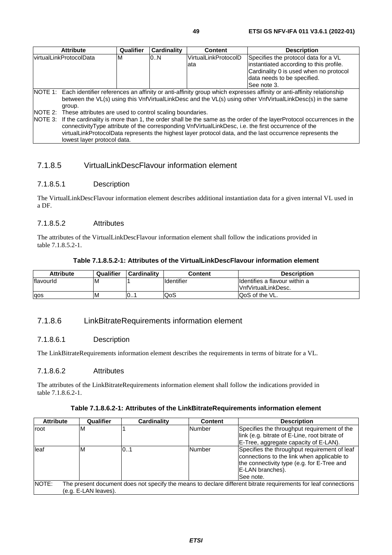|                          | <b>Attribute</b>                                                                                                                                                                                                                                                                                                                                                                                                                                     | Qualifier | <b>Cardinality</b> | <b>Content</b>               | <b>Description</b>                                                                                                                                                      |  |
|--------------------------|------------------------------------------------------------------------------------------------------------------------------------------------------------------------------------------------------------------------------------------------------------------------------------------------------------------------------------------------------------------------------------------------------------------------------------------------------|-----------|--------------------|------------------------------|-------------------------------------------------------------------------------------------------------------------------------------------------------------------------|--|
| lvirtualLinkProtocolData |                                                                                                                                                                                                                                                                                                                                                                                                                                                      | M         | 0.N                | VirtualLinkProtocolD<br>lata | Specifies the protocol data for a VL<br>instantiated according to this profile.<br>Cardinality 0 is used when no protocol<br>data needs to be specified.<br>See note 3. |  |
|                          | NOTE 1: Each identifier references an affinity or anti-affinity group which expresses affinity or anti-affinity relationship<br>between the VL(s) using this VnfVirtualLinkDesc and the VL(s) using other VnfVirtualLinkDesc(s) in the same<br>group.                                                                                                                                                                                                |           |                    |                              |                                                                                                                                                                         |  |
|                          | NOTE 2: These attributes are used to control scaling boundaries.<br>NOTE 3: If the cardinality is more than 1, the order shall be the same as the order of the layerProtocol occurrences in the<br>connectivityType attribute of the corresponding VnfVirtualLinkDesc, i.e. the first occurrence of the<br>virtualLinkProtocolData represents the highest layer protocol data, and the last occurrence represents the<br>lowest layer protocol data. |           |                    |                              |                                                                                                                                                                         |  |

## 7.1.8.5 VirtualLinkDescFlavour information element

### 7.1.8.5.1 Description

The VirtualLinkDescFlavour information element describes additional instantiation data for a given internal VL used in a DF.

#### 7.1.8.5.2 Attributes

The attributes of the VirtualLinkDescFlavour information element shall follow the indications provided in table 7.1.8.5.2-1.

|  | Table 7.1.8.5.2-1: Attributes of the VirtualLinkDescFlavour information element |
|--|---------------------------------------------------------------------------------|
|--|---------------------------------------------------------------------------------|

| Attribute | Qualifier | <b>Cardinality</b> | Content           | <b>Description</b>             |
|-----------|-----------|--------------------|-------------------|--------------------------------|
| flavourld | ıΜ        |                    | <b>Identifier</b> | Ildentifies a flavour within a |
|           |           |                    |                   | VnfVirtualLinkDesc.            |
| aos       | ΙM        | 10                 | lQoS              | <b>QoS of the VL.</b>          |

## 7.1.8.6 LinkBitrateRequirements information element

#### 7.1.8.6.1 Description

The LinkBitrateRequirements information element describes the requirements in terms of bitrate for a VL.

#### 7.1.8.6.2 Attributes

The attributes of the LinkBitrateRequirements information element shall follow the indications provided in table 7.1.8.6.2-1.

| <b>Attribute</b> | Qualifier                                                                                                      | <b>Cardinality</b> | <b>Content</b> | <b>Description</b>                                                                                                                                                         |  |  |  |  |
|------------------|----------------------------------------------------------------------------------------------------------------|--------------------|----------------|----------------------------------------------------------------------------------------------------------------------------------------------------------------------------|--|--|--|--|
| root             | ıΜ                                                                                                             |                    | Number         | Specifies the throughput requirement of the                                                                                                                                |  |  |  |  |
|                  |                                                                                                                |                    |                | link (e.g. bitrate of E-Line, root bitrate of                                                                                                                              |  |  |  |  |
|                  |                                                                                                                |                    |                | E-Tree, aggregate capacity of E-LAN).                                                                                                                                      |  |  |  |  |
| leaf             | M                                                                                                              | 0. 1               | Number         | Specifies the throughput requirement of leaf<br>connections to the link when applicable to<br>the connectivity type (e.g. for E-Tree and<br>E-LAN branches).<br>lSee note. |  |  |  |  |
| NOTE:            | The present document does not specify the means to declare different bitrate requirements for leaf connections |                    |                |                                                                                                                                                                            |  |  |  |  |
|                  | (e.g. E-LAN leaves).                                                                                           |                    |                |                                                                                                                                                                            |  |  |  |  |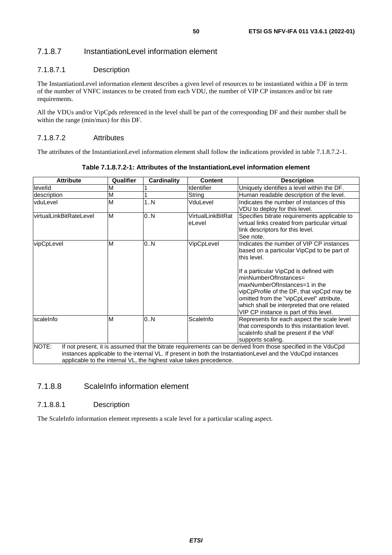## 7.1.8.7 InstantiationLevel information element

### 7.1.8.7.1 Description

The InstantiationLevel information element describes a given level of resources to be instantiated within a DF in term of the number of VNFC instances to be created from each VDU, the number of VIP CP instances and/or bit rate requirements.

All the VDUs and/or VipCpds referenced in the level shall be part of the corresponding DF and their number shall be within the range (min/max) for this DF.

#### 7.1.8.7.2 Attributes

The attributes of the InstantiationLevel information element shall follow the indications provided in table 7.1.8.7.2-1.

| <b>Attribute</b>                                                                                                                                                                                                                                                                                            | Qualifier | <b>Cardinality</b> | Content                     | <b>Description</b>                                                                                                                                                                                                                                                                  |  |  |  |
|-------------------------------------------------------------------------------------------------------------------------------------------------------------------------------------------------------------------------------------------------------------------------------------------------------------|-----------|--------------------|-----------------------------|-------------------------------------------------------------------------------------------------------------------------------------------------------------------------------------------------------------------------------------------------------------------------------------|--|--|--|
| levelld                                                                                                                                                                                                                                                                                                     | М         |                    | <b>Identifier</b>           | Uniquely identifies a level within the DF.                                                                                                                                                                                                                                          |  |  |  |
| description                                                                                                                                                                                                                                                                                                 | M         |                    | String                      | Human readable description of the level.                                                                                                                                                                                                                                            |  |  |  |
| vduLevel                                                                                                                                                                                                                                                                                                    | M         | 1.N                | VduLevel                    | Indicates the number of instances of this<br>VDU to deploy for this level.                                                                                                                                                                                                          |  |  |  |
| virtualLinkBitRateLevel                                                                                                                                                                                                                                                                                     | M         | 0.N                | VirtualLinkBitRat<br>eLevel | Specifies bitrate requirements applicable to<br>virtual links created from particular virtual<br>link descriptors for this level.<br>See note.                                                                                                                                      |  |  |  |
| vipCpLevel                                                                                                                                                                                                                                                                                                  | M         | 0.N                | VipCpLevel                  | Indicates the number of VIP CP instances<br>based on a particular VipCpd to be part of<br>this level.                                                                                                                                                                               |  |  |  |
|                                                                                                                                                                                                                                                                                                             |           |                    |                             | If a particular VipCpd is defined with<br>minNumberOfInstances=<br>maxNumberOfInstances=1 in the<br>vipCpProfile of the DF, that vipCpd may be<br>omitted from the "vipCpLevel" attribute,<br>which shall be interpreted that one related<br>VIP CP instance is part of this level. |  |  |  |
| scaleInfo                                                                                                                                                                                                                                                                                                   | M         | 0N                 | ScaleInfo                   | Represents for each aspect the scale level<br>that corresponds to this instantiation level.<br>scaleInfo shall be present if the VNF<br>supports scaling.                                                                                                                           |  |  |  |
| NOTE:<br>If not present, it is assumed that the bitrate requirements can be derived from those specified in the VduCpd<br>instances applicable to the internal VL. If present in both the InstantiationLevel and the VduCpd instances<br>applicable to the internal VL, the highest value takes precedence. |           |                    |                             |                                                                                                                                                                                                                                                                                     |  |  |  |

**Table 7.1.8.7.2-1: Attributes of the InstantiationLevel information element** 

## 7.1.8.8 ScaleInfo information element

#### 7.1.8.8.1 Description

The ScaleInfo information element represents a scale level for a particular scaling aspect.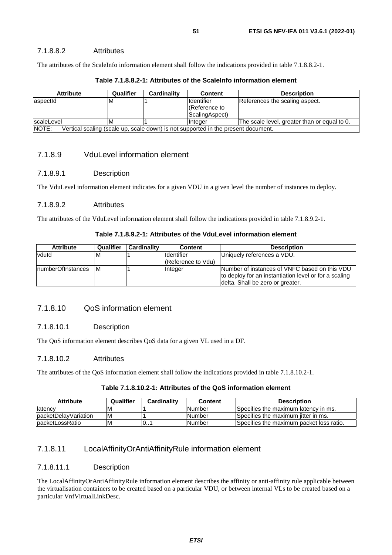#### 7.1.8.8.2 Attributes

The attributes of the ScaleInfo information element shall follow the indications provided in table 7.1.8.8.2-1.

| <b>Attribute</b>                                                                           | Qualifier | Cardinalitv | <b>Content</b>                                 | <b>Description</b>                           |  |  |
|--------------------------------------------------------------------------------------------|-----------|-------------|------------------------------------------------|----------------------------------------------|--|--|
| aspectId                                                                                   | M         |             | Ildentifier<br>(Reference to<br>ScalingAspect) | References the scaling aspect.               |  |  |
| scaleLevel                                                                                 | M         |             | Integer                                        | The scale level, greater than or equal to 0. |  |  |
| NOTE:<br>Vertical scaling (scale up, scale down) is not supported in the present document. |           |             |                                                |                                              |  |  |

#### **Table 7.1.8.8.2-1: Attributes of the ScaleInfo information element**

#### 7.1.8.9 VduLevel information element

#### 7.1.8.9.1 Description

The VduLevel information element indicates for a given VDU in a given level the number of instances to deploy.

#### 7.1.8.9.2 Attributes

The attributes of the VduLevel information element shall follow the indications provided in table 7.1.8.9.2-1.

#### **Table 7.1.8.9.2-1: Attributes of the VduLevel information element**

| <b>Attribute</b>   | Qualifier | <b>Cardinality</b> | <b>Content</b>     | <b>Description</b>                                    |
|--------------------|-----------|--------------------|--------------------|-------------------------------------------------------|
| vduld              | M         |                    | <b>Identifier</b>  | Uniquely references a VDU.                            |
|                    |           |                    | (Reference to Vdu) |                                                       |
| InumberOfInstances | IM.       |                    | <b>Integer</b>     | Number of instances of VNFC based on this VDU         |
|                    |           |                    |                    | to deploy for an instantiation level or for a scaling |
|                    |           |                    |                    | delta. Shall be zero or greater.                      |

## 7.1.8.10 QoS information element

#### 7.1.8.10.1 Description

The QoS information element describes QoS data for a given VL used in a DF.

#### 7.1.8.10.2 Attributes

The attributes of the QoS information element shall follow the indications provided in table 7.1.8.10.2-1.

#### **Table 7.1.8.10.2-1: Attributes of the QoS information element**

| Attribute             | Qualifier | Cardinalitv | Content        | <b>Description</b>                       |
|-----------------------|-----------|-------------|----------------|------------------------------------------|
| <b>Ilatency</b>       | IV        |             | <b>INumber</b> | Specifies the maximum latency in ms.     |
| IpacketDelavVariation | ΙM        |             | <b>Number</b>  | Specifies the maximum litter in ms.      |
| IpacketLossRatio      | M         | 0           | <b>INumber</b> | Specifies the maximum packet loss ratio. |

### 7.1.8.11 LocalAffinityOrAntiAffinityRule information element

#### 7.1.8.11.1 Description

The LocalAffinityOrAntiAffinityRule information element describes the affinity or anti-affinity rule applicable between the virtualisation containers to be created based on a particular VDU, or between internal VLs to be created based on a particular VnfVirtualLinkDesc.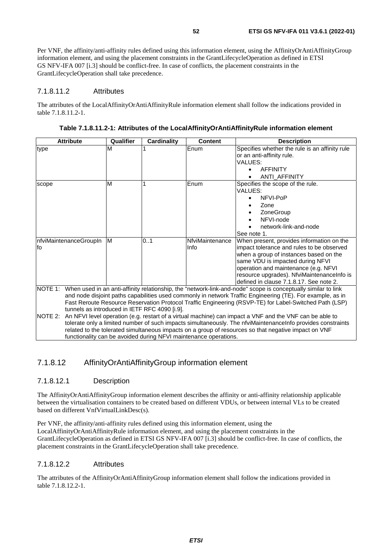When present, provides information on the impact tolerance and rules to be observed when a group of instances based on the same VDU is impacted during NFVI operation and maintenance (e.g. NFVI resource upgrades). NfviMaintenanceInfo is defined in clause 7.1.8.17. See note 2.

Per VNF, the affinity/anti-affinity rules defined using this information element, using the AffinityOrAntiAffinityGroup information element, and using the placement constraints in the GrantLifecycleOperation as defined in ETSI GS NFV-IFA 007 [[i.3\]](#page-8-0) should be conflict-free. In case of conflicts, the placement constraints in the GrantLifecycleOperation shall take precedence.

#### 7.1.8.11.2 Attributes

nfviMaintenanceGroupIn

fo

The attributes of the LocalAffinityOrAntiAffinityRule information element shall follow the indications provided in table 7.1.8.11.2-1.

| <b>Attribute</b> | Qualifier | Cardinality | <b>Content</b> | <b>Description</b>                             |
|------------------|-----------|-------------|----------------|------------------------------------------------|
| type             | м         |             | Enum           | Specifies whether the rule is an affinity rule |
|                  |           |             |                | or an anti-affinity rule.                      |
|                  |           |             |                | VALUES:                                        |
|                  |           |             |                | <b>AFFINITY</b><br>$\bullet$                   |
|                  |           |             |                | ANTI AFFINITY<br>$\bullet$                     |
| scope            | M         |             | Enum           | Specifies the scope of the rule.               |
|                  |           |             |                | VALUES:                                        |
|                  |           |             |                | NFVI-PoP<br>$\bullet$                          |
|                  |           |             |                | Zone<br>٠                                      |
|                  |           |             |                | ZoneGroup<br>$\bullet$                         |
|                  |           |             |                | NFVI-node<br>$\bullet$                         |
|                  |           |             |                | network-link-and-node                          |
|                  |           |             |                | See note 1.                                    |

Info

NOTE 1: When used in an anti-affinity relationship, the "network-link-and-node" scope is conceptually similar to link

and node disjoint paths capabilities used commonly in network Traffic Engineering (TE). For example, as in Fast Reroute Resource Reservation Protocol Traffic Engineering (RSVP-TE) for Label-Switched Path (LSP)

**Table 7.1.8.11.2-1: Attributes of the LocalAffinityOrAntiAffinityRule information element** 

| NOTE 2: An NFVI level operation (e.g. restart of a virtual machine) can impact a VNF and the VNF can be able to |
|-----------------------------------------------------------------------------------------------------------------|
| tolerate only a limited number of such impacts simultaneously. The nfviMaintenanceInfo provides constraints     |
| related to the tolerated simultaneous impacts on a group of resources so that negative impact on VNF            |
| functionality can be avoided during NFVI maintenance operations.                                                |
|                                                                                                                 |

M 0..1 NfviMaintenance

### 7.1.8.12 AffinityOrAntiAffinityGroup information element

tunnels as introduced in IETF RFC 4090 [i[.9\]](#page-9-0).

#### 7.1.8.12.1 Description

The AffinityOrAntiAffinityGroup information element describes the affinity or anti-affinity relationship applicable between the virtualisation containers to be created based on different VDUs, or between internal VLs to be created based on different VnfVirtualLinkDesc(s).

Per VNF, the affinity/anti-affinity rules defined using this information element, using the LocalAffinityOrAntiAffinityRule information element, and using the placement constraints in the GrantLifecycleOperation as defined in ETSI GS NFV-IFA 007 [[i.3](#page-8-0)] should be conflict-free. In case of conflicts, the placement constraints in the GrantLifecycleOperation shall take precedence.

#### 7.1.8.12.2 Attributes

The attributes of the AffinityOrAntiAffinityGroup information element shall follow the indications provided in table 7.1.8.12.2-1.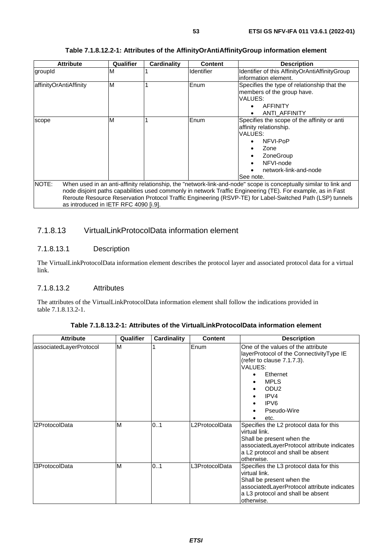| <b>Attribute</b>                      | Qualifier | Cardinality | <b>Content</b>    | <b>Description</b>                                                                                                |
|---------------------------------------|-----------|-------------|-------------------|-------------------------------------------------------------------------------------------------------------------|
| groupId                               | М         |             | <b>Identifier</b> | Identifier of this AffinityOrAntiAffinityGroup                                                                    |
|                                       |           |             |                   | information element.                                                                                              |
| affinityOrAntiAffinity                | M         |             | Enum              | Specifies the type of relationship that the                                                                       |
|                                       |           |             |                   | members of the group have.                                                                                        |
|                                       |           |             |                   | VALUES:                                                                                                           |
|                                       |           |             |                   | <b>AFFINITY</b>                                                                                                   |
|                                       |           |             |                   | ANTI AFFINITY                                                                                                     |
| scope                                 | M         |             | Enum              | Specifies the scope of the affinity or anti                                                                       |
|                                       |           |             |                   | affinity relationship.                                                                                            |
|                                       |           |             |                   | VALUES:                                                                                                           |
|                                       |           |             |                   | NFVI-PoP                                                                                                          |
|                                       |           |             |                   | Zone                                                                                                              |
|                                       |           |             |                   | ZoneGroup                                                                                                         |
|                                       |           |             |                   | NFVI-node<br>$\bullet$                                                                                            |
|                                       |           |             |                   | network-link-and-node                                                                                             |
|                                       |           |             |                   | See note.                                                                                                         |
| NOTE:                                 |           |             |                   | When used in an anti-affinity relationship, the "network-link-and-node" scope is conceptually similar to link and |
|                                       |           |             |                   | node disjoint paths capabilities used commonly in network Traffic Engineering (TE). For example, as in Fast       |
|                                       |           |             |                   | Reroute Resource Reservation Protocol Traffic Engineering (RSVP-TE) for Label-Switched Path (LSP) tunnels         |
| as introduced in IETF RFC 4090 [i.9]. |           |             |                   |                                                                                                                   |

#### **Table 7.1.8.12.2-1: Attributes of the AffinityOrAntiAffinityGroup information element**

## 7.1.8.13 VirtualLinkProtocolData information element

### 7.1.8.13.1 Description

The VirtualLinkProtocolData information element describes the protocol layer and associated protocol data for a virtual link.

### 7.1.8.13.2 Attributes

The attributes of the VirtualLinkProtocolData information element shall follow the indications provided in table 7.1.8.13.2-1.

| <b>Attribute</b>        | Qualifier | Cardinality | <b>Content</b> | <b>Description</b>                                                                                                                                                                                                           |
|-------------------------|-----------|-------------|----------------|------------------------------------------------------------------------------------------------------------------------------------------------------------------------------------------------------------------------------|
| associatedLayerProtocol | M         |             | Enum           | One of the values of the attribute<br>layerProtocol of the ConnectivityType IE<br>(refer to clause $7.1.7.3$ ).<br>VALUES:<br>Ethernet<br><b>MPLS</b><br>ODU <sub>2</sub><br>IPV4<br>IPV <sub>6</sub><br>Pseudo-Wire<br>etc. |
| Il2ProtocolData         | M         | 0.1         | L2ProtocolData | Specifies the L2 protocol data for this<br>virtual link.<br>Shall be present when the<br>associatedLayerProtocol attribute indicates<br>a L2 protocol and shall be absent<br>otherwise.                                      |
| I3ProtocolData          | ΙM        | 0.1         | L3ProtocolData | Specifies the L3 protocol data for this<br>virtual link.<br>Shall be present when the<br>associatedLayerProtocol attribute indicates<br>a L3 protocol and shall be absent<br>otherwise.                                      |

**Table 7.1.8.13.2-1: Attributes of the VirtualLinkProtocolData information element**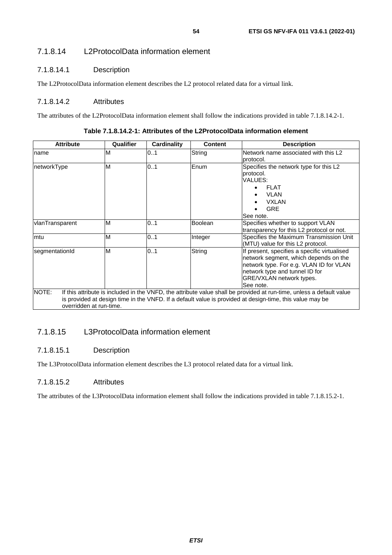## 7.1.8.14 L2ProtocolData information element

## 7.1.8.14.1 Description

The L2ProtocolData information element describes the L2 protocol related data for a virtual link.

### 7.1.8.14.2 Attributes

The attributes of the L2ProtocolData information element shall follow the indications provided in table 7.1.8.14.2-1.

| <b>Attribute</b>                                                                                                                                                                                                                                                     | Qualifier | Cardinality | <b>Content</b> | <b>Description</b>                                                                                                                                                                                          |  |
|----------------------------------------------------------------------------------------------------------------------------------------------------------------------------------------------------------------------------------------------------------------------|-----------|-------------|----------------|-------------------------------------------------------------------------------------------------------------------------------------------------------------------------------------------------------------|--|
| name                                                                                                                                                                                                                                                                 | M         | 01          | String         | Network name associated with this L2<br>protocol.                                                                                                                                                           |  |
| networkType                                                                                                                                                                                                                                                          | M         | 01          | Enum           | Specifies the network type for this L2<br>protocol.<br>VALUES:<br><b>FLAT</b><br><b>VLAN</b><br><b>VXLAN</b><br><b>GRE</b><br>See note.                                                                     |  |
| vlanTransparent                                                                                                                                                                                                                                                      | M         | 01          | <b>Boolean</b> | Specifies whether to support VLAN<br>transparency for this L2 protocol or not.                                                                                                                              |  |
| mtu                                                                                                                                                                                                                                                                  | M         | 01          | Integer        | Specifies the Maximum Transmission Unit<br>(MTU) value for this L2 protocol.                                                                                                                                |  |
| segmentationId                                                                                                                                                                                                                                                       | M         | 01          | String         | If present, specifies a specific virtualised<br>network segment, which depends on the<br>network type. For e.g. VLAN ID for VLAN<br>network type and tunnel ID for<br>GRE/VXLAN network types.<br>See note. |  |
| NOTE:<br>If this attribute is included in the VNFD, the attribute value shall be provided at run-time, unless a default value<br>is provided at design time in the VNFD. If a default value is provided at design-time, this value may be<br>overridden at run-time. |           |             |                |                                                                                                                                                                                                             |  |

**Table 7.1.8.14.2-1: Attributes of the L2ProtocolData information element** 

## 7.1.8.15 L3ProtocolData information element

### 7.1.8.15.1 Description

The L3ProtocolData information element describes the L3 protocol related data for a virtual link.

### 7.1.8.15.2 Attributes

The attributes of the L3ProtocolData information element shall follow the indications provided in table 7.1.8.15.2-1.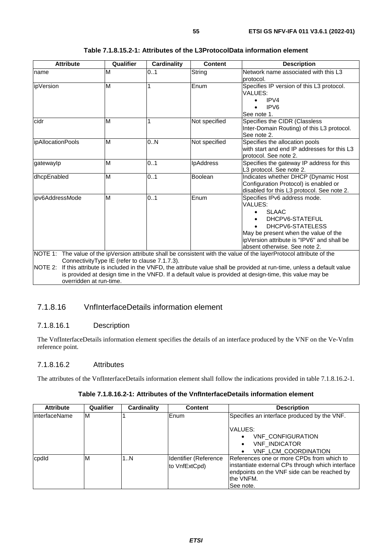| <b>Attribute</b>                   | Qualifier                                       | <b>Cardinality</b> | <b>Content</b>   | <b>Description</b>                                                                                                                                                                                                               |
|------------------------------------|-------------------------------------------------|--------------------|------------------|----------------------------------------------------------------------------------------------------------------------------------------------------------------------------------------------------------------------------------|
| name                               | M                                               | 0.1                | String           | Network name associated with this L3<br>protocol.                                                                                                                                                                                |
| lipVersion                         | M                                               |                    | Enum             | Specifies IP version of this L3 protocol.<br>VALUES:<br>IPV4<br>IPV <sub>6</sub><br>See note 1.                                                                                                                                  |
| cidr                               | M                                               |                    | Not specified    | Specifies the CIDR (Classless<br>Inter-Domain Routing) of this L3 protocol.<br>See note 2.                                                                                                                                       |
| ipAllocationPools                  | M                                               | 0.N                | Not specified    | Specifies the allocation pools<br>with start and end IP addresses for this L3<br>protocol. See note 2.                                                                                                                           |
| gatewaylp                          | M                                               | 0.1                | <b>IpAddress</b> | Specifies the gateway IP address for this<br>L3 protocol. See note 2.                                                                                                                                                            |
| dhcpEnabled                        | M                                               | 0.1                | Boolean          | Indicates whether DHCP (Dynamic Host<br>Configuration Protocol) is enabled or<br>disabled for this L3 protocol. See note 2.                                                                                                      |
| ipv6AddressMode                    | M                                               | 0.1                | Enum             | Specifies IPv6 address mode.<br>VALUES:<br><b>SLAAC</b><br>DHCPV6-STATEFUL<br>DHCPV6-STATELESS<br>May be present when the value of the<br>ipVersion attribute is "IPV6" and shall be<br>absent otherwise. See note 2.            |
|                                    |                                                 |                    |                  | NOTE 1: The value of the ipVersion attribute shall be consistent with the value of the layerProtocol attribute of the                                                                                                            |
| NOTE 2:<br>overridden at run-time. | Connectivity Type IE (refer to clause 7.1.7.3). |                    |                  | If this attribute is included in the VNFD, the attribute value shall be provided at run-time, unless a default value<br>is provided at design time in the VNFD. If a default value is provided at design-time, this value may be |

### **Table 7.1.8.15.2-1: Attributes of the L3ProtocolData information element**

## 7.1.8.16 VnfInterfaceDetails information element

### 7.1.8.16.1 Description

The VnfInterfaceDetails information element specifies the details of an interface produced by the VNF on the Ve-Vnfm reference point.

#### 7.1.8.16.2 Attributes

The attributes of the VnfInterfaceDetails information element shall follow the indications provided in table 7.1.8.16.2-1.

|  | Table 7.1.8.16.2-1: Attributes of the VnflnterfaceDetails information element |
|--|-------------------------------------------------------------------------------|
|--|-------------------------------------------------------------------------------|

| <b>Attribute</b> | Qualifier | Cardinality | <b>Content</b>        | <b>Description</b>                               |
|------------------|-----------|-------------|-----------------------|--------------------------------------------------|
| linterfaceName   | M         |             | Enum                  | Specifies an interface produced by the VNF.      |
|                  |           |             |                       | VALUES:                                          |
|                  |           |             |                       | <b>VNF CONFIGURATION</b>                         |
|                  |           |             |                       | <b>VNF INDICATOR</b>                             |
|                  |           |             |                       | <b>VNF LCM COORDINATION</b>                      |
| cpdld            | M         | 1N          | Identifier (Reference | References one or more CPDs from which to        |
|                  |           |             | to VnfExtCpd)         | instantiate external CPs through which interface |
|                  |           |             |                       | endpoints on the VNF side can be reached by      |
|                  |           |             |                       | the VNFM.                                        |
|                  |           |             |                       | See note.                                        |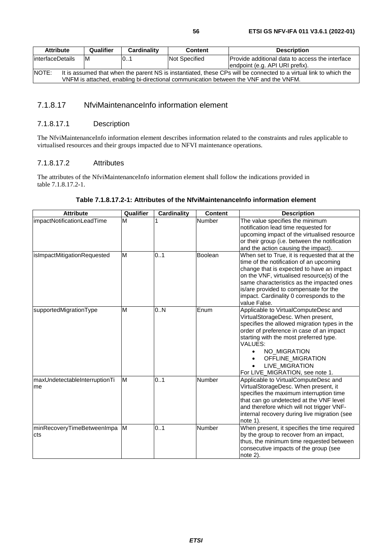## 7.1.8.17 NfviMaintenanceInfo information element

#### 7.1.8.17.1 Description

The NfviMaintenanceInfo information element describes information related to the constraints and rules applicable to virtualised resources and their groups impacted due to NFVI maintenance operations.

#### 7.1.8.17.2 Attributes

The attributes of the NfviMaintenanceInfo information element shall follow the indications provided in table 7.1.8.17.2-1.

#### **Table 7.1.8.17.2-1: Attributes of the NfviMaintenanceInfo information element**

| <b>Attribute</b>                    | Qualifier | <b>Cardinality</b> | <b>Content</b> | <b>Description</b>                                                                                                                                                                                                                                                                                                                    |
|-------------------------------------|-----------|--------------------|----------------|---------------------------------------------------------------------------------------------------------------------------------------------------------------------------------------------------------------------------------------------------------------------------------------------------------------------------------------|
| impactNotificationLeadTime          | М         |                    | Number         | The value specifies the minimum<br>notification lead time requested for<br>upcoming impact of the virtualised resource<br>or their group (i.e. between the notification<br>and the action causing the impact).                                                                                                                        |
| isImpactMitigationRequested         | M         | 0.1                | <b>Boolean</b> | When set to True, it is requested that at the<br>time of the notification of an upcoming<br>change that is expected to have an impact<br>on the VNF, virtualised resource(s) of the<br>same characteristics as the impacted ones<br>is/are provided to compensate for the<br>impact. Cardinality 0 corresponds to the<br>value False. |
| supportedMigrationType              | M         | 0.N                | Enum           | Applicable to VirtualComputeDesc and<br>VirtualStorageDesc. When present,<br>specifies the allowed migration types in the<br>order of preference in case of an impact<br>starting with the most preferred type.<br>VALUES:<br>NO_MIGRATION<br>$\bullet$<br>OFFLINE_MIGRATION<br>LIVE_MIGRATION<br>For LIVE_MIGRATION, see note 1.     |
| maxUndetectableInterruptionTi<br>me | M         | 0.1                | Number         | Applicable to VirtualComputeDesc and<br>VirtualStorageDesc. When present, it<br>specifies the maximum interruption time<br>that can go undetected at the VNF level<br>and therefore which will not trigger VNF-<br>internal recovery during live migration (see<br>note 1).                                                           |
| minRecoveryTimeBetweenImpa<br>cts   | M         | 0.1                | Number         | When present, it specifies the time required<br>by the group to recover from an impact,<br>thus, the minimum time requested between<br>consecutive impacts of the group (see<br>note $2$ ).                                                                                                                                           |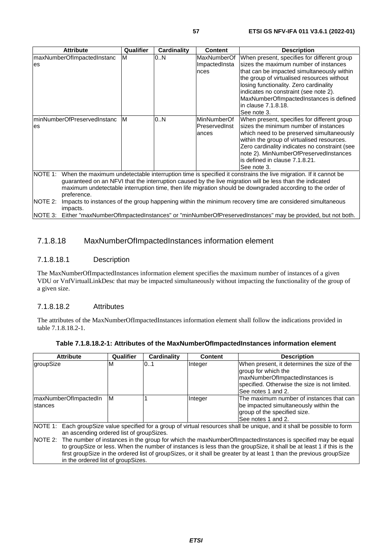| <b>Attribute</b>                                                                                                                                                                                                                                                                                                                                   | Qualifier | Cardinality | <b>Content</b>                               | <b>Description</b>                                                                                                                                                                                                                                                                                                                                   |  |
|----------------------------------------------------------------------------------------------------------------------------------------------------------------------------------------------------------------------------------------------------------------------------------------------------------------------------------------------------|-----------|-------------|----------------------------------------------|------------------------------------------------------------------------------------------------------------------------------------------------------------------------------------------------------------------------------------------------------------------------------------------------------------------------------------------------------|--|
| maxNumberOfImpactedInstanc<br>es                                                                                                                                                                                                                                                                                                                   | M         | 0.N         | MaxNumberOf<br>ImpactedInsta<br>nces         | When present, specifies for different group<br>sizes the maximum number of instances<br>that can be impacted simultaneously within<br>the group of virtualised resources without<br>losing functionality. Zero cardinality<br>indicates no constraint (see note 2).<br>MaxNumberOfImpactedInstances is defined<br>in clause 7.1.8.18.<br>See note 3. |  |
| minNumberOfPreservedInstanc<br>es                                                                                                                                                                                                                                                                                                                  | M         | 0.N         | <b>MinNumberOf</b><br>PreservedInst<br>ances | When present, specifies for different group<br>sizes the minimum number of instances<br>which need to be preserved simultaneously<br>within the group of virtualised resources.<br>Zero cardinality indicates no constraint (see<br>note 2). MinNumberOfPreservedInstances<br>is defined in clause 7.1.8.21.<br>See note 3.                          |  |
| NOTE 1:<br>When the maximum undetectable interruption time is specified it constrains the live migration. If it cannot be<br>guaranteed on an NFVI that the interruption caused by the live migration will be less than the indicated<br>maximum undetectable interruption time then life migration should be downgraded according to the order of |           |             |                                              |                                                                                                                                                                                                                                                                                                                                                      |  |

maximum undetectable interruption time, then life migration should be downgraded according to the order of preference.

NOTE 2: Impacts to instances of the group happening within the minimum recovery time are considered simultaneous impacts.

NOTE 3: Either "maxNumberOfImpactedInstances" or "minNumberOfPreservedInstances" may be provided, but not both.

## 7.1.8.18 MaxNumberOfImpactedInstances information element

### 7.1.8.18.1 Description

The MaxNumberOfImpactedInstances information element specifies the maximum number of instances of a given VDU or VnfVirtualLinkDesc that may be impacted simultaneously without impacting the functionality of the group of a given size.

### 7.1.8.18.2 Attributes

The attributes of the MaxNumberOfImpactedInstances information element shall follow the indications provided in table 7.1.8.18.2-1.

| <b>Attribute</b>                                                                                                                                                                                                                                                                                                                                                                                                                                                                                                                                                                              | Qualifier | <b>Cardinality</b> | Content | <b>Description</b>                                                                                                                                                           |  |
|-----------------------------------------------------------------------------------------------------------------------------------------------------------------------------------------------------------------------------------------------------------------------------------------------------------------------------------------------------------------------------------------------------------------------------------------------------------------------------------------------------------------------------------------------------------------------------------------------|-----------|--------------------|---------|------------------------------------------------------------------------------------------------------------------------------------------------------------------------------|--|
| groupSize                                                                                                                                                                                                                                                                                                                                                                                                                                                                                                                                                                                     | M         | 101                | Integer | When present, it determines the size of the<br>group for which the<br>maxNumberOfImpactedInstances is<br>specified. Otherwise the size is not limited.<br>See notes 1 and 2. |  |
| maxNumberOfImpactedIn<br>stances                                                                                                                                                                                                                                                                                                                                                                                                                                                                                                                                                              | ΙM        |                    | Integer | The maximum number of instances that can<br>be impacted simultaneously within the<br>group of the specified size.<br>See notes 1 and 2.                                      |  |
| Each groupSize value specified for a group of virtual resources shall be unique, and it shall be possible to form<br>NOTE 1:<br>an ascending ordered list of groupSizes.<br><b>INOTE 2:</b><br>The number of instances in the group for which the maxNumberOfImpactedInstances is specified may be equal<br>to groupSize or less. When the number of instances is less than the groupSize, it shall be at least 1 if this is the<br>first groupSize in the ordered list of groupSizes, or it shall be greater by at least 1 than the previous groupSize<br>in the ordered list of groupSizes. |           |                    |         |                                                                                                                                                                              |  |

|  |  | Table 7.1.8.18.2-1: Attributes of the MaxNumberOfImpactedInstances information element |
|--|--|----------------------------------------------------------------------------------------|
|  |  |                                                                                        |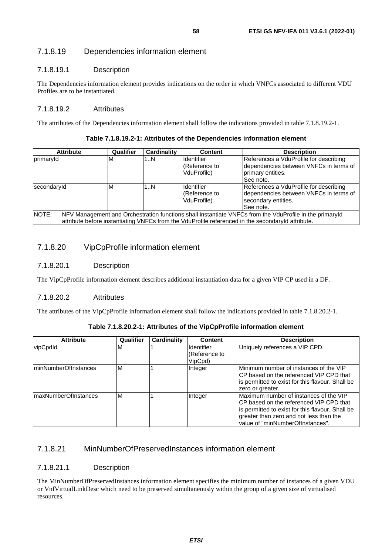## 7.1.8.19 Dependencies information element

### 7.1.8.19.1 Description

The Dependencies information element provides indications on the order in which VNFCs associated to different VDU Profiles are to be instantiated.

#### 7.1.8.19.2 Attributes

The attributes of the Dependencies information element shall follow the indications provided in table 7.1.8.19.2-1.

#### **Table 7.1.8.19.2-1: Attributes of the Dependencies information element**

| <b>Attribute</b>                                                                                                                                                                                                      | Qualifier | <b>Cardinality</b> | <b>Content</b>                                     | <b>Description</b>                                                                                                   |
|-----------------------------------------------------------------------------------------------------------------------------------------------------------------------------------------------------------------------|-----------|--------------------|----------------------------------------------------|----------------------------------------------------------------------------------------------------------------------|
| primaryId                                                                                                                                                                                                             | ΙM        | 1N                 | <b>Identifier</b><br>l(Reference to<br>VduProfile) | References a VduProfile for describing<br>dependencies between VNFCs in terms of<br>primary entities.<br>ISee note.  |
| secondaryId                                                                                                                                                                                                           | ΙM        | 1N                 | <b>Identifier</b><br>Reference to<br>VduProfile)   | References a VduProfile for describing<br>dependencies between VNFCs in terms of<br>secondary entities.<br>See note. |
| NOTE:<br>NFV Management and Orchestration functions shall instantiate VNFCs from the VduProfile in the primaryId<br>attribute before instantiating VNFCs from the VduProfile referenced in the secondaryld attribute. |           |                    |                                                    |                                                                                                                      |

### 7.1.8.20 VipCpProfile information element

### 7.1.8.20.1 Description

The VipCpProfile information element describes additional instantiation data for a given VIP CP used in a DF.

#### 7.1.8.20.2 Attributes

The attributes of the VipCpProfile information element shall follow the indications provided in table 7.1.8.20.2-1.

#### **Table 7.1.8.20.2-1: Attributes of the VipCpProfile information element**

| <b>Attribute</b>      | Qualifier | Cardinality | <b>Content</b>                                | <b>Description</b>                                                                                                                                                                                                    |
|-----------------------|-----------|-------------|-----------------------------------------------|-----------------------------------------------------------------------------------------------------------------------------------------------------------------------------------------------------------------------|
| vipCpdId              | M         |             | <b>Identifier</b><br>(Reference to<br>VipCpd) | Uniquely references a VIP CPD.                                                                                                                                                                                        |
| IminNumberOfInstances | M         |             | Integer                                       | Minimum number of instances of the VIP<br>ICP based on the referenced VIP CPD that<br>is permitted to exist for this flavour. Shall be<br>zero or greater.                                                            |
| ImaxNumberOfInstances | M         |             | Integer                                       | Maximum number of instances of the VIP<br>ICP based on the referenced VIP CPD that<br>is permitted to exist for this flavour. Shall be<br>greater than zero and not less than the<br>value of "minNumberOfInstances". |

### 7.1.8.21 MinNumberOfPreservedInstances information element

#### 7.1.8.21.1 Description

The MinNumberOfPreservedInstances information element specifies the minimum number of instances of a given VDU or VnfVirtualLinkDesc which need to be preserved simultaneously within the group of a given size of virtualised resources.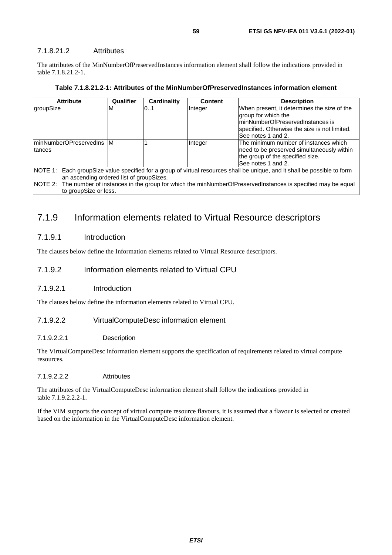#### 7.1.8.21.2 Attributes

The attributes of the MinNumberOfPreservedInstances information element shall follow the indications provided in table 7.1.8.21.2-1.

| <b>Attribute</b>                                                                                                                                                                                                                                                                                | Qualifier | Cardinality | <b>Content</b> | <b>Description</b>                                                                                                                                                            |
|-------------------------------------------------------------------------------------------------------------------------------------------------------------------------------------------------------------------------------------------------------------------------------------------------|-----------|-------------|----------------|-------------------------------------------------------------------------------------------------------------------------------------------------------------------------------|
| groupSize                                                                                                                                                                                                                                                                                       | M         | 0.1         | Integer        | When present, it determines the size of the<br>group for which the<br>minNumberOfPreservedInstances is<br>specified. Otherwise the size is not limited.<br>See notes 1 and 2. |
| IminNumberOPreservedIns M<br><b>Itances</b>                                                                                                                                                                                                                                                     |           |             | Integer        | The minimum number of instances which<br>need to be preserved simultaneously within<br>the group of the specified size.<br>See notes 1 and 2.                                 |
| NOTE 1:<br>Each group Size value specified for a group of virtual resources shall be unique, and it shall be possible to form<br>an ascending ordered list of groupSizes.<br>NOTE 2: The number of instances in the group for which the minNumberOfPreservedInstances is specified may be equal |           |             |                |                                                                                                                                                                               |
| to groupSize or less.                                                                                                                                                                                                                                                                           |           |             |                |                                                                                                                                                                               |

## 7.1.9 Information elements related to Virtual Resource descriptors

#### 7.1.9.1 Introduction

The clauses below define the Information elements related to Virtual Resource descriptors.

#### 7.1.9.2 Information elements related to Virtual CPU

#### 7.1.9.2.1 Introduction

The clauses below define the information elements related to Virtual CPU.

#### 7.1.9.2.2 VirtualComputeDesc information element

#### 7.1.9.2.2.1 Description

The VirtualComputeDesc information element supports the specification of requirements related to virtual compute resources.

#### 7.1.9.2.2.2 Attributes

The attributes of the VirtualComputeDesc information element shall follow the indications provided in table 7.1.9.2.2.2-1.

If the VIM supports the concept of virtual compute resource flavours, it is assumed that a flavour is selected or created based on the information in the VirtualComputeDesc information element.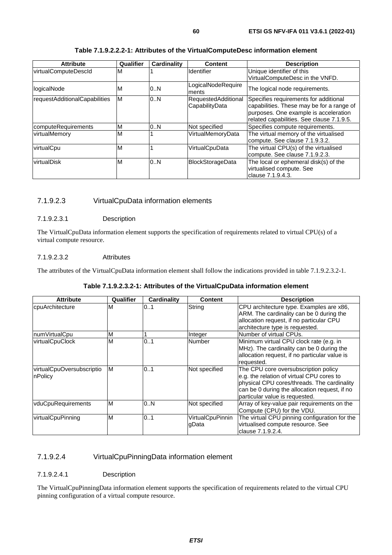| <b>Attribute</b>              | Qualifier | <b>Cardinality</b> | <b>Content</b>                                                                    | <b>Description</b>                                                                                                                                                       |
|-------------------------------|-----------|--------------------|-----------------------------------------------------------------------------------|--------------------------------------------------------------------------------------------------------------------------------------------------------------------------|
| virtualComputeDescld          | M         |                    | Unique identifier of this<br><b>Identifier</b><br>VirtualComputeDesc in the VNFD. |                                                                                                                                                                          |
| logicalNode                   | ιM        | 0N                 | LogicalNodeRequire<br>ments                                                       | The logical node requirements.                                                                                                                                           |
| requestAdditionalCapabilities | M         | 0N                 | RequestedAdditional<br>CapabilityData                                             | Specifies requirements for additional<br>capabilities. These may be for a range of<br>purposes. One example is acceleration<br>related capabilities. See clause 7.1.9.5. |
| computeRequirements           | ΙM        | 0N                 | Not specified                                                                     | Specifies compute requirements.                                                                                                                                          |
| virtualMemory                 | M         |                    | VirtualMemoryData                                                                 | The virtual memory of the virtualised<br>compute. See clause 7.1.9.3.2.                                                                                                  |
| virtualCpu                    | M         |                    | VirtualCpuData                                                                    | The virtual CPU(s) of the virtualised<br>compute. See clause 7.1.9.2.3.                                                                                                  |
| virtualDisk                   | M         | 0N                 | <b>BlockStorageData</b>                                                           | The local or ephemeral disk(s) of the<br>virtualised compute. See<br>lclause 7.1.9.4.3.                                                                                  |

#### **Table 7.1.9.2.2.2-1: Attributes of the VirtualComputeDesc information element**

### 7.1.9.2.3 VirtualCpuData information elements

#### 7.1.9.2.3.1 Description

The VirtualCpuData information element supports the specification of requirements related to virtual CPU(s) of a virtual compute resource.

#### 7.1.9.2.3.2 Attributes

The attributes of the VirtualCpuData information element shall follow the indications provided in table 7.1.9.2.3.2-1.

#### **Table 7.1.9.2.3.2-1: Attributes of the VirtualCpuData information element**

| <b>Attribute</b>                     | Qualifier | <b>Cardinality</b> | <b>Content</b>                   | <b>Description</b>                                                                                                                                                                                                  |
|--------------------------------------|-----------|--------------------|----------------------------------|---------------------------------------------------------------------------------------------------------------------------------------------------------------------------------------------------------------------|
| cpuArchitecture                      | M         | 0.1                | String                           | CPU architecture type. Examples are x86,<br>ARM. The cardinality can be 0 during the<br>allocation request, if no particular CPU<br>architecture type is requested.                                                 |
| numVirtualCpu                        | M         |                    | Integer                          | Number of virtual CPUs.                                                                                                                                                                                             |
| <b>virtualCpuClock</b>               | M         | 0.1                | Number                           | Minimum virtual CPU clock rate (e.g. in<br>MHz). The cardinality can be 0 during the<br>allocation request, if no particular value is<br>requested.                                                                 |
| virtualCpuOversubscriptio<br>nPolicy | ΙM        | 0.1                | Not specified                    | The CPU core oversubscription policy<br>e.g. the relation of virtual CPU cores to<br>physical CPU cores/threads. The cardinality<br>can be 0 during the allocation request, if no<br>particular value is requested. |
| vduCpuRequirements                   | Iм        | 0N                 | Not specified                    | Array of key-value pair requirements on the<br>Compute (CPU) for the VDU.                                                                                                                                           |
| virtualCpuPinning                    | M         | 0.1                | <b>VirtualCpuPinnin</b><br>gData | The virtual CPU pinning configuration for the<br>virtualised compute resource. See<br>clause 7.1.9.2.4.                                                                                                             |

### 7.1.9.2.4 VirtualCpuPinningData information element

#### 7.1.9.2.4.1 Description

The VirtualCpuPinningData information element supports the specification of requirements related to the virtual CPU pinning configuration of a virtual compute resource.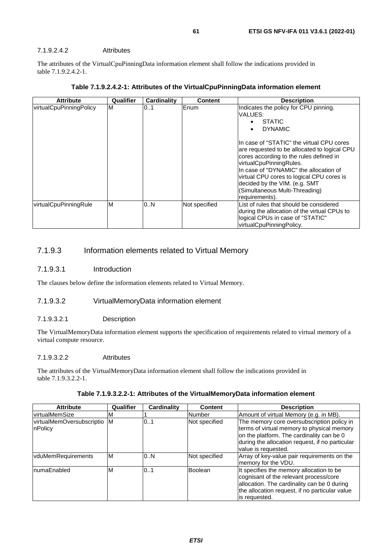#### 7.1.9.2.4.2 Attributes

The attributes of the VirtualCpuPinningData information element shall follow the indications provided in table 7.1.9.2.4.2-1.

| <b>Attribute</b>        | Qualifier | Cardinality | <b>Content</b> | <b>Description</b>                                                                                                                                                                                                                                                                                                                                                                                                                 |
|-------------------------|-----------|-------------|----------------|------------------------------------------------------------------------------------------------------------------------------------------------------------------------------------------------------------------------------------------------------------------------------------------------------------------------------------------------------------------------------------------------------------------------------------|
| virtualCpuPinningPolicy | M         | 01          | Enum           | Indicates the policy for CPU pinning.<br>VALUES:<br><b>STATIC</b><br><b>DYNAMIC</b><br>In case of "STATIC" the virtual CPU cores<br>are requested to be allocated to logical CPU<br>cores according to the rules defined in<br>virtualCpuPinningRules.<br>In case of "DYNAMIC" the allocation of<br>virtual CPU cores to logical CPU cores is<br>decided by the VIM. (e.g. SMT<br>(Simultaneous Multi-Threading)<br>requirements). |
| virtualCpuPinningRule   | ΙM        | 10N         | Not specified  | List of rules that should be considered<br>during the allocation of the virtual CPUs to<br>logical CPUs in case of "STATIC"<br>virtualCpuPinningPolicy.                                                                                                                                                                                                                                                                            |

| Table 7.1.9.2.4.2-1: Attributes of the VirtualCpuPinningData information element |  |  |
|----------------------------------------------------------------------------------|--|--|
|                                                                                  |  |  |

## 7.1.9.3 Information elements related to Virtual Memory

#### 7.1.9.3.1 Introduction

The clauses below define the information elements related to Virtual Memory.

### 7.1.9.3.2 VirtualMemoryData information element

#### 7.1.9.3.2.1 Description

The VirtualMemoryData information element supports the specification of requirements related to virtual memory of a virtual compute resource.

#### 7.1.9.3.2.2 Attributes

The attributes of the VirtualMemoryData information element shall follow the indications provided in table 7.1.9.3.2.2-1.

| Table 7.1.9.3.2.2-1: Attributes of the VirtualMemoryData information element |  |
|------------------------------------------------------------------------------|--|
|------------------------------------------------------------------------------|--|

| <b>Attribute</b>                       | Qualifier | Cardinality | <b>Content</b> | <b>Description</b>                                                                                                                                                                                              |
|----------------------------------------|-----------|-------------|----------------|-----------------------------------------------------------------------------------------------------------------------------------------------------------------------------------------------------------------|
| virtualMemSize                         | M         |             | Number         | Amount of virtual Memory (e.g. in MB).                                                                                                                                                                          |
| virtualMemOversubscriptio M<br>nPolicy |           | 0.1         | Not specified  | The memory core oversubscription policy in<br>terms of virtual memory to physical memory<br>on the platform. The cardinality can be 0<br>during the allocation request, if no particular<br>value is requested. |
| vduMemRequirements                     | ΙM        | 0.N         | Not specified  | Array of key-value pair requirements on the<br>memory for the VDU.                                                                                                                                              |
| InumaEnabled                           | M         | 01          | <b>Boolean</b> | It specifies the memory allocation to be<br>cognisant of the relevant process/core<br>allocation. The cardinality can be 0 during<br>the allocation request, if no particular value<br>is requested.            |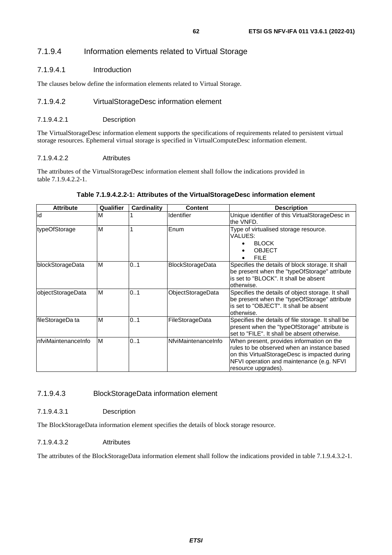## 7.1.9.4.1 Introduction

The clauses below define the information elements related to Virtual Storage.

## 7.1.9.4.2 VirtualStorageDesc information element

## 7.1.9.4.2.1 Description

The VirtualStorageDesc information element supports the specifications of requirements related to persistent virtual storage resources. Ephemeral virtual storage is specified in VirtualComputeDesc information element.

## 7.1.9.4.2.2 Attributes

The attributes of the VirtualStorageDesc information element shall follow the indications provided in table 7.1.9.4.2.2-1.

## **Table 7.1.9.4.2.2-1: Attributes of the VirtualStorageDesc information element**

| <b>Attribute</b>     | <b>Qualifier</b> | <b>Cardinality</b> | Content                  | <b>Description</b>                                                                                                                                                                                            |
|----------------------|------------------|--------------------|--------------------------|---------------------------------------------------------------------------------------------------------------------------------------------------------------------------------------------------------------|
| id                   | M                |                    | Identifier               | Unique identifier of this VirtualStorageDesc in<br>the VNFD.                                                                                                                                                  |
| typeOfStorage        | M                |                    | Enum                     | Type of virtualised storage resource.<br>VALUES:<br><b>BLOCK</b><br>$\bullet$<br><b>OBJECT</b><br>٠<br><b>FILE</b>                                                                                            |
| blockStorageData     | M                | 0.1                | <b>BlockStorageData</b>  | Specifies the details of block storage. It shall<br>be present when the "typeOfStorage" attribute<br>is set to "BLOCK". It shall be absent<br>otherwise.                                                      |
| objectStorageData    | M                | 0.1                | <b>ObjectStorageData</b> | Specifies the details of object storage. It shall<br>be present when the "typeOfStorage" attribute<br>is set to "OBJECT". It shall be absent<br>otherwise.                                                    |
| fileStorageDa ta     | M                | 0.1                | FileStorageData          | Specifies the details of file storage. It shall be<br>present when the "typeOfStorage" attribute is<br>set to "FILE". It shall be absent otherwise.                                                           |
| InfviMaintenanceInfo | M                | 0.1                | NfviMaintenanceInfo      | When present, provides information on the<br>rules to be observed when an instance based<br>on this VirtualStorageDesc is impacted during<br>NFVI operation and maintenance (e.g. NFVI<br>resource upgrades). |

## 7.1.9.4.3 BlockStorageData information element

7.1.9.4.3.1 Description

The BlockStorageData information element specifies the details of block storage resource.

## 7.1.9.4.3.2 Attributes

The attributes of the BlockStorageData information element shall follow the indications provided in table 7.1.9.4.3.2-1.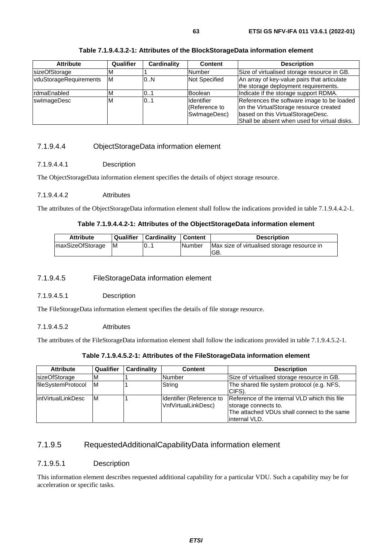| <b>Attribute</b>       | Qualifier | Cardinality                 | <b>Content</b>    | <b>Description</b>                           |
|------------------------|-----------|-----------------------------|-------------------|----------------------------------------------|
| sizeOfStorage          |           |                             | Number            | Size of virtualised storage resource in GB.  |
| vduStorageRequirements | IМ        | <b>Not Specified</b><br>0.N |                   | An array of key-value pairs that articulate  |
|                        |           |                             |                   | the storage deployment requirements.         |
| rdmaEnabled            | M         | 01                          | <b>Boolean</b>    | Indicate if the storage support RDMA.        |
| swlmageDesc            | ΙM        | 101                         | <b>Identifier</b> | References the software image to be loaded   |
|                        |           |                             | Reference to      | on the VirtualStorage resource created       |
|                        |           |                             | SwlmageDesc)      | based on this VirtualStorageDesc.            |
|                        |           |                             |                   | Shall be absent when used for virtual disks. |

**Table 7.1.9.4.3.2-1: Attributes of the BlockStorageData information element** 

### 7.1.9.4.4 ObjectStorageData information element

#### 7.1.9.4.4.1 Description

The ObjectStorageData information element specifies the details of object storage resource.

#### 7.1.9.4.4.2 Attributes

The attributes of the ObjectStorageData information element shall follow the indications provided in table 7.1.9.4.4.2-1.

#### **Table 7.1.9.4.4.2-1: Attributes of the ObjectStorageData information element**

| <b>Attribute</b>        |      | Qualifier   Cardinality   Content |         | <b>Description</b>                                  |
|-------------------------|------|-----------------------------------|---------|-----------------------------------------------------|
| <b>maxSizeOfStorage</b> | - IM | 10                                | lNumber | Max size of virtualised storage resource in<br>IGB. |

#### 7.1.9.4.5 FileStorageData information element

7.1.9.4.5.1 Description

The FileStorageData information element specifies the details of file storage resource.

#### 7.1.9.4.5.2 Attributes

The attributes of the FileStorageData information element shall follow the indications provided in table 7.1.9.4.5.2-1.

#### **Table 7.1.9.4.5.2-1: Attributes of the FileStorageData information element**

| <b>Attribute</b>     | Qualifier | Cardinality | Content                                         | <b>Description</b>                                                                                                                     |
|----------------------|-----------|-------------|-------------------------------------------------|----------------------------------------------------------------------------------------------------------------------------------------|
| <b>sizeOfStorage</b> | м         |             | Number                                          | Size of virtualised storage resource in GB.                                                                                            |
| fileSystemProtocol   | lм        |             | String                                          | The shared file system protocol (e.g. NFS,<br>CIFS).                                                                                   |
| lintVirtualLinkDesc  | ΙM        |             | Identifier (Reference to<br>VnfVirtualLinkDesc) | Reference of the internal VLD which this file<br>storage connects to.<br>The attached VDUs shall connect to the same<br>linternal VLD. |

## 7.1.9.5 RequestedAdditionalCapabilityData information element

#### 7.1.9.5.1 Description

This information element describes requested additional capability for a particular VDU. Such a capability may be for acceleration or specific tasks.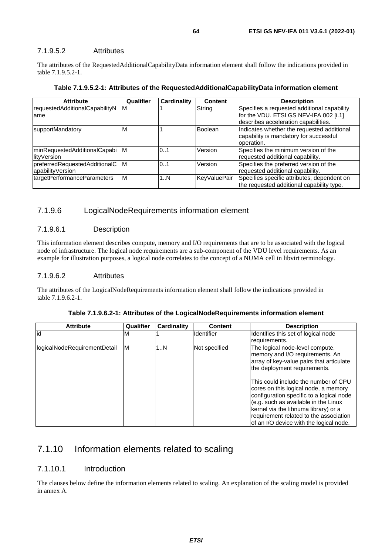### 7.1.9.5.2 Attributes

The attributes of the RequestedAdditionalCapabilityData information element shall follow the indications provided in table 7.1.9.5.2-1.

|  |  | Table 7.1.9.5.2-1: Attributes of the RequestedAdditionalCapabilityData information element |
|--|--|--------------------------------------------------------------------------------------------|
|  |  |                                                                                            |

| <b>Attribute</b>                                    | Qualifier | Cardinality | <b>Content</b> | <b>Description</b>                                                                                                            |
|-----------------------------------------------------|-----------|-------------|----------------|-------------------------------------------------------------------------------------------------------------------------------|
| requestedAdditionalCapabilityN<br>lame              | IM.       |             | String         | Specifies a requested additional capability<br>for the VDU. ETSI GS NFV-IFA 002 [i.1]<br>describes acceleration capabilities. |
| supportMandatory                                    | M         |             | <b>Boolean</b> | Indicates whether the requested additional<br>capability is mandatory for successful<br>operation.                            |
| minRequestedAdditionalCapabi M<br>lityVersion       |           | 0.1         | Version        | Specifies the minimum version of the<br>requested additional capability.                                                      |
| preferredRequestedAdditionalC M<br>apabilityVersion |           | 0.1         | Version        | Specifies the preferred version of the<br>requested additional capability.                                                    |
| targetPerformanceParameters                         | M         | 1N          | KeyValuePair   | Specifies specific attributes, dependent on<br>the requested additional capability type.                                      |

#### 7.1.9.6 LogicalNodeRequirements information element

#### 7.1.9.6.1 Description

This information element describes compute, memory and I/O requirements that are to be associated with the logical node of infrastructure. The logical node requirements are a sub-component of the VDU level requirements. As an example for illustration purposes, a logical node correlates to the concept of a NUMA cell in libvirt terminology.

#### 7.1.9.6.2 Attributes

The attributes of the LogicalNodeRequirements information element shall follow the indications provided in table 7.1.9.6.2-1.

| <b>Attribute</b>             | Qualifier | Cardinality | <b>Content</b>    | <b>Description</b>                                                                                                                                                                                                                                                                                                                                                                                                                              |
|------------------------------|-----------|-------------|-------------------|-------------------------------------------------------------------------------------------------------------------------------------------------------------------------------------------------------------------------------------------------------------------------------------------------------------------------------------------------------------------------------------------------------------------------------------------------|
| id                           | ıм        |             | <b>Identifier</b> | Identifies this set of logical node                                                                                                                                                                                                                                                                                                                                                                                                             |
|                              |           |             |                   | requirements.                                                                                                                                                                                                                                                                                                                                                                                                                                   |
| logicalNodeRequirementDetail | M         | 1N          | Not specified     | The logical node-level compute,<br>memory and I/O requirements. An<br>array of key-value pairs that articulate<br>the deployment requirements.<br>This could include the number of CPU<br>cores on this logical node, a memory<br>configuration specific to a logical node<br>(e.g. such as available in the Linux<br>kernel via the libnuma library) or a<br>requirement related to the association<br>of an I/O device with the logical node. |

**Table 7.1.9.6.2-1: Attributes of the LogicalNodeRequirements information element** 

## 7.1.10 Information elements related to scaling

### 7.1.10.1 Introduction

The clauses below define the information elements related to scaling. An explanation of the scaling model is provided in annex A.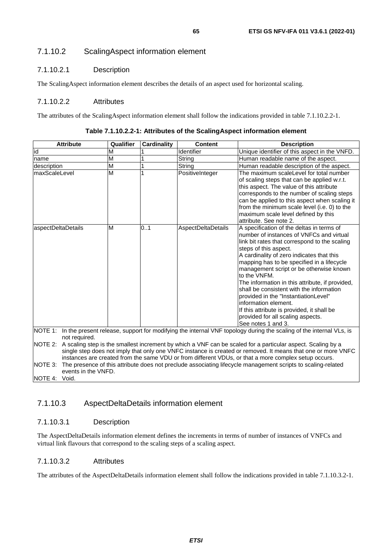### 7.1.10.2.1 Description

The ScalingAspect information element describes the details of an aspect used for horizontal scaling.

#### 7.1.10.2.2 Attributes

The attributes of the ScalingAspect information element shall follow the indications provided in table 7.1.10.2.2-1.

| <b>Attribute</b>         | Qualifier                                                                                                                                                                                                                                                                                                                           | <b>Cardinality</b> | <b>Content</b>     | <b>Description</b>                                                                                                                                                                                                                                                                                                                                                                                                                                                                                                                                                                             |  |
|--------------------------|-------------------------------------------------------------------------------------------------------------------------------------------------------------------------------------------------------------------------------------------------------------------------------------------------------------------------------------|--------------------|--------------------|------------------------------------------------------------------------------------------------------------------------------------------------------------------------------------------------------------------------------------------------------------------------------------------------------------------------------------------------------------------------------------------------------------------------------------------------------------------------------------------------------------------------------------------------------------------------------------------------|--|
| id                       | M                                                                                                                                                                                                                                                                                                                                   |                    | Identifier         | Unique identifier of this aspect in the VNFD.                                                                                                                                                                                                                                                                                                                                                                                                                                                                                                                                                  |  |
| name                     | M                                                                                                                                                                                                                                                                                                                                   |                    | String             | Human readable name of the aspect.                                                                                                                                                                                                                                                                                                                                                                                                                                                                                                                                                             |  |
| description              | M                                                                                                                                                                                                                                                                                                                                   |                    | String             | Human readable description of the aspect.                                                                                                                                                                                                                                                                                                                                                                                                                                                                                                                                                      |  |
| maxScaleLevel            | M                                                                                                                                                                                                                                                                                                                                   |                    | PositiveInteger    | The maximum scaleLevel for total number<br>of scaling steps that can be applied w.r.t.<br>this aspect. The value of this attribute<br>corresponds to the number of scaling steps<br>can be applied to this aspect when scaling it<br>from the minimum scale level (i.e. 0) to the<br>maximum scale level defined by this<br>attribute. See note 2.                                                                                                                                                                                                                                             |  |
| aspectDeltaDetails       | M                                                                                                                                                                                                                                                                                                                                   | 0.1                | AspectDeltaDetails | A specification of the deltas in terms of<br>number of instances of VNFCs and virtual<br>link bit rates that correspond to the scaling<br>steps of this aspect.<br>A cardinality of zero indicates that this<br>mapping has to be specified in a lifecycle<br>management script or be otherwise known<br>to the VNFM.<br>The information in this attribute, if provided,<br>shall be consistent with the information<br>provided in the "InstantiationLevel"<br>linformation element.<br>If this attribute is provided, it shall be<br>provided for all scaling aspects.<br>See notes 1 and 3. |  |
| NOTE 1:<br>not required. |                                                                                                                                                                                                                                                                                                                                     |                    |                    | In the present release, support for modifying the internal VNF topology during the scaling of the internal VLs, is                                                                                                                                                                                                                                                                                                                                                                                                                                                                             |  |
| NOTE 2:<br>$- - -$       | A scaling step is the smallest increment by which a VNF can be scaled for a particular aspect. Scaling by a<br>single step does not imply that only one VNFC instance is created or removed. It means that one or more VNFC<br>instances are created from the same VDU or from different VDUs, or that a more complex setup occurs. |                    |                    |                                                                                                                                                                                                                                                                                                                                                                                                                                                                                                                                                                                                |  |

**Table 7.1.10.2.2-1: Attributes of the ScalingAspect information element** 

NOTE 3: The presence of this attribute does not preclude associating lifecycle management scripts to scaling-related events in the VNFD.

#### NOTE 4: Void.

## 7.1.10.3 AspectDeltaDetails information element

### 7.1.10.3.1 Description

The AspectDeltaDetails information element defines the increments in terms of number of instances of VNFCs and virtual link flavours that correspond to the scaling steps of a scaling aspect.

### 7.1.10.3.2 Attributes

The attributes of the AspectDeltaDetails information element shall follow the indications provided in table 7.1.10.3.2-1.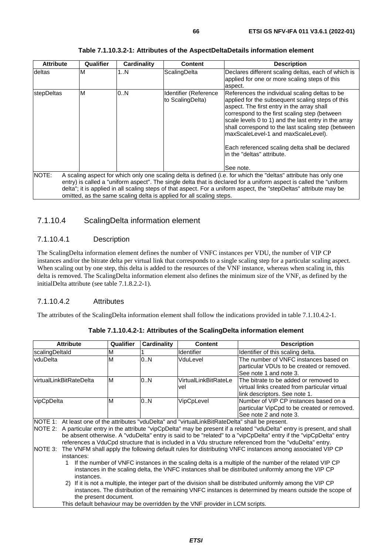| <b>Attribute</b>  | Qualifier | Cardinality | <b>Content</b>                                                       | <b>Description</b>                                                                                                                                                                                                                                                                                                                                                                                                                                   |
|-------------------|-----------|-------------|----------------------------------------------------------------------|------------------------------------------------------------------------------------------------------------------------------------------------------------------------------------------------------------------------------------------------------------------------------------------------------------------------------------------------------------------------------------------------------------------------------------------------------|
| deltas            | ΙM        | 1N          | ScalingDelta                                                         | Declares different scaling deltas, each of which is<br>applied for one or more scaling steps of this<br>aspect.                                                                                                                                                                                                                                                                                                                                      |
| <b>stepDeltas</b> | M         | 0N          | Identifier (Reference<br>to ScalingDelta)                            | References the individual scaling deltas to be<br>applied for the subsequent scaling steps of this<br>aspect. The first entry in the array shall<br>correspond to the first scaling step (between<br>scale levels 0 to 1) and the last entry in the array<br>shall correspond to the last scaling step (between<br>maxScaleLevel-1 and maxScaleLevel).<br>Each referenced scaling delta shall be declared<br>in the "deltas" attribute.<br>See note. |
| NOTE:             |           |             | omitted, as the same scaling delta is applied for all scaling steps. | A scaling aspect for which only one scaling delta is defined (i.e. for which the "deltas" attribute has only one<br>entry) is called a "uniform aspect". The single delta that is declared for a uniform aspect is called the "uniform<br>delta"; it is applied in all scaling steps of that aspect. For a uniform aspect, the "stepDeltas" attribute may be                                                                                         |

## 7.1.10.4 ScalingDelta information element

### 7.1.10.4.1 Description

The ScalingDelta information element defines the number of VNFC instances per VDU, the number of VIP CP instances and/or the bitrate delta per virtual link that corresponds to a single scaling step for a particular scaling aspect. When scaling out by one step, this delta is added to the resources of the VNF instance, whereas when scaling in, this delta is removed. The ScalingDelta information element also defines the minimum size of the VNF, as defined by the initialDelta attribute (see table 7.1.8.2.2-1).

#### 7.1.10.4.2 Attributes

The attributes of the ScalingDelta information element shall follow the indications provided in table 7.1.10.4.2-1.

| <b>Attribute</b>                                                                                                                                                                                                                                    | Qualifier                                                                                                                                                                                                                                                                                                                                           | Cardinality | <b>Content</b>                                                               | <b>Description</b>                                                                                                       |  |
|-----------------------------------------------------------------------------------------------------------------------------------------------------------------------------------------------------------------------------------------------------|-----------------------------------------------------------------------------------------------------------------------------------------------------------------------------------------------------------------------------------------------------------------------------------------------------------------------------------------------------|-------------|------------------------------------------------------------------------------|--------------------------------------------------------------------------------------------------------------------------|--|
| scalingDeltald                                                                                                                                                                                                                                      | M                                                                                                                                                                                                                                                                                                                                                   |             | <b>Identifier</b>                                                            | Identifier of this scaling delta.                                                                                        |  |
| vduDelta                                                                                                                                                                                                                                            | M                                                                                                                                                                                                                                                                                                                                                   | 0.N         | VduLevel                                                                     | The number of VNFC instances based on<br>particular VDUs to be created or removed.<br>See note 1 and note 3.             |  |
| virtualLinkBitRateDelta                                                                                                                                                                                                                             | M                                                                                                                                                                                                                                                                                                                                                   | 0.N         | VirtualLinkBitRateLe<br>vel                                                  | The bitrate to be added or removed to<br>virtual links created from particular virtual<br>llink descriptors. See note 1. |  |
| vipCpDelta                                                                                                                                                                                                                                          | M                                                                                                                                                                                                                                                                                                                                                   | 0.N         | VipCpLevel                                                                   | Number of VIP CP instances based on a<br>particular VipCpd to be created or removed.<br>See note 2 and note 3.           |  |
| NOTE 1: At least one of the attributes "vduDelta" and "virtualLinkBitRateDelta" shall be present.                                                                                                                                                   |                                                                                                                                                                                                                                                                                                                                                     |             |                                                                              |                                                                                                                          |  |
| NOTE 2:                                                                                                                                                                                                                                             | A particular entry in the attribute "vipCpDelta" may be present if a related "vduDelta" entry is present, and shall<br>be absent otherwise. A "vduDelta" entry is said to be "related" to a "vipCpDelta" entry if the "vipCpDelta" entry<br>references a VduCpd structure that is included in a Vdu structure referenced from the "vduDelta" entry. |             |                                                                              |                                                                                                                          |  |
| instances:                                                                                                                                                                                                                                          | The VNFM shall apply the following default rules for distributing VNFC instances among associated VIP CP<br>NOTE 3:                                                                                                                                                                                                                                 |             |                                                                              |                                                                                                                          |  |
| If the number of VNFC instances in the scaling delta is a multiple of the number of the related VIP CP<br>instances in the scaling delta, the VNFC instances shall be distributed uniformly among the VIP CP<br>instances.                          |                                                                                                                                                                                                                                                                                                                                                     |             |                                                                              |                                                                                                                          |  |
| If it is not a multiple, the integer part of the division shall be distributed uniformly among the VIP CP<br>2)<br>instances. The distribution of the remaining VNFC instances is determined by means outside the scope of<br>the present document. |                                                                                                                                                                                                                                                                                                                                                     |             |                                                                              |                                                                                                                          |  |
|                                                                                                                                                                                                                                                     |                                                                                                                                                                                                                                                                                                                                                     |             | This default behaviour may be overridden by the VNF provider in LCM scripts. |                                                                                                                          |  |

**Table 7.1.10.4.2-1: Attributes of the ScalingDelta information element**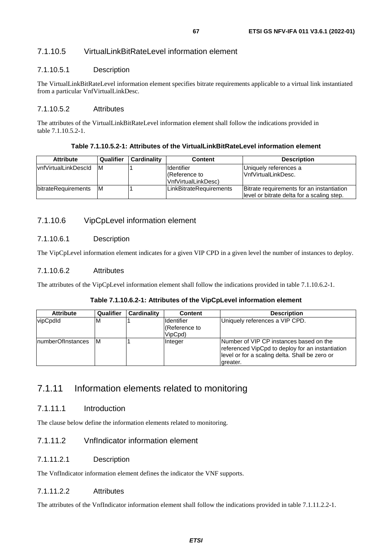## 7.1.10.5 VirtualLinkBitRateLevel information element

### 7.1.10.5.1 Description

The VirtualLinkBitRateLevel information element specifies bitrate requirements applicable to a virtual link instantiated from a particular VnfVirtualLinkDesc.

### 7.1.10.5.2 Attributes

The attributes of the VirtualLinkBitRateLevel information element shall follow the indications provided in table 7.1.10.5.2-1.

#### **Table 7.1.10.5.2-1: Attributes of the VirtualLinkBitRateLevel information element**

| <b>Attribute</b>             | Qualifier | <b>Cardinality</b> | <b>Content</b>                                              | <b>Description</b>                                                                       |
|------------------------------|-----------|--------------------|-------------------------------------------------------------|------------------------------------------------------------------------------------------|
| <b>IvnfVirtualLinkDescId</b> | IM.       |                    | <b>I</b> Identifier<br>(Reference to<br>VnfVirtualLinkDesc) | Uniquely references a<br>lVnfVirtualLinkDesc.                                            |
| bitrateRequirements          | IM.       |                    | LinkBitrateRequirements                                     | Bitrate requirements for an instantiation<br>llevel or bitrate delta for a scaling step. |

## 7.1.10.6 VipCpLevel information element

### 7.1.10.6.1 Description

The VipCpLevel information element indicates for a given VIP CPD in a given level the number of instances to deploy.

### 7.1.10.6.2 Attributes

The attributes of the VipCpLevel information element shall follow the indications provided in table 7.1.10.6.2-1.

#### **Table 7.1.10.6.2-1: Attributes of the VipCpLevel information element**

| <b>Attribute</b>   | Qualifier | Cardinality | <b>Content</b>                                | <b>Description</b>                                                                                                                                         |
|--------------------|-----------|-------------|-----------------------------------------------|------------------------------------------------------------------------------------------------------------------------------------------------------------|
| vipCpdld           | ΙM        |             | <b>Identifier</b><br>(Reference to<br>VipCpd) | Uniquely references a VIP CPD.                                                                                                                             |
| InumberOfInstances | 1M        |             | Integer                                       | INumber of VIP CP instances based on the<br>referenced VipCpd to deploy for an instantiation<br>level or for a scaling delta. Shall be zero or<br>greater. |

## 7.1.11 Information elements related to monitoring

### 7.1.11.1 Introduction

The clause below define the information elements related to monitoring.

### 7.1.11.2 VnfIndicator information element

#### 7.1.11.2.1 Description

The VnfIndicator information element defines the indicator the VNF supports.

## 7.1.11.2.2 Attributes

The attributes of the VnfIndicator information element shall follow the indications provided in table 7.1.11.2.2-1.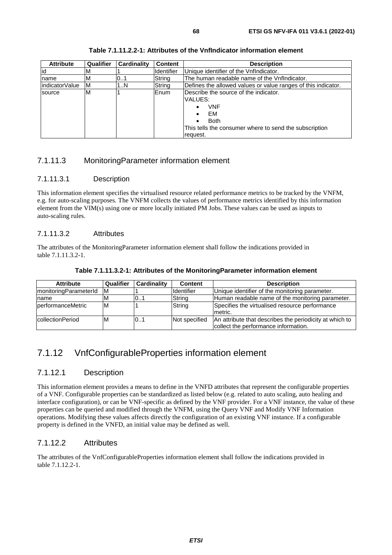| <b>Attribute</b> | <b>Qualifier</b> | Cardinality | <b>Content</b>    | <b>Description</b>                                            |
|------------------|------------------|-------------|-------------------|---------------------------------------------------------------|
| id               | M                |             | <b>Identifier</b> | Unique identifier of the VnfIndicator.                        |
| name             | M                | 0.1         | String            | The human readable name of the Vnflndicator.                  |
| indicatorValue   | ΙM               | 1N          | String            | Defines the allowed values or value ranges of this indicator. |
| source           | M                |             | Enum              | Describe the source of the indicator.                         |
|                  |                  |             |                   | VALUES:                                                       |
|                  |                  |             |                   | VNF<br>٠                                                      |
|                  |                  |             |                   | EM<br>٠                                                       |
|                  |                  |             |                   | <b>Both</b><br>٠                                              |
|                  |                  |             |                   | This tells the consumer where to send the subscription        |
|                  |                  |             |                   | reguest.                                                      |

**Table 7.1.11.2.2-1: Attributes of the VnfIndicator information element** 

## 7.1.11.3 MonitoringParameter information element

#### 7.1.11.3.1 Description

This information element specifies the virtualised resource related performance metrics to be tracked by the VNFM, e.g. for auto-scaling purposes. The VNFM collects the values of performance metrics identified by this information element from the VIM(s) using one or more locally initiated PM Jobs. These values can be used as inputs to auto-scaling rules.

#### 7.1.11.3.2 Attributes

The attributes of the MonitoringParameter information element shall follow the indications provided in table 7.1.11.3.2-1.

| <b>Attribute</b>         | Qualifier | <b>Cardinality</b> | <b>Content</b>     | <b>Description</b>                                                                              |
|--------------------------|-----------|--------------------|--------------------|-------------------------------------------------------------------------------------------------|
| monitoringParameterId    | IM.       |                    | <b>I</b> dentifier | Unique identifier of the monitoring parameter.                                                  |
| Iname                    | M         | 01                 | String             | Human readable name of the monitoring parameter.                                                |
| <b>performanceMetric</b> | M         |                    | String             | Specifies the virtualised resource performance<br>Imetric.                                      |
| collectionPeriod         | M         | 0.1                | Not specified      | An attribute that describes the periodicity at which to<br>collect the performance information. |

## 7.1.12 VnfConfigurableProperties information element

### 7.1.12.1 Description

This information element provides a means to define in the VNFD attributes that represent the configurable properties of a VNF. Configurable properties can be standardized as listed below (e.g. related to auto scaling, auto healing and interface configuration), or can be VNF-specific as defined by the VNF provider. For a VNF instance, the value of these properties can be queried and modified through the VNFM, using the Query VNF and Modify VNF Information operations. Modifying these values affects directly the configuration of an existing VNF instance. If a configurable property is defined in the VNFD, an initial value may be defined as well.

## 7.1.12.2 Attributes

The attributes of the VnfConfigurableProperties information element shall follow the indications provided in table 7.1.12.2-1.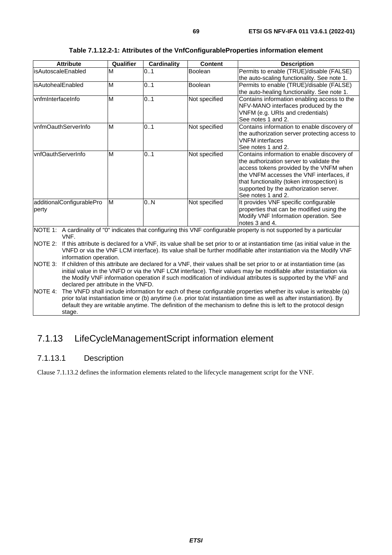| <b>Attribute</b>                                                                                                                                                                                                                                                                                                                                                                   | Qualifier                                                                                                                                                                                                                                                                                                                                                                                         | <b>Cardinality</b> | <b>Content</b> | <b>Description</b>                                                                                                                                                                                                                                                                            |  |  |
|------------------------------------------------------------------------------------------------------------------------------------------------------------------------------------------------------------------------------------------------------------------------------------------------------------------------------------------------------------------------------------|---------------------------------------------------------------------------------------------------------------------------------------------------------------------------------------------------------------------------------------------------------------------------------------------------------------------------------------------------------------------------------------------------|--------------------|----------------|-----------------------------------------------------------------------------------------------------------------------------------------------------------------------------------------------------------------------------------------------------------------------------------------------|--|--|
| isAutoscaleEnabled                                                                                                                                                                                                                                                                                                                                                                 | M                                                                                                                                                                                                                                                                                                                                                                                                 | 01                 | <b>Boolean</b> | Permits to enable (TRUE)/disable (FALSE)<br>the auto-scaling functionality. See note 1.                                                                                                                                                                                                       |  |  |
| isAutohealEnabled                                                                                                                                                                                                                                                                                                                                                                  | M                                                                                                                                                                                                                                                                                                                                                                                                 | 0.1                | <b>Boolean</b> | Permits to enable (TRUE)/disable (FALSE)<br>the auto-healing functionality. See note 1.                                                                                                                                                                                                       |  |  |
| vnfmInterfaceInfo                                                                                                                                                                                                                                                                                                                                                                  | M                                                                                                                                                                                                                                                                                                                                                                                                 | 0.1                | Not specified  | Contains information enabling access to the<br>NFV-MANO interfaces produced by the<br>VNFM (e.g. URIs and credentials)<br>See notes 1 and 2.                                                                                                                                                  |  |  |
| vnfmOauthServerInfo                                                                                                                                                                                                                                                                                                                                                                | M                                                                                                                                                                                                                                                                                                                                                                                                 | 0.1                | Not specified  | Contains information to enable discovery of<br>the authorization server protecting access to<br><b>VNFM</b> interfaces<br>See notes 1 and 2.                                                                                                                                                  |  |  |
| vnfOauthServerInfo                                                                                                                                                                                                                                                                                                                                                                 | M                                                                                                                                                                                                                                                                                                                                                                                                 | 0.1                | Not specified  | Contains information to enable discovery of<br>the authorization server to validate the<br>access tokens provided by the VNFM when<br>the VNFM accesses the VNF interfaces, if<br>that functionality (token introspection) is<br>supported by the authorization server.<br>See notes 1 and 2. |  |  |
| additionalConfigurablePro<br>perty                                                                                                                                                                                                                                                                                                                                                 | M                                                                                                                                                                                                                                                                                                                                                                                                 | 0N                 | Not specified  | It provides VNF specific configurable<br>properties that can be modified using the<br>Modify VNF Information operation. See<br>notes 3 and 4.                                                                                                                                                 |  |  |
| NOTE 1: A cardinality of "0" indicates that configuring this VNF configurable property is not supported by a particular<br>VNF.                                                                                                                                                                                                                                                    |                                                                                                                                                                                                                                                                                                                                                                                                   |                    |                |                                                                                                                                                                                                                                                                                               |  |  |
| NOTE 2:<br>If this attribute is declared for a VNF, its value shall be set prior to or at instantiation time (as initial value in the<br>VNFD or via the VNF LCM interface). Its value shall be further modifiable after instantiation via the Modify VNF<br>information operation.                                                                                                |                                                                                                                                                                                                                                                                                                                                                                                                   |                    |                |                                                                                                                                                                                                                                                                                               |  |  |
| NOTE 3:                                                                                                                                                                                                                                                                                                                                                                            | If children of this attribute are declared for a VNF, their values shall be set prior to or at instantiation time (as<br>initial value in the VNFD or via the VNF LCM interface). Their values may be modifiable after instantiation via<br>the Modify VNF information operation if such modification of individual attributes is supported by the VNF and<br>declared per attribute in the VNFD. |                    |                |                                                                                                                                                                                                                                                                                               |  |  |
| NOTE 4:<br>The VNFD shall include information for each of these configurable properties whether its value is writeable (a)<br>prior to/at instantiation time or (b) anytime (i.e. prior to/at instantiation time as well as after instantiation). By<br>default they are writable anytime. The definition of the mechanism to define this is left to the protocol design<br>stage. |                                                                                                                                                                                                                                                                                                                                                                                                   |                    |                |                                                                                                                                                                                                                                                                                               |  |  |

# 7.1.13 LifeCycleManagementScript information element

## 7.1.13.1 Description

Clause 7.1.13.2 defines the information elements related to the lifecycle management script for the VNF.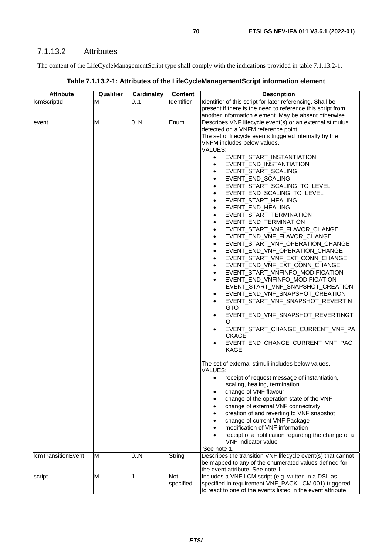The content of the LifeCycleManagementScript type shall comply with the indications provided in table 7.1.13.2-1.

| Table 7.1.13.2-1: Attributes of the LifeCycleManagementScript information element |  |
|-----------------------------------------------------------------------------------|--|
|-----------------------------------------------------------------------------------|--|

| <b>Attribute</b>          | Qualifier | Cardinality | <b>Content</b>    | <b>Description</b>                                            |
|---------------------------|-----------|-------------|-------------------|---------------------------------------------------------------|
| <b>IcmScriptId</b>        | М         | 01          | <b>Identifier</b> | Identifier of this script for later referencing. Shall be     |
|                           |           |             |                   | present if there is the need to reference this script from    |
|                           |           |             |                   | another information element. May be absent otherwise.         |
| event                     | M         | 0N          | Enum              | Describes VNF lifecycle event(s) or an external stimulus      |
|                           |           |             |                   | detected on a VNFM reference point.                           |
|                           |           |             |                   | The set of lifecycle events triggered internally by the       |
|                           |           |             |                   | VNFM includes below values.                                   |
|                           |           |             |                   | VALUES:                                                       |
|                           |           |             |                   | EVENT_START_INSTANTIATION<br>$\bullet$                        |
|                           |           |             |                   |                                                               |
|                           |           |             |                   | EVENT_END_INSTANTIATION<br>$\bullet$                          |
|                           |           |             |                   | EVENT_START_SCALING<br>$\bullet$                              |
|                           |           |             |                   | EVENT_END_SCALING<br>$\bullet$                                |
|                           |           |             |                   | EVENT_START_SCALING_TO_LEVEL<br>$\bullet$                     |
|                           |           |             |                   | EVENT_END_SCALING_TO_LEVEL<br>$\bullet$                       |
|                           |           |             |                   | EVENT_START_HEALING<br>$\bullet$                              |
|                           |           |             |                   | EVENT_END_HEALING<br>$\bullet$                                |
|                           |           |             |                   | EVENT_START_TERMINATION<br>$\bullet$                          |
|                           |           |             |                   | EVENT_END_TERMINATION<br>$\bullet$                            |
|                           |           |             |                   | EVENT_START_VNF_FLAVOR_CHANGE<br>$\bullet$                    |
|                           |           |             |                   | EVENT_END_VNF_FLAVOR_CHANGE<br>$\bullet$                      |
|                           |           |             |                   | EVENT_START_VNF_OPERATION_CHANGE<br>$\bullet$                 |
|                           |           |             |                   | EVENT_END_VNF_OPERATION_CHANGE<br>$\bullet$                   |
|                           |           |             |                   |                                                               |
|                           |           |             |                   | EVENT_START_VNF_EXT_CONN_CHANGE<br>$\bullet$                  |
|                           |           |             |                   | EVENT_END_VNF_EXT_CONN_CHANGE<br>$\bullet$                    |
|                           |           |             |                   | EVENT_START_VNFINFO_MODIFICATION<br>$\bullet$                 |
|                           |           |             |                   | EVENT_END_VNFINFO_MODIFICATION<br>$\bullet$                   |
|                           |           |             |                   | EVENT_START_VNF_SNAPSHOT_CREATION                             |
|                           |           |             |                   | EVENT_END_VNF_SNAPSHOT_CREATION<br>$\bullet$                  |
|                           |           |             |                   | EVENT_START_VNF_SNAPSHOT_REVERTIN<br>$\bullet$                |
|                           |           |             |                   | GTO                                                           |
|                           |           |             |                   | EVENT_END_VNF_SNAPSHOT_REVERTINGT<br>$\bullet$<br>$\circ$     |
|                           |           |             |                   | EVENT_START_CHANGE_CURRENT_VNF_PA<br>$\bullet$                |
|                           |           |             |                   | <b>CKAGE</b>                                                  |
|                           |           |             |                   | EVENT_END_CHANGE_CURRENT_VNF_PAC                              |
|                           |           |             |                   | <b>KAGE</b>                                                   |
|                           |           |             |                   | The set of external stimuli includes below values.<br>VALUES: |
|                           |           |             |                   | receipt of request message of instantiation,<br>$\bullet$     |
|                           |           |             |                   | scaling, healing, termination                                 |
|                           |           |             |                   | change of VNF flavour<br>$\bullet$                            |
|                           |           |             |                   | change of the operation state of the VNF                      |
|                           |           |             |                   | change of external VNF connectivity                           |
|                           |           |             |                   | creation of and reverting to VNF snapshot                     |
|                           |           |             |                   | change of current VNF Package                                 |
|                           |           |             |                   | modification of VNF information                               |
|                           |           |             |                   | receipt of a notification regarding the change of a           |
|                           |           |             |                   | VNF indicator value                                           |
|                           |           |             |                   | See note 1.                                                   |
| <b>IcmTransitionEvent</b> | M         | 0N          | String            | Describes the transition VNF lifecycle event(s) that cannot   |
|                           |           |             |                   | be mapped to any of the enumerated values defined for         |
|                           |           |             |                   | the event attribute. See note 1.                              |
| script                    | M         | 1           | <b>Not</b>        | Includes a VNF LCM script (e.g. written in a DSL as           |
|                           |           |             | specified         | specified in requirement VNF_PACK.LCM.001) triggered          |
|                           |           |             |                   | to react to one of the events listed in the event attribute.  |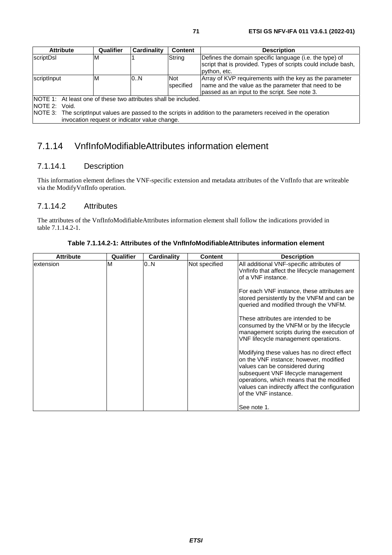|                                                                                                                                                                                                                                                                  | <b>Attribute</b> | Qualifier | Cardinality | <b>Content</b>          | <b>Description</b>                                                                                                                                              |  |
|------------------------------------------------------------------------------------------------------------------------------------------------------------------------------------------------------------------------------------------------------------------|------------------|-----------|-------------|-------------------------|-----------------------------------------------------------------------------------------------------------------------------------------------------------------|--|
| scriptDsl                                                                                                                                                                                                                                                        |                  | ΙM        |             | String                  | Defines the domain specific language (i.e. the type) of<br>script that is provided. Types of scripts could include bash,<br>python, etc.                        |  |
| scriptInput                                                                                                                                                                                                                                                      |                  | ΙM        | 0.N         | <b>Not</b><br>specified | Array of KVP requirements with the key as the parameter<br>name and the value as the parameter that need to be<br>passed as an input to the script. See note 3. |  |
| <b>INOTE 1:</b> At least one of these two attributes shall be included.<br>NOTE 2:<br>Void.<br>NOTE 3: The scriptlnput values are passed to the scripts in addition to the parameters received in the operation<br>invocation request or indicator value change. |                  |           |             |                         |                                                                                                                                                                 |  |

7.1.14 VnfInfoModifiableAttributes information element

## 7.1.14.1 Description

This information element defines the VNF-specific extension and metadata attributes of the VnfInfo that are writeable via the ModifyVnfInfo operation.

## 7.1.14.2 Attributes

The attributes of the VnfInfoModifiableAttributes information element shall follow the indications provided in table 7.1.14.2-1.

| <b>Attribute</b> | Qualifier | Cardinality | <b>Content</b> | <b>Description</b>                                                                                                                                                                                                                                                                     |
|------------------|-----------|-------------|----------------|----------------------------------------------------------------------------------------------------------------------------------------------------------------------------------------------------------------------------------------------------------------------------------------|
| extension        | M         | 0N          | Not specified  | All additional VNF-specific attributes of<br>Vnflnfo that affect the lifecycle management<br>of a VNF instance.                                                                                                                                                                        |
|                  |           |             |                | For each VNF instance, these attributes are<br>stored persistently by the VNFM and can be<br>queried and modified through the VNFM.                                                                                                                                                    |
|                  |           |             |                | These attributes are intended to be<br>consumed by the VNFM or by the lifecycle<br>management scripts during the execution of<br>VNF lifecycle management operations.                                                                                                                  |
|                  |           |             |                | Modifying these values has no direct effect<br>on the VNF instance; however, modified<br>values can be considered during<br>subsequent VNF lifecycle management<br>operations, which means that the modified<br>values can indirectly affect the configuration<br>of the VNF instance. |
|                  |           |             |                | See note 1.                                                                                                                                                                                                                                                                            |

**Table 7.1.14.2-1: Attributes of the VnfInfoModifiableAttributes information element**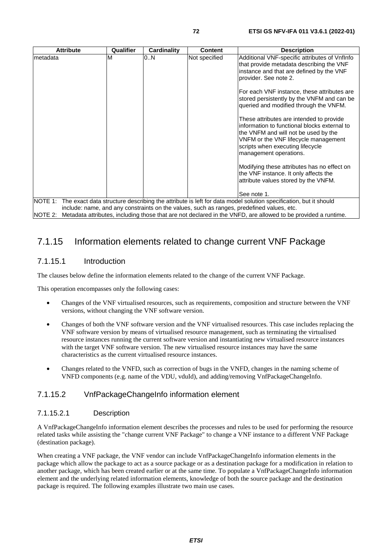| <b>Attribute</b>                                                                                                                | <b>Qualifier</b> | Cardinality | <b>Content</b> | <b>Description</b>                                                                                                                                                                                                                     |  |
|---------------------------------------------------------------------------------------------------------------------------------|------------------|-------------|----------------|----------------------------------------------------------------------------------------------------------------------------------------------------------------------------------------------------------------------------------------|--|
| metadata                                                                                                                        | M                | 0N          | Not specified  | Additional VNF-specific attributes of VnfInfo<br>that provide metadata describing the VNF<br>instance and that are defined by the VNF<br>provider. See note 2.                                                                         |  |
|                                                                                                                                 |                  |             |                | For each VNF instance, these attributes are<br>stored persistently by the VNFM and can be<br>queried and modified through the VNFM.                                                                                                    |  |
|                                                                                                                                 |                  |             |                | These attributes are intended to provide<br>information to functional blocks external to<br>the VNFM and will not be used by the<br>VNFM or the VNF lifecycle management<br>scripts when executing lifecycle<br>management operations. |  |
|                                                                                                                                 |                  |             |                | Modifying these attributes has no effect on<br>the VNF instance. It only affects the<br>attribute values stored by the VNFM.                                                                                                           |  |
|                                                                                                                                 |                  |             |                | See note 1.                                                                                                                                                                                                                            |  |
| NOTE 1: The exact data structure describing the attribute is left for data model solution specification, but it should          |                  |             |                |                                                                                                                                                                                                                                        |  |
| include: name, and any constraints on the values, such as ranges, predefined values, etc.                                       |                  |             |                |                                                                                                                                                                                                                                        |  |
| Metadata attributes, including those that are not declared in the VNFD, are allowed to be provided a runtime.<br><b>NOTE 2:</b> |                  |             |                |                                                                                                                                                                                                                                        |  |

## 7.1.15 Information elements related to change current VNF Package

## 7.1.15.1 Introduction

The clauses below define the information elements related to the change of the current VNF Package.

This operation encompasses only the following cases:

- Changes of the VNF virtualised resources, such as requirements, composition and structure between the VNF versions, without changing the VNF software version.
- Changes of both the VNF software version and the VNF virtualised resources. This case includes replacing the VNF software version by means of virtualised resource management, such as terminating the virtualised resource instances running the current software version and instantiating new virtualised resource instances with the target VNF software version. The new virtualised resource instances may have the same characteristics as the current virtualised resource instances.
- Changes related to the VNFD, such as correction of bugs in the VNFD, changes in the naming scheme of VNFD components (e.g. name of the VDU, vduId), and adding/removing VnfPackageChangeInfo.

## 7.1.15.2 VnfPackageChangeInfo information element

#### 7.1.15.2.1 Description

A VnfPackageChangeInfo information element describes the processes and rules to be used for performing the resource related tasks while assisting the "change current VNF Package" to change a VNF instance to a different VNF Package (destination package).

When creating a VNF package, the VNF vendor can include VnfPackageChangeInfo information elements in the package which allow the package to act as a source package or as a destination package for a modification in relation to another package, which has been created earlier or at the same time. To populate a VnfPackageChangeInfo information element and the underlying related information elements, knowledge of both the source package and the destination package is required. The following examples illustrate two main use cases.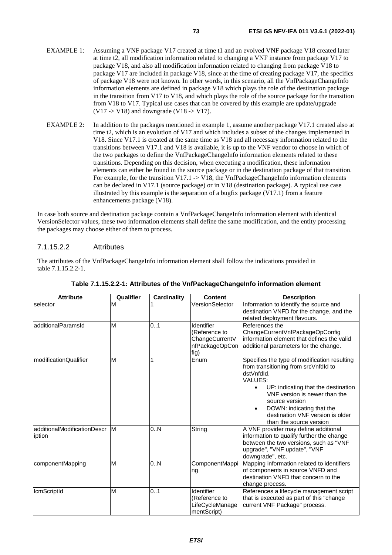- EXAMPLE 1: Assuming a VNF package V17 created at time t1 and an evolved VNF package V18 created later at time t2, all modification information related to changing a VNF instance from package V17 to package V18, and also all modification information related to changing from package V18 to package V17 are included in package V18, since at the time of creating package V17, the specifics of package V18 were not known. In other words, in this scenario, all the VnfPackageChangeInfo information elements are defined in package V18 which plays the role of the destination package in the transition from V17 to V18, and which plays the role of the source package for the transition from V18 to V17. Typical use cases that can be covered by this example are update/upgrade  $(V17 > V18)$  and downgrade  $(V18 > V17)$ .
- EXAMPLE 2: In addition to the packages mentioned in example 1, assume another package V17.1 created also at time t2, which is an evolution of V17 and which includes a subset of the changes implemented in V18. Since V17.1 is created at the same time as V18 and all necessary information related to the transitions between V17.1 and V18 is available, it is up to the VNF vendor to choose in which of the two packages to define the VnfPackageChangeInfo information elements related to these transitions. Depending on this decision, when executing a modification, these information elements can either be found in the source package or in the destination package of that transition. For example, for the transition V17.1 -> V18, the VnfPackageChangeInfo information elements can be declared in V17.1 (source package) or in V18 (destination package). A typical use case illustrated by this example is the separation of a bugfix package  $(V17.1)$  from a feature enhancements package (V18).

In case both source and destination package contain a VnfPackageChangeInfo information element with identical VersionSelector values, these two information elements shall define the same modification, and the entity processing the packages may choose either of them to process.

#### 7.1.15.2.2 Attributes

The attributes of the VnfPackageChangeInfo information element shall follow the indications provided in table 7.1.15.2.2-1.

| <b>Attribute</b>                      | Qualifier | <b>Cardinality</b> | <b>Content</b>                                                          | <b>Description</b>                                                                                                                                                                                                                                                                                                                   |
|---------------------------------------|-----------|--------------------|-------------------------------------------------------------------------|--------------------------------------------------------------------------------------------------------------------------------------------------------------------------------------------------------------------------------------------------------------------------------------------------------------------------------------|
| selector                              | M         |                    | VersionSelector                                                         | Information to identify the source and<br>destination VNFD for the change, and the<br>related deployment flavours.                                                                                                                                                                                                                   |
| additionalParamsId                    | M         | 0.1                | Identifier<br>(Reference to<br>ChangeCurrentV<br>nfPackageOpCon<br>fig) | References the<br>ChangeCurrentVnfPackageOpConfig<br>information element that defines the valid<br>additional parameters for the change.                                                                                                                                                                                             |
| modificationQualifier                 | M         |                    | Enum                                                                    | Specifies the type of modification resulting<br>from transitioning from srcVnfdld to<br>dstVnfdId.<br><b>VALUES:</b><br>UP: indicating that the destination<br>$\bullet$<br>VNF version is newer than the<br>source version<br>DOWN: indicating that the<br>$\bullet$<br>destination VNF version is older<br>than the source version |
| additionalModificationDescr<br>iption | IM.       | 0.N                | String                                                                  | A VNF provider may define additional<br>information to qualify further the change<br>between the two versions, such as "VNF<br>upgrade", "VNF update", "VNF<br>downgrade", etc.                                                                                                                                                      |
| componentMapping                      | M         | 0.N                | ComponentMappi<br>ng                                                    | Mapping information related to identifiers<br>of components in source VNFD and<br>destination VNFD that concern to the<br>change process.                                                                                                                                                                                            |
| <b>IcmScriptId</b>                    | M         | 0.1                | Identifier<br>(Reference to<br>LifeCycleManage<br>mentScript)           | References a lifecycle management script<br>that is executed as part of this "change<br>current VNF Package" process.                                                                                                                                                                                                                |

#### **Table 7.1.15.2.2-1: Attributes of the VnfPackageChangeInfo information element**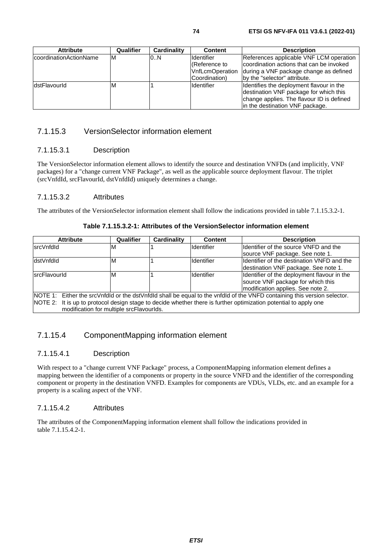| <b>Attribute</b>        | Qualifier | Cardinality | <b>Content</b>                     | <b>Description</b>                                                                  |
|-------------------------|-----------|-------------|------------------------------------|-------------------------------------------------------------------------------------|
| IcoordinationActionName | ΙM        | 0.N         | <b>Identifier</b><br>(Reference to | References applicable VNF LCM operation<br>coordination actions that can be invoked |
|                         |           |             | <b>VnfLcmOperation</b>             | during a VNF package change as defined                                              |
|                         |           |             | Coordination)                      | by the "selector" attribute.                                                        |
| <b>dstFlavourld</b>     | м         |             | Identifier                         | Identifies the deployment flavour in the                                            |
|                         |           |             |                                    | destination VNF package for which this                                              |
|                         |           |             |                                    | change applies. The flavour ID is defined                                           |
|                         |           |             |                                    | in the destination VNF package.                                                     |

#### 7.1.15.3 VersionSelector information element

#### 7.1.15.3.1 Description

The VersionSelector information element allows to identify the source and destination VNFDs (and implicitly, VNF packages) for a "change current VNF Package", as well as the applicable source deployment flavour. The triplet (srcVnfdId, srcFlavourId, dstVnfdId) uniquely determines a change.

#### 7.1.15.3.2 Attributes

The attributes of the VersionSelector information element shall follow the indications provided in table 7.1.15.3.2-1.

#### **Table 7.1.15.3.2-1: Attributes of the VersionSelector information element**

| <b>Attribute</b>                                                                                                         | Qualifier | Cardinality | Content           | <b>Description</b>                          |
|--------------------------------------------------------------------------------------------------------------------------|-----------|-------------|-------------------|---------------------------------------------|
| srcVnfdld                                                                                                                | M         |             | <b>Identifier</b> | Identifier of the source VNFD and the       |
|                                                                                                                          |           |             |                   | source VNF package. See note 1.             |
| dstVnfdld                                                                                                                | M         |             | Identifier        | Identifier of the destination VNFD and the  |
|                                                                                                                          |           |             |                   | destination VNF package. See note 1.        |
| <b>srcFlavourld</b>                                                                                                      | M         |             | Identifier        | Identifier of the deployment flavour in the |
|                                                                                                                          |           |             |                   | source VNF package for which this           |
|                                                                                                                          |           |             |                   | modification applies. See note 2.           |
| NOTE 1: Either the srcVnfdld or the dstVnfdld shall be equal to the vnfdld of the VNFD containing this version selector. |           |             |                   |                                             |
| NOTE 2: It is up to protocol design stage to decide whether there is further optimization potential to apply one         |           |             |                   |                                             |
| modification for multiple srcFlavourIds.                                                                                 |           |             |                   |                                             |

#### 7.1.15.4 ComponentMapping information element

#### 7.1.15.4.1 Description

With respect to a "change current VNF Package" process, a ComponentMapping information element defines a mapping between the identifier of a components or property in the source VNFD and the identifier of the corresponding component or property in the destination VNFD. Examples for components are VDUs, VLDs, etc. and an example for a property is a scaling aspect of the VNF.

#### 7.1.15.4.2 Attributes

The attributes of the ComponentMapping information element shall follow the indications provided in table 7.1.15.4.2-1.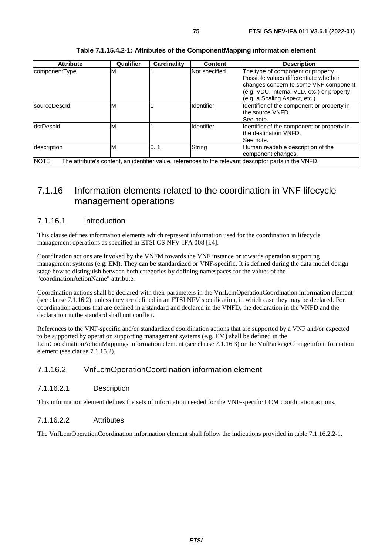| <b>Attribute</b> | Qualifier | <b>Cardinality</b> | Content           | <b>Description</b>                                                                                                                                                                                   |
|------------------|-----------|--------------------|-------------------|------------------------------------------------------------------------------------------------------------------------------------------------------------------------------------------------------|
| componentType    | м         |                    | Not specified     | The type of component or property.<br>Possible values differentiate whether<br>changes concern to some VNF component<br>(e.g. VDU, internal VLD, etc.) or property<br>(e.g. a Scaling Aspect, etc.). |
| sourceDescld     | M         |                    | <b>Identifier</b> | Identifier of the component or property in<br>the source VNFD.<br>See note.                                                                                                                          |
| dstDescld        | M         |                    | <b>Identifier</b> | Identifier of the component or property in<br>Ithe destination VNFD.<br>See note.                                                                                                                    |
| description      | M         | 0.1                | String            | Human readable description of the<br>component changes.                                                                                                                                              |
| NOTE:            |           |                    |                   | The attribute's content, an identifier value, references to the relevant descriptor parts in the VNFD.                                                                                               |

#### **Table 7.1.15.4.2-1: Attributes of the ComponentMapping information element**

### 7.1.16 Information elements related to the coordination in VNF lifecycle management operations

#### 7.1.16.1 Introduction

This clause defines information elements which represent information used for the coordination in lifecycle management operations as specified in ETSI GS NFV-IFA 008 [\[i.4](#page-8-0)].

Coordination actions are invoked by the VNFM towards the VNF instance or towards operation supporting management systems (e.g. EM). They can be standardized or VNF-specific. It is defined during the data model design stage how to distinguish between both categories by defining namespaces for the values of the "coordinationActionName" attribute.

Coordination actions shall be declared with their parameters in the VnfLcmOperationCoordination information element (see clause 7.1.16.2), unless they are defined in an ETSI NFV specification, in which case they may be declared. For coordination actions that are defined in a standard and declared in the VNFD, the declaration in the VNFD and the declaration in the standard shall not conflict.

References to the VNF-specific and/or standardized coordination actions that are supported by a VNF and/or expected to be supported by operation supporting management systems (e.g. EM) shall be defined in the LcmCoordinationActionMappings information element (see clause 7.1.16.3) or the VnfPackageChangeInfo information element (see clause 7.1.15.2).

#### 7.1.16.2 VnfLcmOperationCoordination information element

#### 7.1.16.2.1 Description

This information element defines the sets of information needed for the VNF-specific LCM coordination actions.

#### 7.1.16.2.2 Attributes

The VnfLcmOperationCoordination information element shall follow the indications provided in table 7.1.16.2.2-1.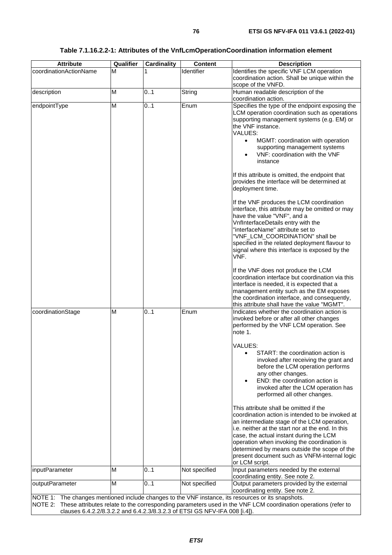| <b>Attribute</b>                                                           | Qualifier | <b>Cardinality</b> | <b>Content</b> | <b>Description</b>                                                                                                    |  |
|----------------------------------------------------------------------------|-----------|--------------------|----------------|-----------------------------------------------------------------------------------------------------------------------|--|
| coordinationActionName                                                     | М         | 1                  | Identifier     | Identifies the specific VNF LCM operation                                                                             |  |
|                                                                            |           |                    |                | coordination action. Shall be unique within the                                                                       |  |
|                                                                            |           |                    |                | scope of the VNFD.                                                                                                    |  |
| description                                                                | M         | 0.1                | String         | Human readable description of the<br>coordination action.                                                             |  |
| endpointType                                                               | M         | 0.1                | Enum           | Specifies the type of the endpoint exposing the                                                                       |  |
|                                                                            |           |                    |                | LCM operation coordination such as operations                                                                         |  |
|                                                                            |           |                    |                | supporting management systems (e.g. EM) or                                                                            |  |
|                                                                            |           |                    |                | the VNF instance.                                                                                                     |  |
|                                                                            |           |                    |                | VALUES:                                                                                                               |  |
|                                                                            |           |                    |                | MGMT: coordination with operation<br>$\bullet$                                                                        |  |
|                                                                            |           |                    |                | supporting management systems<br>VNF: coordination with the VNF<br>$\bullet$                                          |  |
|                                                                            |           |                    |                | instance                                                                                                              |  |
|                                                                            |           |                    |                |                                                                                                                       |  |
|                                                                            |           |                    |                | If this attribute is omitted, the endpoint that                                                                       |  |
|                                                                            |           |                    |                | provides the interface will be determined at                                                                          |  |
|                                                                            |           |                    |                | deployment time.                                                                                                      |  |
|                                                                            |           |                    |                | If the VNF produces the LCM coordination                                                                              |  |
|                                                                            |           |                    |                | interface, this attribute may be omitted or may                                                                       |  |
|                                                                            |           |                    |                | have the value "VNF", and a                                                                                           |  |
|                                                                            |           |                    |                | VnfInterfaceDetails entry with the                                                                                    |  |
|                                                                            |           |                    |                | "interfaceName" attribute set to                                                                                      |  |
|                                                                            |           |                    |                | "VNF_LCM_COORDINATION" shall be                                                                                       |  |
|                                                                            |           |                    |                | specified in the related deployment flavour to<br>signal where this interface is exposed by the                       |  |
|                                                                            |           |                    |                | VNF.                                                                                                                  |  |
|                                                                            |           |                    |                |                                                                                                                       |  |
|                                                                            |           |                    |                | If the VNF does not produce the LCM                                                                                   |  |
|                                                                            |           |                    |                | coordination interface but coordination via this                                                                      |  |
|                                                                            |           |                    |                | interface is needed, it is expected that a                                                                            |  |
|                                                                            |           |                    |                | management entity such as the EM exposes<br>the coordination interface, and consequently,                             |  |
|                                                                            |           |                    |                | this attribute shall have the value "MGMT".                                                                           |  |
| coordinationStage                                                          | M         | 0.1                | Enum           | Indicates whether the coordination action is                                                                          |  |
|                                                                            |           |                    |                | invoked before or after all other changes                                                                             |  |
|                                                                            |           |                    |                | performed by the VNF LCM operation. See                                                                               |  |
|                                                                            |           |                    |                | note 1.                                                                                                               |  |
|                                                                            |           |                    |                | <b>VALUES:</b>                                                                                                        |  |
|                                                                            |           |                    |                | START: the coordination action is                                                                                     |  |
|                                                                            |           |                    |                | invoked after receiving the grant and                                                                                 |  |
|                                                                            |           |                    |                | before the LCM operation performs                                                                                     |  |
|                                                                            |           |                    |                | any other changes.                                                                                                    |  |
|                                                                            |           |                    |                | END: the coordination action is<br>invoked after the LCM operation has                                                |  |
|                                                                            |           |                    |                | performed all other changes.                                                                                          |  |
|                                                                            |           |                    |                |                                                                                                                       |  |
|                                                                            |           |                    |                | This attribute shall be omitted if the                                                                                |  |
|                                                                            |           |                    |                | coordination action is intended to be invoked at                                                                      |  |
|                                                                            |           |                    |                | an intermediate stage of the LCM operation,                                                                           |  |
|                                                                            |           |                    |                | i.e. neither at the start nor at the end. In this<br>case, the actual instant during the LCM                          |  |
|                                                                            |           |                    |                | operation when invoking the coordination is                                                                           |  |
|                                                                            |           |                    |                | determined by means outside the scope of the                                                                          |  |
|                                                                            |           |                    |                | present document such as VNFM-internal logic                                                                          |  |
|                                                                            |           |                    |                | or LCM script.                                                                                                        |  |
| inputParameter                                                             | M         | 0.1                | Not specified  | Input parameters needed by the external                                                                               |  |
| outputParameter                                                            | M         | 0.1                | Not specified  | coordinating entity. See note 2.<br>Output parameters provided by the external                                        |  |
|                                                                            |           |                    |                | coordinating entity. See note 2.                                                                                      |  |
|                                                                            |           |                    |                | NOTE 1: The changes mentioned include changes to the VNF instance, its resources or its snapshots.                    |  |
|                                                                            |           |                    |                | NOTE 2: These attributes relate to the corresponding parameters used in the VNF LCM coordination operations (refer to |  |
| clauses 6.4.2.2/8.3.2.2 and 6.4.2.3/8.3.2.3 of ETSI GS NFV-IFA 008 [i.4]). |           |                    |                |                                                                                                                       |  |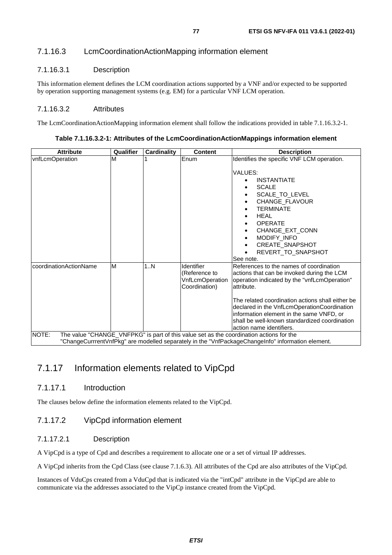### 7.1.16.3 LcmCoordinationActionMapping information element

#### 7.1.16.3.1 Description

This information element defines the LCM coordination actions supported by a VNF and/or expected to be supported by operation supporting management systems (e.g. EM) for a particular VNF LCM operation.

#### 7.1.16.3.2 Attributes

The LcmCoordinationActionMapping information element shall follow the indications provided in table 7.1.16.3.2-1.

#### **Table 7.1.16.3.2-1: Attributes of the LcmCoordinationActionMappings information element**

| <b>Attribute</b>       | Qualifier | <b>Cardinality</b> | <b>Content</b>                                                  | <b>Description</b>                                                                                                                                                                                                                                                                                                                                                              |
|------------------------|-----------|--------------------|-----------------------------------------------------------------|---------------------------------------------------------------------------------------------------------------------------------------------------------------------------------------------------------------------------------------------------------------------------------------------------------------------------------------------------------------------------------|
| vnfLcmOperation        | M         |                    | Enum                                                            | Identifies the specific VNF LCM operation.<br>VALUES:<br><b>INSTANTIATE</b><br><b>SCALE</b><br>SCALE_TO_LEVEL<br>CHANGE FLAVOUR<br><b>TERMINATE</b>                                                                                                                                                                                                                             |
|                        |           |                    |                                                                 | <b>HEAL</b><br>OPERATE<br>CHANGE EXT CONN<br>MODIFY INFO<br><b>CREATE SNAPSHOT</b><br>REVERT_TO_SNAPSHOT<br>See note.                                                                                                                                                                                                                                                           |
| coordinationActionName | M         | 1.N                | Identifier<br>(Reference to<br>VnfLcmOperation<br>Coordination) | References to the names of coordination<br>actions that can be invoked during the LCM<br>operation indicated by the "vnfLcmOperation"<br>attribute.<br>The related coordination actions shall either be<br>declared in the VnfLcmOperationCoordination<br>information element in the same VNFD, or<br>shall be well-known standardized coordination<br>action name identifiers. |
| NOTE:                  |           |                    |                                                                 | The value "CHANGE_VNFPKG" is part of this value set as the coordination actions for the<br>"ChangeCurrrentVnfPkg" are modelled separately in the "VnfPackageChangeInfo" information element.                                                                                                                                                                                    |

### 7.1.17 Information elements related to VipCpd

#### 7.1.17.1 Introduction

The clauses below define the information elements related to the VipCpd.

#### 7.1.17.2 VipCpd information element

#### 7.1.17.2.1 Description

A VipCpd is a type of Cpd and describes a requirement to allocate one or a set of virtual IP addresses.

A VipCpd inherits from the Cpd Class (see clause 7.1.6.3). All attributes of the Cpd are also attributes of the VipCpd.

Instances of VduCps created from a VduCpd that is indicated via the "intCpd" attribute in the VipCpd are able to communicate via the addresses associated to the VipCp instance created from the VipCpd.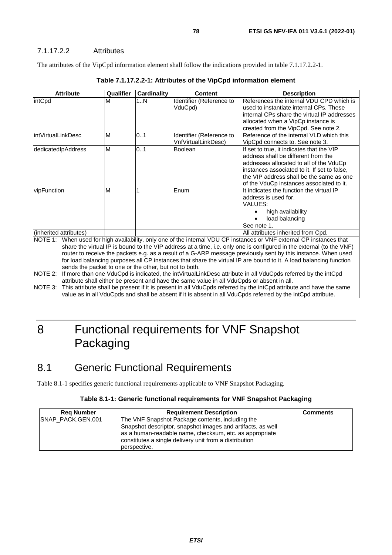#### 7.1.17.2.2 Attributes

The attributes of the VipCpd information element shall follow the indications provided in table 7.1.17.2.2-1.

| <b>Attribute</b>                                                                | Qualifier | Cardinality | Content                                                                                    | <b>Description</b>                                                                                                                                                                                                                                                                                                                                                                                                                                                                                                                                                                                           |
|---------------------------------------------------------------------------------|-----------|-------------|--------------------------------------------------------------------------------------------|--------------------------------------------------------------------------------------------------------------------------------------------------------------------------------------------------------------------------------------------------------------------------------------------------------------------------------------------------------------------------------------------------------------------------------------------------------------------------------------------------------------------------------------------------------------------------------------------------------------|
| intCpd                                                                          | M         | 1N          | Identifier (Reference to<br>VduCpd)                                                        | References the internal VDU CPD which is<br>used to instantiate internal CPs. These<br>internal CPs share the virtual IP addresses<br>allocated when a VipCp instance is<br>created from the VipCpd. See note 2.                                                                                                                                                                                                                                                                                                                                                                                             |
| lintVirtualLinkDesc                                                             | M         | 0.1         | Identifier (Reference to<br>VnfVirtualLinkDesc)                                            | Reference of the internal VLD which this<br>VipCpd connects to. See note 3.                                                                                                                                                                                                                                                                                                                                                                                                                                                                                                                                  |
| dedicatedIpAddress                                                              | M         | 01          | Boolean                                                                                    | If set to true, it indicates that the VIP<br>address shall be different from the<br>addresses allocated to all of the VduCp<br>instances associated to it. If set to false,<br>the VIP address shall be the same as one<br>of the VduCp instances associated to it.                                                                                                                                                                                                                                                                                                                                          |
| vipFunction                                                                     | M         |             | Enum                                                                                       | It indicates the function the virtual IP<br>address is used for.<br>VALUES:<br>high availability<br>load balancing<br>See note 1.                                                                                                                                                                                                                                                                                                                                                                                                                                                                            |
| (inherited attributes)                                                          |           |             |                                                                                            | All attributes inherited from Cpd.                                                                                                                                                                                                                                                                                                                                                                                                                                                                                                                                                                           |
| NOTE $1$ :<br>sends the packet to one or the other, but not to both.<br>NOTE 2: |           |             | attribute shall either be present and have the same value in all VduCpds or absent in all. | When used for high availability, only one of the internal VDU CP instances or VNF external CP instances that<br>share the virtual IP is bound to the VIP address at a time, i.e. only one is configured in the external (to the VNF)<br>router to receive the packets e.g. as a result of a G-ARP message previously sent by this instance. When used<br>for load balancing purposes all CP instances that share the virtual IP are bound to it. A load balancing function<br>If more than one VduCpd is indicated, the intVirtualLinkDesc attribute in all VduCpds referred by the intCpd<br>$\blacksquare$ |

**Table 7.1.17.2.2-1: Attributes of the VipCpd information element** 

NOTE 3: This attribute shall be present if it is present in all VduCpds referred by the intCpd attribute and have the same value as in all VduCpds and shall be absent if it is absent in all VduCpds referred by the intCpd attribute.

# 8 Functional requirements for VNF Snapshot Packaging

## 8.1 Generic Functional Requirements

Table 8.1-1 specifies generic functional requirements applicable to VNF Snapshot Packaging.

#### **Table 8.1-1: Generic functional requirements for VNF Snapshot Packaging**

| <b>Rea Number</b>  | <b>Requirement Description</b>                              | <b>Comments</b> |
|--------------------|-------------------------------------------------------------|-----------------|
| ISNAP PACK.GEN.001 | The VNF Snapshot Package contents, including the            |                 |
|                    | Snapshot descriptor, snapshot images and artifacts, as well |                 |
|                    | as a human-readable name, checksum, etc. as appropriate     |                 |
|                    | constitutes a single delivery unit from a distribution      |                 |
|                    | perspective.                                                |                 |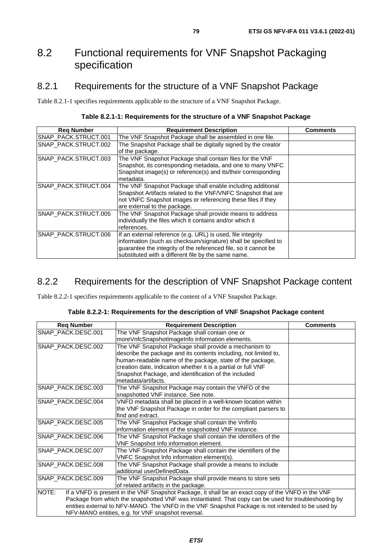## 8.2 Functional requirements for VNF Snapshot Packaging specification

### 8.2.1 Requirements for the structure of a VNF Snapshot Package

Table 8.2.1-1 specifies requirements applicable to the structure of a VNF Snapshot Package.

| Table 8.2.1-1: Requirements for the structure of a VNF Snapshot Package |  |  |
|-------------------------------------------------------------------------|--|--|
|-------------------------------------------------------------------------|--|--|

| <b>Req Number</b>    | <b>Requirement Description</b>                                                                                                                                                                                                                          | Comments |
|----------------------|---------------------------------------------------------------------------------------------------------------------------------------------------------------------------------------------------------------------------------------------------------|----------|
| SNAP_PACK.STRUCT.001 | The VNF Snapshot Package shall be assembled in one file.                                                                                                                                                                                                |          |
| SNAP_PACK.STRUCT.002 | The Snapshot Package shall be digitally signed by the creator<br>of the package.                                                                                                                                                                        |          |
| SNAP_PACK.STRUCT.003 | The VNF Snapshot Package shall contain files for the VNF<br>Snapshot, its corresponding metadata, and one to many VNFC<br>Snapshot image(s) or reference(s) and its/their corresponding<br>metadata.                                                    |          |
| SNAP_PACK.STRUCT.004 | The VNF Snapshot Package shall enable including additional<br>Snapshot Artifacts related to the VNF/VNFC Snapshot that are<br>not VNFC Snapshot images or referencing these files if they<br>are external to the package.                               |          |
| SNAP_PACK.STRUCT.005 | The VNF Snapshot Package shall provide means to address<br>individually the files which it contains and/or which it<br>references.                                                                                                                      |          |
| SNAP_PACK.STRUCT.006 | If an external reference (e.g. URL) is used, file integrity<br>information (such as checksum/signature) shall be specified to<br>guarantee the integrity of the referenced file, so it cannot be<br>substituted with a different file by the same name. |          |

### 8.2.2 Requirements for the description of VNF Snapshot Package content

Table 8.2.2-1 specifies requirements applicable to the content of a VNF Snapshot Package.

| Table 8.2.2-1: Requirements for the description of VNF Snapshot Package content |  |  |
|---------------------------------------------------------------------------------|--|--|
|---------------------------------------------------------------------------------|--|--|

| <b>Req Number</b>                                  | <b>Requirement Description</b>                                                                        | <b>Comments</b> |
|----------------------------------------------------|-------------------------------------------------------------------------------------------------------|-----------------|
| SNAP PACK.DESC.001                                 | The VNF Snapshot Package shall contain one or                                                         |                 |
|                                                    | moreVnfcSnapshotImageInfo information elements.                                                       |                 |
| SNAP PACK.DESC.002                                 | The VNF Snapshot Package shall provide a mechanism to                                                 |                 |
|                                                    | describe the package and its contents including, not limited to,                                      |                 |
|                                                    | human-readable name of the package, state of the package,                                             |                 |
|                                                    | creation date, indication whether it is a partial or full VNF                                         |                 |
|                                                    | Snapshot Package, and identification of the included                                                  |                 |
|                                                    | metadata/artifacts.                                                                                   |                 |
| SNAP_PACK.DESC.003                                 | The VNF Snapshot Package may contain the VNFD of the                                                  |                 |
|                                                    | snapshotted VNF instance. See note.                                                                   |                 |
| SNAP_PACK.DESC.004                                 | VNFD metadata shall be placed in a well-known location within                                         |                 |
|                                                    | the VNF Snapshot Package in order for the compliant parsers to                                        |                 |
|                                                    | find and extract.                                                                                     |                 |
| SNAP_PACK.DESC.005                                 | The VNF Snapshot Package shall contain the VnfInfo                                                    |                 |
|                                                    | information element of the snapshotted VNF instance.                                                  |                 |
| SNAP_PACK.DESC.006                                 | The VNF Snapshot Package shall contain the identifiers of the                                         |                 |
|                                                    | VNF Snapshot Info information element.                                                                |                 |
| SNAP_PACK.DESC.007                                 | The VNF Snapshot Package shall contain the identifiers of the                                         |                 |
|                                                    | VNFC Snapshot Info information element(s).                                                            |                 |
| SNAP_PACK.DESC.008                                 | The VNF Snapshot Package shall provide a means to include                                             |                 |
|                                                    | additional userDefinedData.                                                                           |                 |
| SNAP_PACK.DESC.009                                 | The VNF Snapshot Package shall provide means to store sets                                            |                 |
|                                                    | of related artifacts in the package.                                                                  |                 |
| NOTE:                                              | If a VNFD is present in the VNF Snapshot Package, it shall be an exact copy of the VNFD in the VNF    |                 |
|                                                    | Package from which the snapshotted VNF was instantiated. That copy can be used for troubleshooting by |                 |
|                                                    | entities external to NFV-MANO. The VNFD in the VNF Snapshot Package is not intended to be used by     |                 |
| NFV-MANO entities, e.g. for VNF snapshot reversal. |                                                                                                       |                 |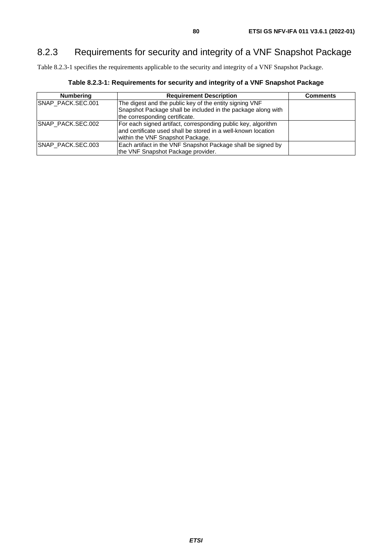## 8.2.3 Requirements for security and integrity of a VNF Snapshot Package

Table 8.2.3-1 specifies the requirements applicable to the security and integrity of a VNF Snapshot Package.

| <b>Numbering</b>  | <b>Requirement Description</b>                                                                                                                                      | <b>Comments</b> |
|-------------------|---------------------------------------------------------------------------------------------------------------------------------------------------------------------|-----------------|
| SNAP_PACK.SEC.001 | The digest and the public key of the entity signing VNF<br>Snapshot Package shall be included in the package along with<br>the corresponding certificate.           |                 |
| SNAP_PACK.SEC.002 | For each signed artifact, corresponding public key, algorithm<br>land certificate used shall be stored in a well-known location<br>within the VNF Snapshot Package. |                 |
| SNAP_PACK.SEC.003 | Each artifact in the VNF Snapshot Package shall be signed by<br>the VNF Snapshot Package provider.                                                                  |                 |

**Table 8.2.3-1: Requirements for security and integrity of a VNF Snapshot Package**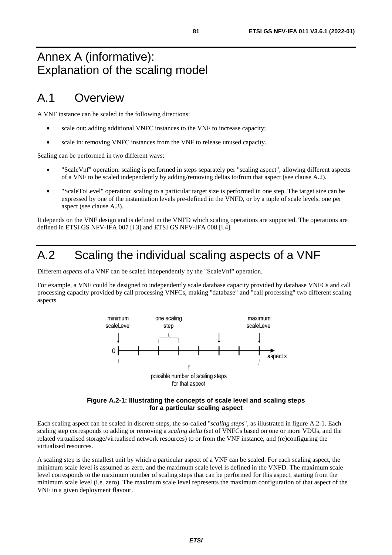# Annex A (informative): Explanation of the scaling model

## A.1 Overview

A VNF instance can be scaled in the following directions:

- scale out: adding additional VNFC instances to the VNF to increase capacity;
- scale in: removing VNFC instances from the VNF to release unused capacity.

Scaling can be performed in two different ways:

- "ScaleVnf" operation: scaling is performed in steps separately per "scaling aspect", allowing different aspects of a VNF to be scaled independently by adding/removing deltas to/from that aspect (see clause A.2).
- "ScaleToLevel" operation: scaling to a particular target size is performed in one step. The target size can be expressed by one of the instantiation levels pre-defined in the VNFD, or by a tuple of scale levels, one per aspect (see clause A.3).

It depends on the VNF design and is defined in the VNFD which scaling operations are supported. The operations are defined in ETSI GS NFV-IFA 007 [[i.3](#page-8-0)] and ETSI GS NFV-IFA 008 [[i.4\]](#page-8-0).

## A.2 Scaling the individual scaling aspects of a VNF

Different *aspects* of a VNF can be scaled independently by the "ScaleVnf" operation.

For example, a VNF could be designed to independently scale database capacity provided by database VNFCs and call processing capacity provided by call processing VNFCs, making "database" and "call processing" two different scaling aspects.





Each scaling aspect can be scaled in discrete steps, the so-called "*scaling steps*", as illustrated in figure A.2-1. Each scaling step corresponds to adding or removing a *scaling delta* (set of VNFCs based on one or more VDUs, and the related virtualised storage/virtualised network resources) to or from the VNF instance, and (re)configuring the virtualised resources.

A scaling step is the smallest unit by which a particular aspect of a VNF can be scaled. For each scaling aspect, the minimum scale level is assumed as zero, and the maximum scale level is defined in the VNFD. The maximum scale level corresponds to the maximum number of scaling steps that can be performed for this aspect, starting from the minimum scale level (i.e. zero). The maximum scale level represents the maximum configuration of that aspect of the VNF in a given deployment flavour.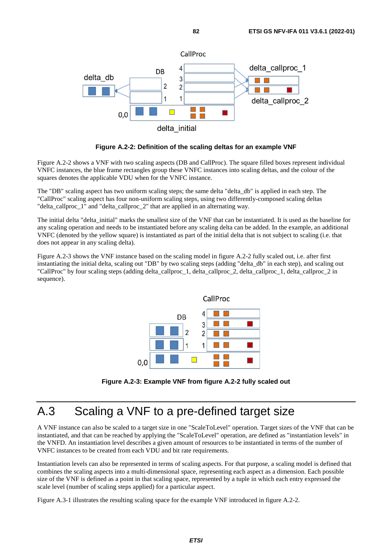

**Figure A.2-2: Definition of the scaling deltas for an example VNF** 

Figure A.2-2 shows a VNF with two scaling aspects (DB and CallProc). The square filled boxes represent individual VNFC instances, the blue frame rectangles group these VNFC instances into scaling deltas, and the colour of the squares denotes the applicable VDU when for the VNFC instance.

The "DB" scaling aspect has two uniform scaling steps; the same delta "delta\_db" is applied in each step. The "CallProc" scaling aspect has four non-uniform scaling steps, using two differently-composed scaling deltas "delta\_callproc\_1" and "delta\_callproc\_2" that are applied in an alternating way.

The initial delta "delta initial" marks the smallest size of the VNF that can be instantiated. It is used as the baseline for any scaling operation and needs to be instantiated before any scaling delta can be added. In the example, an additional VNFC (denoted by the yellow square) is instantiated as part of the initial delta that is not subject to scaling (i.e. that does not appear in any scaling delta).

Figure A.2-3 shows the VNF instance based on the scaling model in figure A.2-2 fully scaled out, i.e. after first instantiating the initial delta, scaling out "DB" by two scaling steps (adding "delta\_db" in each step), and scaling out "CallProc" by four scaling steps (adding delta\_callproc\_1, delta\_callproc\_2, delta\_callproc\_1, delta\_callproc\_2 in sequence).



**Figure A.2-3: Example VNF from figure A.2-2 fully scaled out** 

# A.3 Scaling a VNF to a pre-defined target size

A VNF instance can also be scaled to a target size in one "ScaleToLevel" operation. Target sizes of the VNF that can be instantiated, and that can be reached by applying the "ScaleToLevel" operation, are defined as "instantiation levels" in the VNFD. An instantiation level describes a given amount of resources to be instantiated in terms of the number of VNFC instances to be created from each VDU and bit rate requirements.

Instantiation levels can also be represented in terms of scaling aspects. For that purpose, a scaling model is defined that combines the scaling aspects into a multi-dimensional space, representing each aspect as a dimension. Each possible size of the VNF is defined as a point in that scaling space, represented by a tuple in which each entry expressed the scale level (number of scaling steps applied) for a particular aspect.

Figure A.3-1 illustrates the resulting scaling space for the example VNF introduced in figure A.2-2.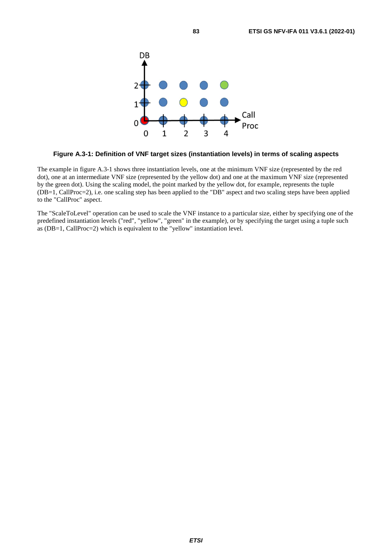

#### **Figure A.3-1: Definition of VNF target sizes (instantiation levels) in terms of scaling aspects**

The example in figure A.3-1 shows three instantiation levels, one at the minimum VNF size (represented by the red dot), one at an intermediate VNF size (represented by the yellow dot) and one at the maximum VNF size (represented by the green dot). Using the scaling model, the point marked by the yellow dot, for example, represents the tuple (DB=1, CallProc=2), i.e. one scaling step has been applied to the "DB" aspect and two scaling steps have been applied to the "CallProc" aspect.

The "ScaleToLevel" operation can be used to scale the VNF instance to a particular size, either by specifying one of the predefined instantiation levels ("red", "yellow", "green" in the example), or by specifying the target using a tuple such as (DB=1, CallProc=2) which is equivalent to the "yellow" instantiation level.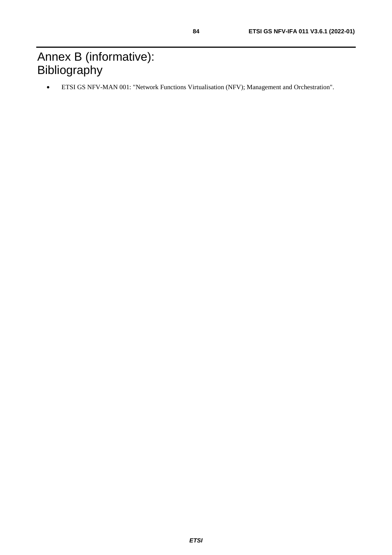# Annex B (informative): **Bibliography**

• ETSI GS NFV-MAN 001: "Network Functions Virtualisation (NFV); Management and Orchestration".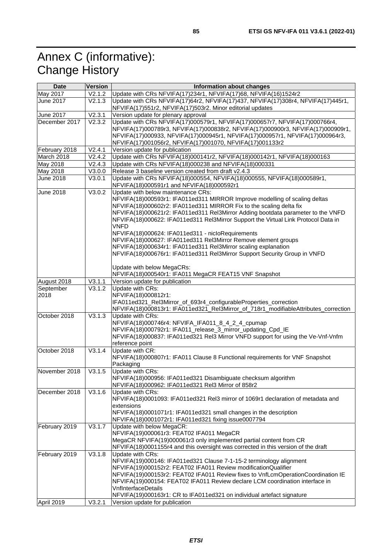# Annex C (informative): Change History

| <b>Date</b>      | <b>Version</b> | Information about changes                                                           |
|------------------|----------------|-------------------------------------------------------------------------------------|
| May 2017         | V2.1.2         | Update with CRs NFVIFA(17)234r1, NFVIFA(17)68, NFVIFA(16)1524r2                     |
| June 2017        | V2.1.3         | Update with CRs NFVIFA(17)64r2, NFVIFA(17)437, NFVIFA(17)308r4, NFVIFA(17)445r1,    |
|                  |                | NFVIFA(17)551r2, NFVIFA(17)503r2. Minor editorial updates                           |
| June 2017        | V2.3.1         | Version update for plenary approval                                                 |
| December 2017    | V2.3.2         | Update with CRs NFVIFA(17)000579r1, NFVIFA(17)000657r7, NFVIFA(17)000766r4,         |
|                  |                | NFVIFA(17)000789r3, NFVIFA(17)000838r2, NFVIFA(17)000900r3, NFVIFA(17)000909r1,     |
|                  |                | NFVIFA(17)000933, NFVIFA(17)000945r1, NFVIFA(17)000957r1, NFVIFA(17)000964r3,       |
|                  |                | NFVIFA(17)001056r2, NFVIFA(17)001070, NFVIFA(17)001133r2                            |
| February 2018    | V2.4.1         | Version update for publication                                                      |
| March 2018       | V2.4.2         | Update with CRs NFVIFA(18)000141r2, NFVIFA(18)000142r1, NFVIFA(18)000163            |
| May 2018         | V2.4.3         | Update with CRs NFVIFA(18)000238 and NFVIFA(18)000331                               |
| May 2018         | V3.0.0         | Release 3 baseline version created from draft v2.4.3                                |
| <b>June 2018</b> | V3.0.1         | Update with CRs NFVIFA(18)000554, NFVIFA(18)000555, NFVIFA(18)000589r1,             |
|                  |                | NFVIFA(18)000591r1 and NFVIFA(18)000592r1                                           |
| June 2018        | V3.0.2         | Update with below maintenance CRs:                                                  |
|                  |                | NFVIFA(18)000593r1: IFA011ed311 MIRROR Improve modelling of scaling deltas          |
|                  |                | NFVIFA(18)000602r2: IFA011ed311 MIRROR Fix to the scaling delta fix                 |
|                  |                | NFVIFA(18)000621r2: IFA011ed311 Rel3Mirror Adding bootdata parameter to the VNFD    |
|                  |                | NFVIFA(18)000622: IFA011ed311 Rel3Mirror Support the Virtual Link Protocol Data in  |
|                  |                | <b>VNFD</b>                                                                         |
|                  |                | NFVIFA(18)000624: IFA011ed311 - nicloRequirements                                   |
|                  |                | NFVIFA(18)000627: IFA011ed311 Rel3Mirror Remove element groups                      |
|                  |                | NFVIFA(18)000634r1: IFA011ed311 Rel3Mirror scaling explanation                      |
|                  |                | NFVIFA(18)000676r1: IFA011ed311 Rel3Mirror Support Security Group in VNFD           |
|                  |                |                                                                                     |
|                  |                | Update with below MegaCRs:                                                          |
|                  |                | NFVIFA(18)000540r1: IFA011 MegaCR FEAT15 VNF Snapshot                               |
| August 2018      | V3.1.1         | Version update for publication                                                      |
| September        | V3.1.2         | Update with CRs:                                                                    |
| 2018             |                | NFVIFA(18)000812r1:                                                                 |
|                  |                | IFA011ed321_Rel3Mirror_of_693r4_configurableProperties_correction                   |
|                  |                | NFVIFA(18)000813r1: IFA011ed321_Rel3Mirror_of_718r1_modifiableAttributes_correction |
| October 2018     | V3.1.3         | Update with CRs:                                                                    |
|                  |                | NFVIFA(18)000746r4: NFVIFA_IFA011_8_4_2_4_cpumap                                    |
|                  |                | NFVIFA(18)000792r1: IFA011_release_3_mirror_updating_Cpd_IE                         |
|                  |                | NFVIFA(18)000837: IFA011ed321 Rel3 Mirror VNFD support for using the Ve-Vnf-Vnfm    |
|                  |                | reference point                                                                     |
| October 2018     | V3.1.4         | Update with CR:                                                                     |
|                  |                | NFVIFA(18)000807r1: IFA011 Clause 8 Functional requirements for VNF Snapshot        |
|                  |                | Packaging                                                                           |
| November 2018    | V3.1.5         | Update with CRs:                                                                    |
|                  |                | NFVIFA(18)000956: IFA011ed321 Disambiguate checksum algorithm                       |
|                  |                | NFVIFA(18)000962: IFA011ed321 Rel3 Mirror of 858r2                                  |
| December 2018    | V3.1.6         | Update with CRs:                                                                    |
|                  |                | NFVIFA(18)0001093: IFA011ed321 Rel3 mirror of 1069r1 declaration of metadata and    |
|                  |                | extensions                                                                          |
|                  |                | NFVIFA(18)0001071r1: IFA011ed321 small changes in the description                   |
|                  |                | NFVIFA(18)0001072r1: IFA011ed321 fixing issue0007794                                |
| February 2019    | V3.1.7         | Update with below MegaCR:                                                           |
|                  |                | NFVIFA(19)000061r3: FEAT02 IFA011 MegaCR                                            |
|                  |                | MegaCR NFVIFA(19)000061r3 only implemented partial content from CR                  |
|                  |                | NFVIFA(18)0001155r4 and this oversight was corrected in this version of the draft   |
| February 2019    | V3.1.8         | Update with CRs:                                                                    |
|                  |                | NFVIFA(19)000146: IFA011ed321 Clause 7-1-15-2 terminology alignment                 |
|                  |                | NFVIFA(19)000152r2: FEAT02 IFA011 Review modificationQualifier                      |
|                  |                | NFVIFA(19)000153r2: FEAT02 IFA011 Review fixes to VnfLcmOperationCoordination IE    |
|                  |                | NFVIFA(19)000154: FEAT02 IFA011 Review declare LCM coordination interface in        |
|                  |                | <b>VnfInterfaceDetails</b>                                                          |
|                  |                | NFVIFA(19)000163r1: CR to IFA011ed321 on individual artefact signature              |
| April 2019       | V3.2.1         | Version update for publication                                                      |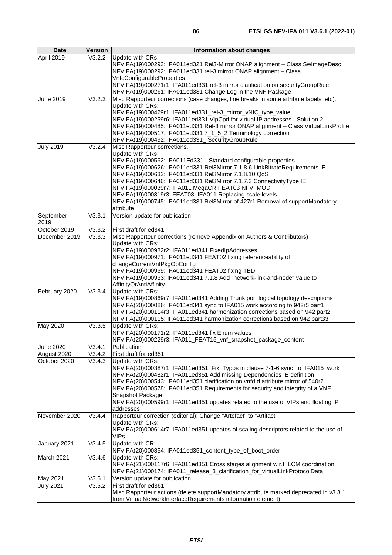| <b>Date</b>       | Version                     | Information about changes                                                                                                                                                                                                                                                                                                                                                                                                                                                                                                                            |
|-------------------|-----------------------------|------------------------------------------------------------------------------------------------------------------------------------------------------------------------------------------------------------------------------------------------------------------------------------------------------------------------------------------------------------------------------------------------------------------------------------------------------------------------------------------------------------------------------------------------------|
| April 2019        | V3.2.2                      | Update with CRs:<br>NFVIFA(19)000293: IFA011ed321 Rel3-Mirror ONAP alignment - Class SwlmageDesc<br>NFVIFA(19)000292: IFA011ed331 rel-3 mirror ONAP alignment - Class<br>VnfcConfigurableProperties                                                                                                                                                                                                                                                                                                                                                  |
|                   |                             | NFVIFA(19)000271r1: IFA011ed331 rel-3 mirror clarification on securityGroupRule<br>NFVIFA(19)000261: IFA011ed331 Change Log in the VNF Package                                                                                                                                                                                                                                                                                                                                                                                                       |
| <b>June 2019</b>  | V3.2.3                      | Misc Rapporteur corrections (case changes, line breaks in some attribute labels, etc).<br>Update with CRs:<br>NFVIFA(19)000429r1: IFA011ed331_rel-3_mirror_vNIC_type_value<br>NFVIFA(19)000259r6: IFA011ed331 VipCpd for virtual IP addresses - Solution 2<br>NFVIFA(19)000485: IFA011ed331 Rel-3 mirror ONAP alignment - Class VirtualLinkProfile<br>NFVIFA(19)000517: IFA011ed331 7_1_5_2 Terminology correction<br>NFVIFA(19)000492: IFA011ed331_ SecurityGroupRule                                                                               |
| <b>July 2019</b>  | V3.2.4                      | Misc Rapporteur corrections.<br>Update with CRs:<br>NFVIFA(19)000562: IFA011Ed331 - Standard configurable properties<br>NFVIFA(19)000626: IFA011ed331 Rel3Mirror 7.1.8.6 LinkBitrateRequirements IE<br>NFVIFA(19)000632: IFA011ed331 Rel3Mirror 7.1.8.10 QoS<br>NFVIFA(19)000646: IFA011ed331 Rel3Mirror 7.1.7.3 ConnectivityType IE<br>NFVIFA(19)000039r7: IFA011 MegaCR FEAT03 NFVI MOD<br>NFVIFA(19)000319r3: FEAT03: IFA011 Replacing scale levels<br>NFVIFA(19)000745: IFA011ed331 Rel3Mirror of 427r1 Removal of supportMandatory<br>attribute |
| September<br>2019 | V3.3.1                      | Version update for publication                                                                                                                                                                                                                                                                                                                                                                                                                                                                                                                       |
| October 2019      | V3.3.2                      | First draft for ed341                                                                                                                                                                                                                                                                                                                                                                                                                                                                                                                                |
| December 2019     | V3.3.3                      | Misc Rapporteur corrections (remove Appendix on Authors & Contributors)<br>Update with CRs:<br>NFVIFA(19)000982r2: IFA011ed341 FixedIpAddresses<br>NFVIFA(19)000971: IFA011ed341 FEAT02 fixing referenceability of<br>changeCurrentVnfPkgOpConfig<br>NFVIFA(19)000969: IFA011ed341 FEAT02 fixing TBD<br>NFVIFA(19)000933: IFA011ed341 7.1.8 Add "network-link-and-node" value to<br>AffinityOrAntiAffinity                                                                                                                                           |
| February 2020     | V3.3.4                      | Update with CRs:<br>NFVIFA(19)000869r7: IFA011ed341 Adding Trunk port logical topology descriptions<br>NFVIFA(20)000086: IFA011ed341 sync to IFA015 work according to 942r5 part1<br>NFVIFA(20)000114r3: IFA011ed341 harmonization corrections based on 942 part2<br>NFVIFA(20)000115: IFA011ed341 harmonization corrections based on 942 part33                                                                                                                                                                                                     |
| May 2020          | V3.3.5                      | Update with CRs:<br>NFVIFA(20)000171r2: IFA011ed341 fix Enum values<br>NFVIFA(20)000229r3: IFA011_FEAT15_vnf_snapshot_package_content                                                                                                                                                                                                                                                                                                                                                                                                                |
| June 2020         | V3.4.1                      | Publication                                                                                                                                                                                                                                                                                                                                                                                                                                                                                                                                          |
| August 2020       | $\overline{\text{V3}}$ .4.2 | First draft for ed351                                                                                                                                                                                                                                                                                                                                                                                                                                                                                                                                |
| October 2020      | V3.4.3                      | Update with CRs:<br>NFVIFA(20)000387r1: IFA011ed351_Fix_Typos in clause 7-1-6 sync_to_IFA015_work<br>NFVIFA(20)000482r1: IFA011ed351 Add missing Dependencies IE definition<br>NFVIFA(20)000543: IFA011ed351 clarification on vnfdld attribute mirror of 540r2<br>NFVIFA(20)000578: IFA011ed351 Requirements for security and integrity of a VNF<br>Snapshot Package<br>NFVIFA(20)000599r1: IFA011ed351 updates related to the use of VIPs and floating IP<br>addresses                                                                              |
| November 2020     | V3.4.4                      | Rapporteur correction (editorial): Change "Artefact" to "Artifact".<br>Update with CRs:<br>NFVIFA(20)000614r7: IFA011ed351 updates of scaling descriptors related to the use of<br><b>VIPs</b>                                                                                                                                                                                                                                                                                                                                                       |
| January 2021      | V3.4.5                      | Update with CR:<br>NFVIFA(20)000854: IFA011ed351_content_type_of_boot_order                                                                                                                                                                                                                                                                                                                                                                                                                                                                          |
| March 2021        | V3.4.6                      | Update with CRs:<br>NFVIFA(21)000117r6: IFA011ed351 Cross stages alignment w.r.t. LCM coordination<br>NFVIFA(21)000174: IFA011_release_3_clarification_for_virtualLinkProtocolData                                                                                                                                                                                                                                                                                                                                                                   |
| May 2021          | V3.5.1                      | Version update for publication                                                                                                                                                                                                                                                                                                                                                                                                                                                                                                                       |
| <b>July 2021</b>  | V3.5.2                      | First draft for ed361<br>Misc Rapporteur actions (delete supportMandatory attribute marked deprecated in v3.3.1<br>from VirtualNetworkInterfaceRequirements information element)                                                                                                                                                                                                                                                                                                                                                                     |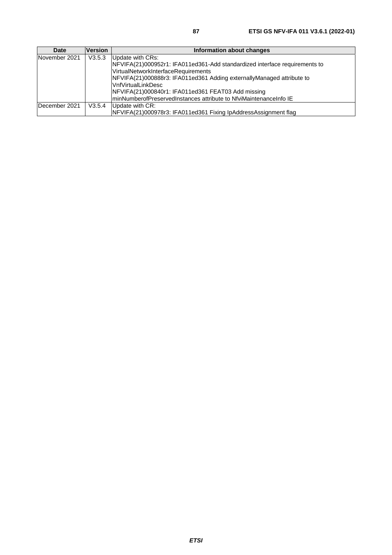| <b>Date</b>   | <b>Version</b> | Information about changes                                                  |
|---------------|----------------|----------------------------------------------------------------------------|
| November 2021 | V3.5.3         | Update with CRs:                                                           |
|               |                | NFVIFA(21)000952r1: IFA011ed361-Add standardized interface requirements to |
|               |                | VirtualNetworkInterfaceRequirements                                        |
|               |                | NFVIFA(21)000888r3: IFA011ed361 Adding externallyManaged attribute to      |
|               |                | <b>VnfVirtualLinkDesc</b>                                                  |
|               |                | NFVIFA(21)000840r1: IFA011ed361 FEAT03 Add missing                         |
|               |                | minNumberofPreservedInstances attribute to NfviMaintenanceInfo IE          |
| December 2021 | V3.5.4         | Update with CR:                                                            |
|               |                | NFVIFA(21)000978r3: IFA011ed361 Fixing IpAddressAssignment flag            |